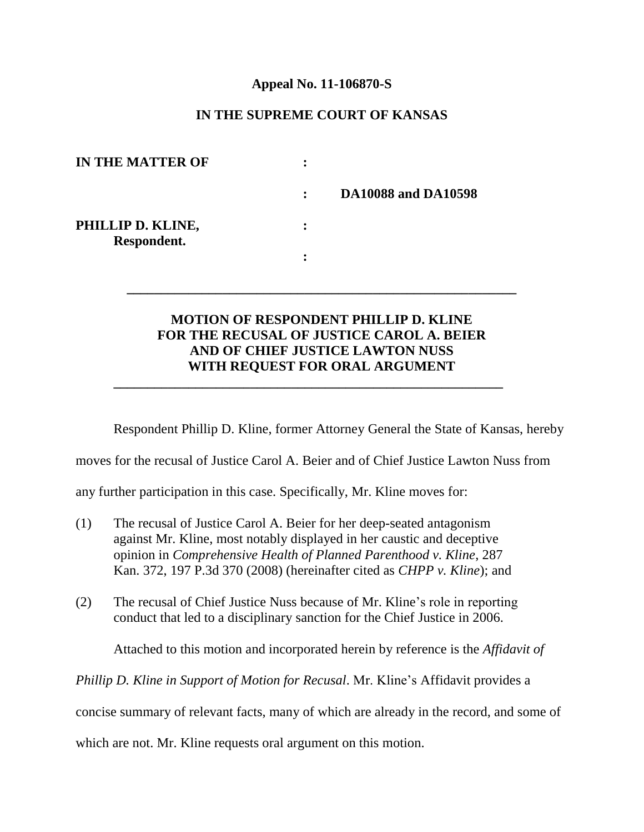### **Appeal No. 11-106870-S**

# **IN THE SUPREME COURT OF KANSAS**

| <b>IN THE MATTER OF</b>          | ٠            |                            |
|----------------------------------|--------------|----------------------------|
|                                  | $\mathbf{L}$ | <b>DA10088 and DA10598</b> |
| PHILLIP D. KLINE,<br>Respondent. | ٠            |                            |
|                                  |              |                            |

# **MOTION OF RESPONDENT PHILLIP D. KLINE FOR THE RECUSAL OF JUSTICE CAROL A. BEIER AND OF CHIEF JUSTICE LAWTON NUSS WITH REQUEST FOR ORAL ARGUMENT**

**\_\_\_\_\_\_\_\_\_\_\_\_\_\_\_\_\_\_\_\_\_\_\_\_\_\_\_\_\_\_\_\_\_\_\_\_\_\_\_\_\_\_\_\_\_\_\_\_\_\_\_\_\_\_\_\_\_**

**\_\_\_\_\_\_\_\_\_\_\_\_\_\_\_\_\_\_\_\_\_\_\_\_\_\_\_\_\_\_\_\_\_\_\_\_\_\_\_\_\_\_\_\_\_\_\_\_\_\_\_\_\_\_\_\_\_**

Respondent Phillip D. Kline, former Attorney General the State of Kansas, hereby

moves for the recusal of Justice Carol A. Beier and of Chief Justice Lawton Nuss from

any further participation in this case. Specifically, Mr. Kline moves for:

- (1) The recusal of Justice Carol A. Beier for her deep-seated antagonism against Mr. Kline, most notably displayed in her caustic and deceptive opinion in *Comprehensive Health of Planned Parenthood v. Kline*, 287 Kan. 372, 197 P.3d 370 (2008) (hereinafter cited as *CHPP v. Kline*); and
- (2) The recusal of Chief Justice Nuss because of Mr. Kline's role in reporting conduct that led to a disciplinary sanction for the Chief Justice in 2006.

Attached to this motion and incorporated herein by reference is the *Affidavit of* 

*Phillip D. Kline in Support of Motion for Recusal*. Mr. Kline's Affidavit provides a

concise summary of relevant facts, many of which are already in the record, and some of

which are not. Mr. Kline requests oral argument on this motion.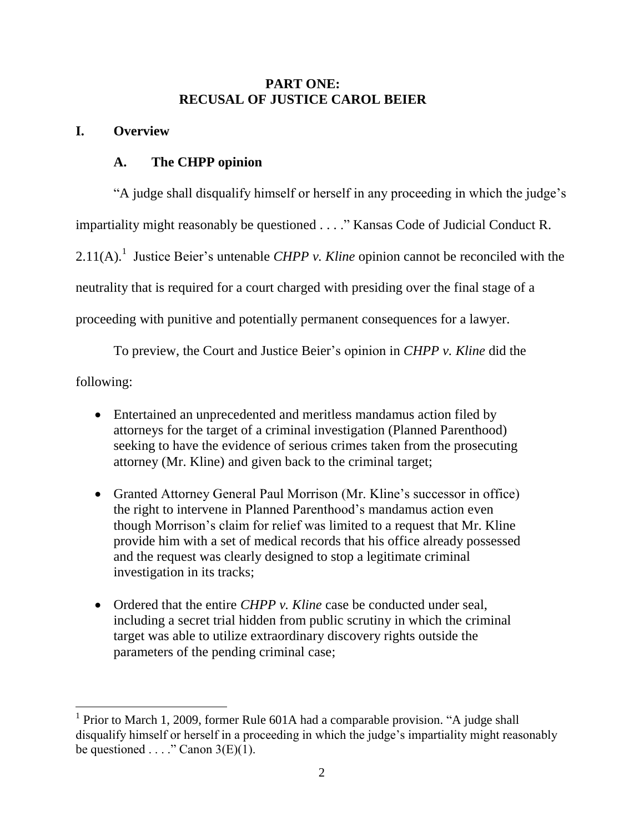# **PART ONE: RECUSAL OF JUSTICE CAROL BEIER**

# **I. Overview**

# **A. The CHPP opinion**

"A judge shall disqualify himself or herself in any proceeding in which the judge's impartiality might reasonably be questioned . . . ." Kansas Code of Judicial Conduct R. 2.11(A).<sup>1</sup> Justice Beier's untenable *CHPP v. Kline* opinion cannot be reconciled with the neutrality that is required for a court charged with presiding over the final stage of a proceeding with punitive and potentially permanent consequences for a lawyer.

To preview, the Court and Justice Beier's opinion in *CHPP v. Kline* did the following:

- Entertained an unprecedented and meritless mandamus action filed by attorneys for the target of a criminal investigation (Planned Parenthood) seeking to have the evidence of serious crimes taken from the prosecuting attorney (Mr. Kline) and given back to the criminal target;
- Granted Attorney General Paul Morrison (Mr. Kline's successor in office) the right to intervene in Planned Parenthood's mandamus action even though Morrison's claim for relief was limited to a request that Mr. Kline provide him with a set of medical records that his office already possessed and the request was clearly designed to stop a legitimate criminal investigation in its tracks;
- Ordered that the entire *CHPP v. Kline* case be conducted under seal. including a secret trial hidden from public scrutiny in which the criminal target was able to utilize extraordinary discovery rights outside the parameters of the pending criminal case;

<sup>&</sup>lt;sup>1</sup> Prior to March 1, 2009, former Rule 601A had a comparable provision. "A judge shall disqualify himself or herself in a proceeding in which the judge's impartiality might reasonably be questioned . . . ." Canon  $3(E)(1)$ .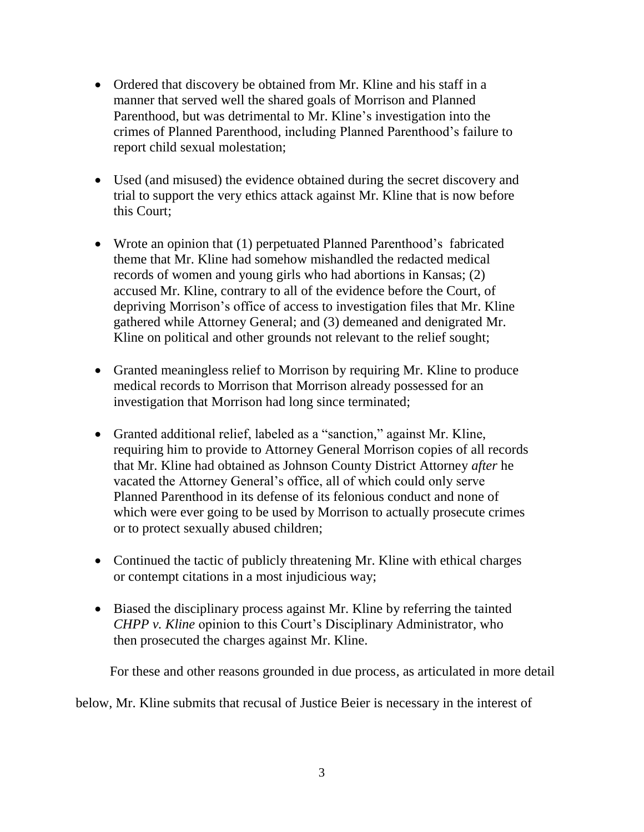- Ordered that discovery be obtained from Mr. Kline and his staff in a manner that served well the shared goals of Morrison and Planned Parenthood, but was detrimental to Mr. Kline's investigation into the crimes of Planned Parenthood, including Planned Parenthood's failure to report child sexual molestation;
- Used (and misused) the evidence obtained during the secret discovery and trial to support the very ethics attack against Mr. Kline that is now before this Court;
- Wrote an opinion that (1) perpetuated Planned Parenthood's fabricated theme that Mr. Kline had somehow mishandled the redacted medical records of women and young girls who had abortions in Kansas; (2) accused Mr. Kline, contrary to all of the evidence before the Court, of depriving Morrison's office of access to investigation files that Mr. Kline gathered while Attorney General; and (3) demeaned and denigrated Mr. Kline on political and other grounds not relevant to the relief sought;
- Granted meaningless relief to Morrison by requiring Mr. Kline to produce medical records to Morrison that Morrison already possessed for an investigation that Morrison had long since terminated;
- Granted additional relief, labeled as a "sanction," against Mr. Kline, requiring him to provide to Attorney General Morrison copies of all records that Mr. Kline had obtained as Johnson County District Attorney *after* he vacated the Attorney General's office, all of which could only serve Planned Parenthood in its defense of its felonious conduct and none of which were ever going to be used by Morrison to actually prosecute crimes or to protect sexually abused children;
- Continued the tactic of publicly threatening Mr. Kline with ethical charges or contempt citations in a most injudicious way;
- Biased the disciplinary process against Mr. Kline by referring the tainted *CHPP v. Kline* opinion to this Court's Disciplinary Administrator, who then prosecuted the charges against Mr. Kline.

For these and other reasons grounded in due process, as articulated in more detail

below, Mr. Kline submits that recusal of Justice Beier is necessary in the interest of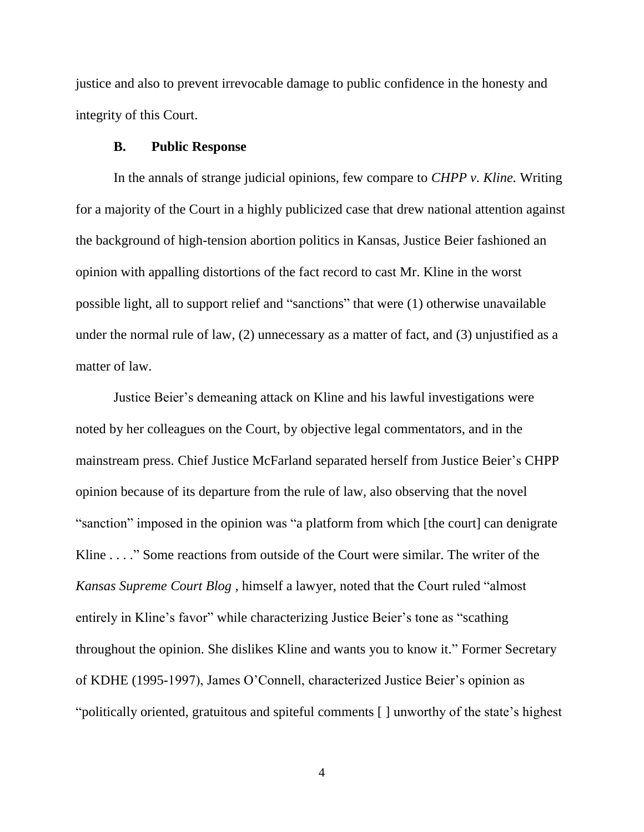justice and also to prevent irrevocable damage to public confidence in the honesty and integrity of this Court.

### **B. Public Response**

In the annals of strange judicial opinions, few compare to *CHPP v. Kline.* Writing for a majority of the Court in a highly publicized case that drew national attention against the background of high-tension abortion politics in Kansas, Justice Beier fashioned an opinion with appalling distortions of the fact record to cast Mr. Kline in the worst possible light, all to support relief and "sanctions" that were (1) otherwise unavailable under the normal rule of law, (2) unnecessary as a matter of fact, and (3) unjustified as a matter of law.

Justice Beier's demeaning attack on Kline and his lawful investigations were noted by her colleagues on the Court, by objective legal commentators, and in the mainstream press. Chief Justice McFarland separated herself from Justice Beier's CHPP opinion because of its departure from the rule of law, also observing that the novel "sanction" imposed in the opinion was "a platform from which [the court] can denigrate Kline . . . ." Some reactions from outside of the Court were similar. The writer of the *Kansas Supreme Court Blog* , himself a lawyer, noted that the Court ruled "almost entirely in Kline's favor" while characterizing Justice Beier's tone as "scathing throughout the opinion. She dislikes Kline and wants you to know it." Former Secretary of KDHE (1995-1997), James O'Connell, characterized Justice Beier's opinion as "politically oriented, gratuitous and spiteful comments [ ] unworthy of the state's highest

4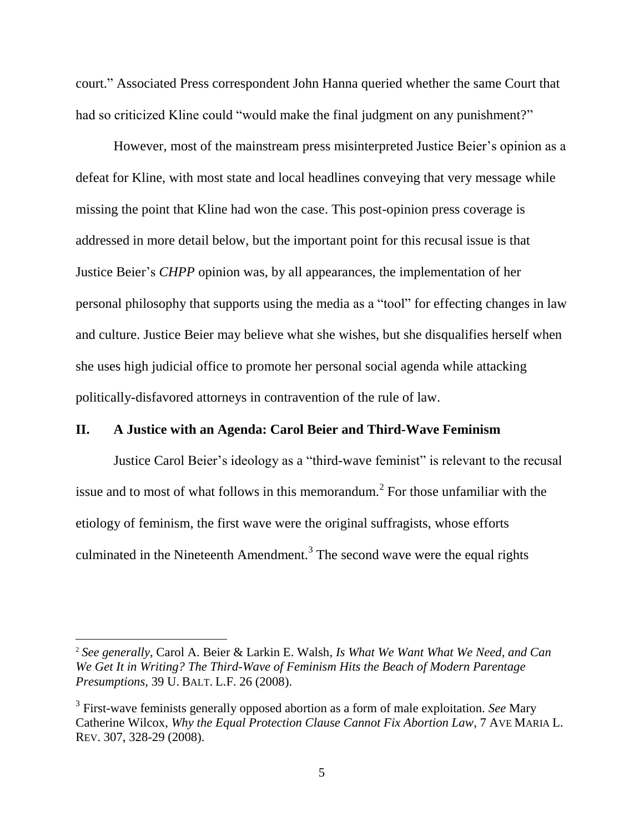court." Associated Press correspondent John Hanna queried whether the same Court that had so criticized Kline could "would make the final judgment on any punishment?"

However, most of the mainstream press misinterpreted Justice Beier's opinion as a defeat for Kline, with most state and local headlines conveying that very message while missing the point that Kline had won the case. This post-opinion press coverage is addressed in more detail below, but the important point for this recusal issue is that Justice Beier's *CHPP* opinion was, by all appearances, the implementation of her personal philosophy that supports using the media as a "tool" for effecting changes in law and culture. Justice Beier may believe what she wishes, but she disqualifies herself when she uses high judicial office to promote her personal social agenda while attacking politically-disfavored attorneys in contravention of the rule of law.

### **II. A Justice with an Agenda: Carol Beier and Third-Wave Feminism**

Justice Carol Beier's ideology as a "third-wave feminist" is relevant to the recusal issue and to most of what follows in this memorandum.<sup>2</sup> For those unfamiliar with the etiology of feminism, the first wave were the original suffragists, whose efforts culminated in the Nineteenth Amendment.<sup>3</sup> The second wave were the equal rights

<sup>2</sup> *See generally*, Carol A. Beier & Larkin E. Walsh*, Is What We Want What We Need, and Can We Get It in Writing? The Third-Wave of Feminism Hits the Beach of Modern Parentage Presumptions*, 39 U. BALT. L.F. 26 (2008).

<sup>3</sup> First-wave feminists generally opposed abortion as a form of male exploitation. *See* Mary Catherine Wilcox, *Why the Equal Protection Clause Cannot Fix Abortion Law*, 7 AVE MARIA L. REV. 307, 328-29 (2008).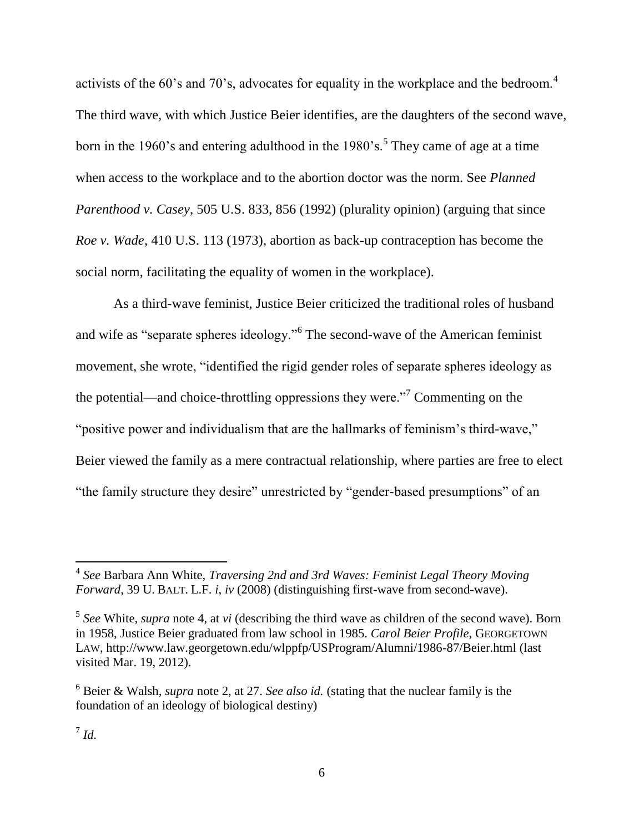activists of the 60's and 70's, advocates for equality in the workplace and the bedroom.<sup>4</sup> The third wave, with which Justice Beier identifies, are the daughters of the second wave, born in the 1960's and entering adulthood in the 1980's.<sup>5</sup> They came of age at a time when access to the workplace and to the abortion doctor was the norm. See *Planned Parenthood v. Casey*, 505 U.S. 833, 856 (1992) (plurality opinion) (arguing that since *Roe v. Wade*, 410 U.S. 113 (1973), abortion as back-up contraception has become the social norm, facilitating the equality of women in the workplace).

As a third-wave feminist, Justice Beier criticized the traditional roles of husband and wife as "separate spheres ideology."<sup>6</sup> The second-wave of the American feminist movement, she wrote, "identified the rigid gender roles of separate spheres ideology as the potential—and choice-throttling oppressions they were."<sup>7</sup> Commenting on the "positive power and individualism that are the hallmarks of feminism's third-wave," Beier viewed the family as a mere contractual relationship, where parties are free to elect "the family structure they desire" unrestricted by "gender-based presumptions" of an

<sup>4</sup> *See* Barbara Ann White, *Traversing 2nd and 3rd Waves: Feminist Legal Theory Moving Forward*, 39 U. BALT. L.F. *i*, *iv* (2008) (distinguishing first-wave from second-wave).

<sup>5</sup> *See* White, *supra* note 4, at *vi* (describing the third wave as children of the second wave). Born in 1958, Justice Beier graduated from law school in 1985. *Carol Beier Profile*, GEORGETOWN LAW, http://www.law.georgetown.edu/wlppfp/USProgram/Alumni/1986-87/Beier.html (last visited Mar. 19, 2012).

<sup>6</sup> Beier & Walsh, *supra* note 2, at 27. *See also id.* (stating that the nuclear family is the foundation of an ideology of biological destiny)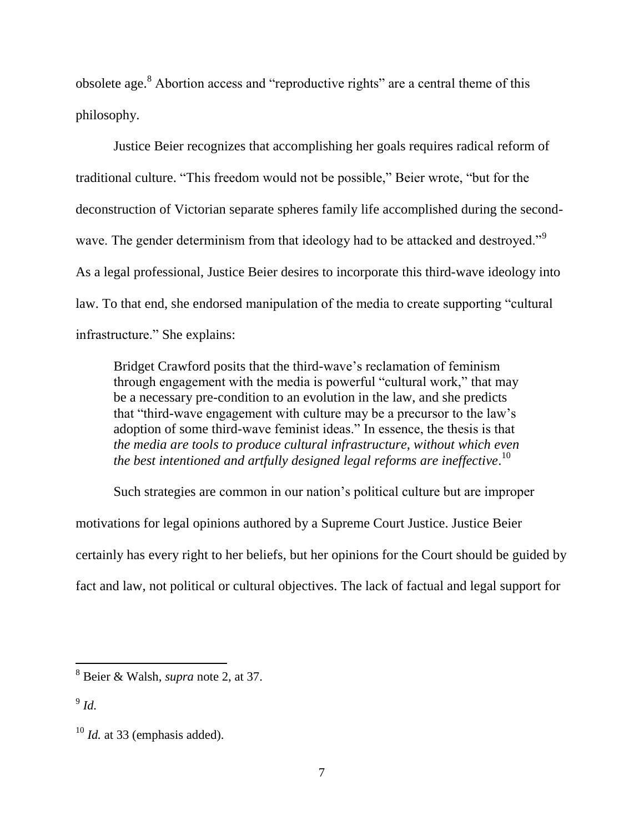obsolete age.<sup>8</sup> Abortion access and "reproductive rights" are a central theme of this philosophy.

Justice Beier recognizes that accomplishing her goals requires radical reform of traditional culture. "This freedom would not be possible," Beier wrote, "but for the deconstruction of Victorian separate spheres family life accomplished during the secondwave. The gender determinism from that ideology had to be attacked and destroyed."<sup>9</sup> As a legal professional, Justice Beier desires to incorporate this third-wave ideology into law. To that end, she endorsed manipulation of the media to create supporting "cultural infrastructure." She explains:

Bridget Crawford posits that the third-wave's reclamation of feminism through engagement with the media is powerful "cultural work," that may be a necessary pre-condition to an evolution in the law, and she predicts that "third-wave engagement with culture may be a precursor to the law's adoption of some third-wave feminist ideas." In essence, the thesis is that *the media are tools to produce cultural infrastructure, without which even the best intentioned and artfully designed legal reforms are ineffective*. 10

Such strategies are common in our nation's political culture but are improper motivations for legal opinions authored by a Supreme Court Justice. Justice Beier certainly has every right to her beliefs, but her opinions for the Court should be guided by fact and law, not political or cultural objectives. The lack of factual and legal support for

9 *Id.*

<sup>8</sup> Beier & Walsh, *supra* note 2, at 37.

<sup>&</sup>lt;sup>10</sup> *Id.* at 33 (emphasis added).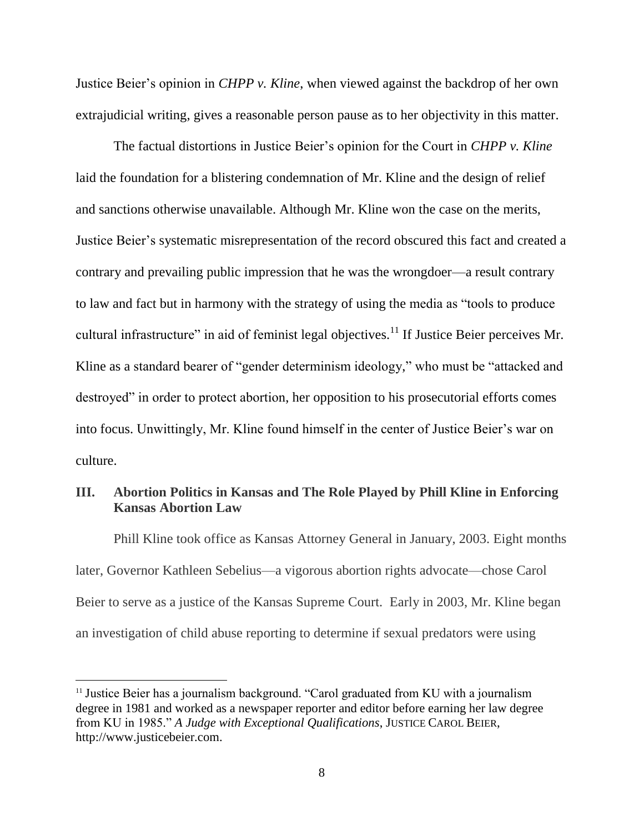Justice Beier's opinion in *CHPP v. Kline*, when viewed against the backdrop of her own extrajudicial writing, gives a reasonable person pause as to her objectivity in this matter.

The factual distortions in Justice Beier's opinion for the Court in *CHPP v. Kline* laid the foundation for a blistering condemnation of Mr. Kline and the design of relief and sanctions otherwise unavailable. Although Mr. Kline won the case on the merits, Justice Beier's systematic misrepresentation of the record obscured this fact and created a contrary and prevailing public impression that he was the wrongdoer—a result contrary to law and fact but in harmony with the strategy of using the media as "tools to produce cultural infrastructure" in aid of feminist legal objectives.<sup>11</sup> If Justice Beier perceives Mr. Kline as a standard bearer of "gender determinism ideology," who must be "attacked and destroyed" in order to protect abortion, her opposition to his prosecutorial efforts comes into focus. Unwittingly, Mr. Kline found himself in the center of Justice Beier's war on culture.

# **III. Abortion Politics in Kansas and The Role Played by Phill Kline in Enforcing Kansas Abortion Law**

Phill Kline took office as Kansas Attorney General in January, 2003. Eight months later, Governor Kathleen Sebelius—a vigorous abortion rights advocate—chose Carol Beier to serve as a justice of the Kansas Supreme Court. Early in 2003, Mr. Kline began an investigation of child abuse reporting to determine if sexual predators were using

<sup>&</sup>lt;sup>11</sup> Justice Beier has a journalism background. "Carol graduated from KU with a journalism degree in 1981 and worked as a newspaper reporter and editor before earning her law degree from KU in 1985." *A Judge with Exceptional Qualifications*, JUSTICE CAROL BEIER, http://www.justicebeier.com.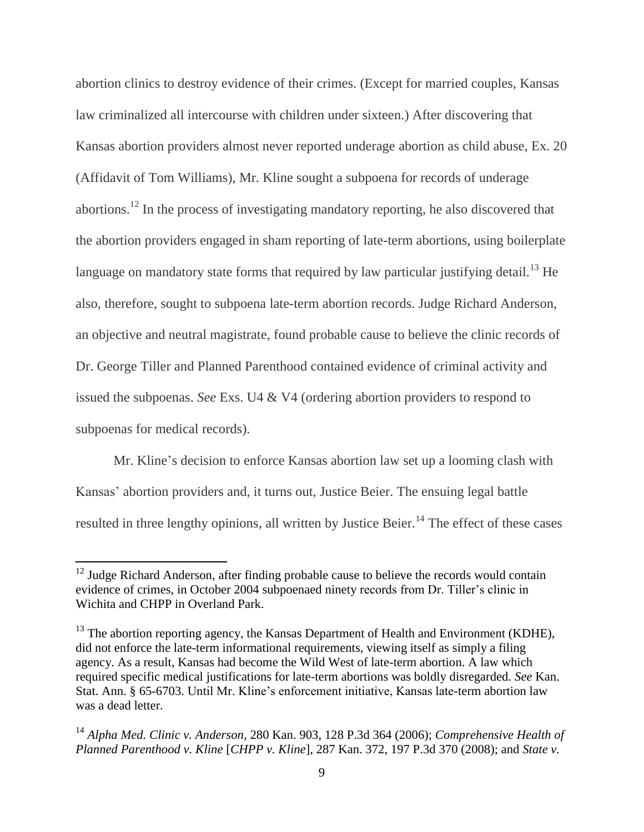abortion clinics to destroy evidence of their crimes. (Except for married couples, Kansas law criminalized all intercourse with children under sixteen.) After discovering that Kansas abortion providers almost never reported underage abortion as child abuse, Ex. 20 (Affidavit of Tom Williams), Mr. Kline sought a subpoena for records of underage abortions.<sup>12</sup> In the process of investigating mandatory reporting, he also discovered that the abortion providers engaged in sham reporting of late-term abortions, using boilerplate language on mandatory state forms that required by law particular justifying detail.<sup>13</sup> He also, therefore, sought to subpoena late-term abortion records. Judge Richard Anderson, an objective and neutral magistrate, found probable cause to believe the clinic records of Dr. George Tiller and Planned Parenthood contained evidence of criminal activity and issued the subpoenas. *See* Exs. U4 & V4 (ordering abortion providers to respond to subpoenas for medical records).

Mr. Kline's decision to enforce Kansas abortion law set up a looming clash with Kansas' abortion providers and, it turns out, Justice Beier. The ensuing legal battle resulted in three lengthy opinions, all written by Justice Beier.<sup>14</sup> The effect of these cases

 $12$  Judge Richard Anderson, after finding probable cause to believe the records would contain evidence of crimes, in October 2004 subpoenaed ninety records from Dr. Tiller's clinic in Wichita and CHPP in Overland Park.

 $13$  The abortion reporting agency, the Kansas Department of Health and Environment (KDHE), did not enforce the late-term informational requirements, viewing itself as simply a filing agency. As a result, Kansas had become the Wild West of late-term abortion. A law which required specific medical justifications for late-term abortions was boldly disregarded. *See* Kan. Stat. Ann. § 65-6703. Until Mr. Kline's enforcement initiative, Kansas late-term abortion law was a dead letter.

<sup>14</sup> *Alpha Med. Clinic v. Anderson*, 280 Kan. 903, 128 P.3d 364 (2006); *Comprehensive Health of Planned Parenthood v. Kline* [*CHPP v. Kline*], 287 Kan. 372, 197 P.3d 370 (2008); and *State v.*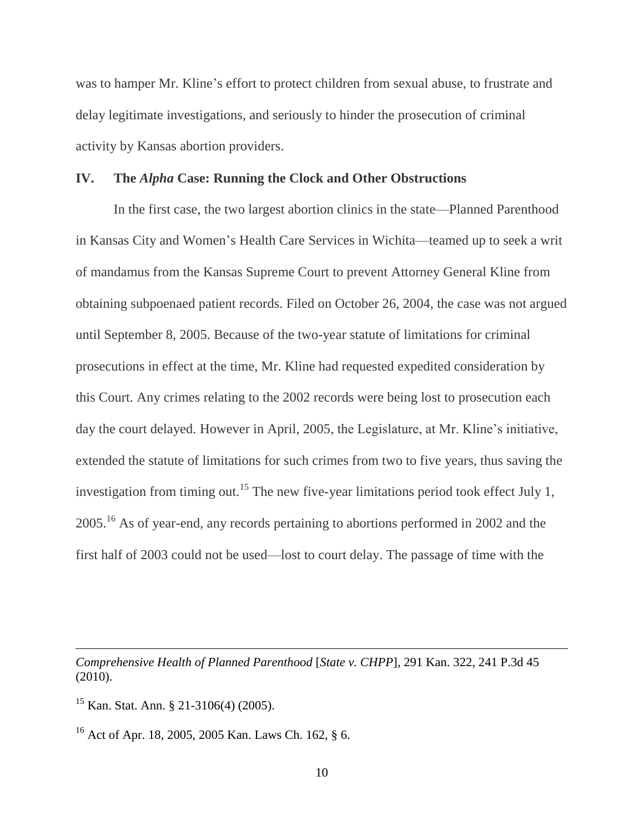was to hamper Mr. Kline's effort to protect children from sexual abuse, to frustrate and delay legitimate investigations, and seriously to hinder the prosecution of criminal activity by Kansas abortion providers.

#### **IV. The** *Alpha* **Case: Running the Clock and Other Obstructions**

In the first case, the two largest abortion clinics in the state—Planned Parenthood in Kansas City and Women's Health Care Services in Wichita—teamed up to seek a writ of mandamus from the Kansas Supreme Court to prevent Attorney General Kline from obtaining subpoenaed patient records. Filed on October 26, 2004, the case was not argued until September 8, 2005. Because of the two-year statute of limitations for criminal prosecutions in effect at the time, Mr. Kline had requested expedited consideration by this Court. Any crimes relating to the 2002 records were being lost to prosecution each day the court delayed. However in April, 2005, the Legislature, at Mr. Kline's initiative, extended the statute of limitations for such crimes from two to five years, thus saving the investigation from timing out.<sup>15</sup> The new five-year limitations period took effect July 1, 2005.<sup>16</sup> As of year-end, any records pertaining to abortions performed in 2002 and the first half of 2003 could not be used—lost to court delay. The passage of time with the

*Comprehensive Health of Planned Parenthood* [*State v. CHPP*], 291 Kan. 322, 241 P.3d 45 (2010).

<sup>15</sup> Kan. Stat. Ann. § 21-3106(4) (2005).

<sup>16</sup> Act of Apr. 18, 2005, 2005 Kan. Laws Ch. 162, § 6.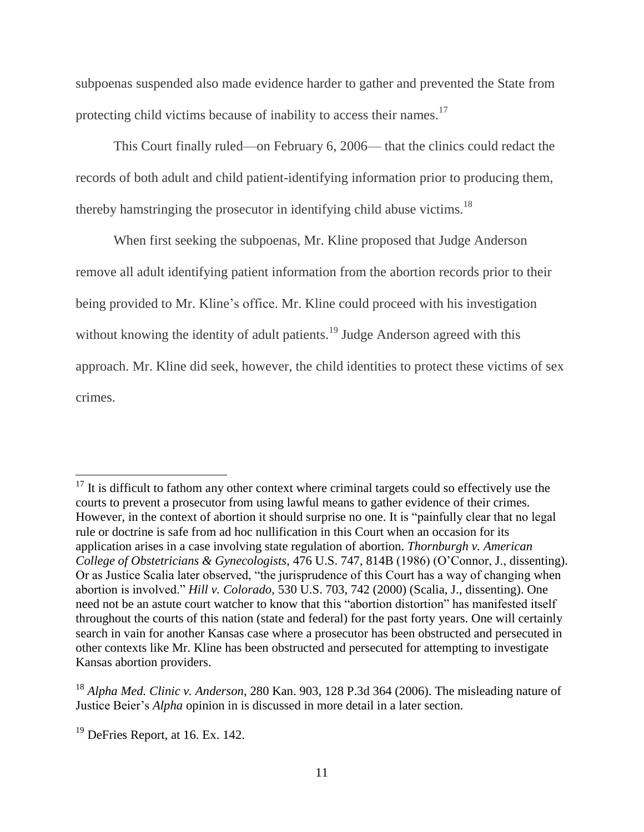subpoenas suspended also made evidence harder to gather and prevented the State from protecting child victims because of inability to access their names.<sup>17</sup>

This Court finally ruled—on February 6, 2006— that the clinics could redact the records of both adult and child patient-identifying information prior to producing them, thereby hamstringing the prosecutor in identifying child abuse victims.<sup>18</sup>

When first seeking the subpoenas, Mr. Kline proposed that Judge Anderson remove all adult identifying patient information from the abortion records prior to their being provided to Mr. Kline's office. Mr. Kline could proceed with his investigation without knowing the identity of adult patients.<sup>19</sup> Judge Anderson agreed with this approach. Mr. Kline did seek, however, the child identities to protect these victims of sex crimes.

 $17$  It is difficult to fathom any other context where criminal targets could so effectively use the courts to prevent a prosecutor from using lawful means to gather evidence of their crimes. However, in the context of abortion it should surprise no one. It is "painfully clear that no legal rule or doctrine is safe from ad hoc nullification in this Court when an occasion for its application arises in a case involving state regulation of abortion. *Thornburgh v. American College of Obstetricians & Gynecologists*, 476 U.S. 747, 814B (1986) (O'Connor, J., dissenting). Or as Justice Scalia later observed, "the jurisprudence of this Court has a way of changing when abortion is involved." *Hill v. Colorado*, 530 U.S. 703, 742 (2000) (Scalia, J., dissenting). One need not be an astute court watcher to know that this "abortion distortion" has manifested itself throughout the courts of this nation (state and federal) for the past forty years. One will certainly search in vain for another Kansas case where a prosecutor has been obstructed and persecuted in other contexts like Mr. Kline has been obstructed and persecuted for attempting to investigate Kansas abortion providers.

<sup>18</sup> *Alpha Med. Clinic v. Anderson*, 280 Kan. 903, 128 P.3d 364 (2006). The misleading nature of Justice Beier's *Alpha* opinion in is discussed in more detail in a later section.

 $19$  DeFries Report, at 16. Ex. 142.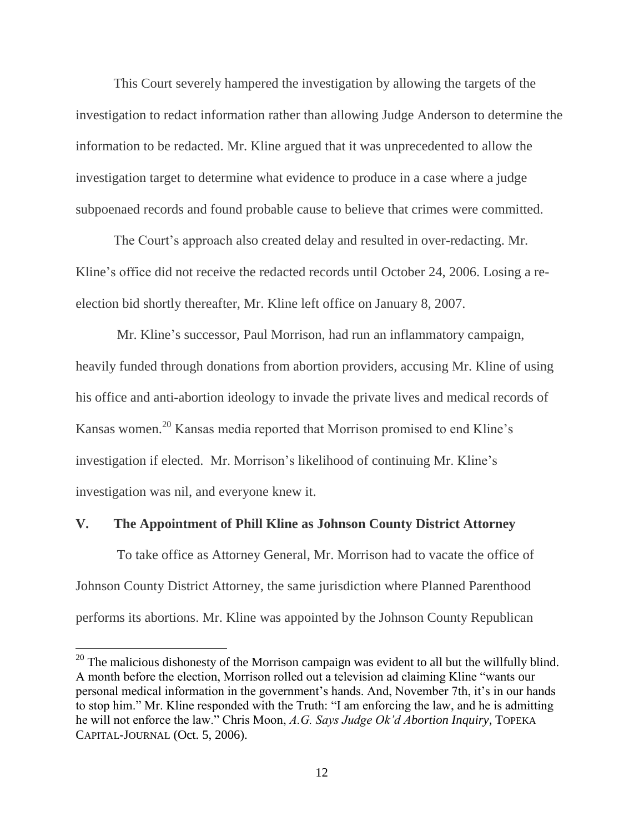This Court severely hampered the investigation by allowing the targets of the investigation to redact information rather than allowing Judge Anderson to determine the information to be redacted. Mr. Kline argued that it was unprecedented to allow the investigation target to determine what evidence to produce in a case where a judge subpoenaed records and found probable cause to believe that crimes were committed.

The Court's approach also created delay and resulted in over-redacting. Mr. Kline's office did not receive the redacted records until October 24, 2006. Losing a reelection bid shortly thereafter, Mr. Kline left office on January 8, 2007.

Mr. Kline's successor, Paul Morrison, had run an inflammatory campaign, heavily funded through donations from abortion providers, accusing Mr. Kline of using his office and anti-abortion ideology to invade the private lives and medical records of Kansas women.<sup>20</sup> Kansas media reported that Morrison promised to end Kline's investigation if elected. Mr. Morrison's likelihood of continuing Mr. Kline's investigation was nil, and everyone knew it.

#### **V. The Appointment of Phill Kline as Johnson County District Attorney**

To take office as Attorney General, Mr. Morrison had to vacate the office of Johnson County District Attorney, the same jurisdiction where Planned Parenthood performs its abortions. Mr. Kline was appointed by the Johnson County Republican

 $20$  The malicious dishonesty of the Morrison campaign was evident to all but the willfully blind. A month before the election, Morrison rolled out a television ad claiming Kline "wants our personal medical information in the government's hands. And, November 7th, it's in our hands to stop him." Mr. Kline responded with the Truth: "I am enforcing the law, and he is admitting he will not enforce the law." Chris Moon, *A.G. Says Judge Ok'd Abortion Inquiry*, TOPEKA CAPITAL-JOURNAL (Oct. 5, 2006).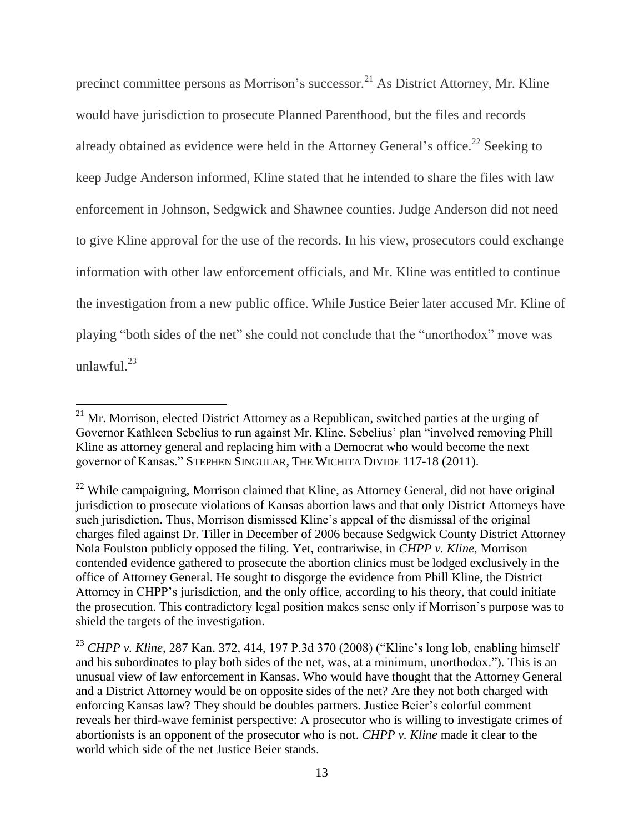precinct committee persons as Morrison's successor.<sup>21</sup> As District Attorney, Mr. Kline would have jurisdiction to prosecute Planned Parenthood, but the files and records already obtained as evidence were held in the Attorney General's office.<sup>22</sup> Seeking to keep Judge Anderson informed, Kline stated that he intended to share the files with law enforcement in Johnson, Sedgwick and Shawnee counties. Judge Anderson did not need to give Kline approval for the use of the records. In his view, prosecutors could exchange information with other law enforcement officials, and Mr. Kline was entitled to continue the investigation from a new public office. While Justice Beier later accused Mr. Kline of playing "both sides of the net" she could not conclude that the "unorthodox" move was unlawful. $^{23}$ 

 $21$  Mr. Morrison, elected District Attorney as a Republican, switched parties at the urging of Governor Kathleen Sebelius to run against Mr. Kline. Sebelius' plan "involved removing Phill Kline as attorney general and replacing him with a Democrat who would become the next governor of Kansas." STEPHEN SINGULAR, THE WICHITA DIVIDE 117-18 (2011).

 $^{22}$  While campaigning, Morrison claimed that Kline, as Attorney General, did not have original jurisdiction to prosecute violations of Kansas abortion laws and that only District Attorneys have such jurisdiction. Thus, Morrison dismissed Kline's appeal of the dismissal of the original charges filed against Dr. Tiller in December of 2006 because Sedgwick County District Attorney Nola Foulston publicly opposed the filing. Yet, contrariwise, in *CHPP v. Kline*, Morrison contended evidence gathered to prosecute the abortion clinics must be lodged exclusively in the office of Attorney General. He sought to disgorge the evidence from Phill Kline, the District Attorney in CHPP's jurisdiction, and the only office, according to his theory, that could initiate the prosecution. This contradictory legal position makes sense only if Morrison's purpose was to shield the targets of the investigation.

<sup>23</sup> *CHPP v. Kline*, 287 Kan. 372, 414, 197 P.3d 370 (2008) ("Kline's long lob, enabling himself and his subordinates to play both sides of the net, was, at a minimum, unorthodox."). This is an unusual view of law enforcement in Kansas. Who would have thought that the Attorney General and a District Attorney would be on opposite sides of the net? Are they not both charged with enforcing Kansas law? They should be doubles partners. Justice Beier's colorful comment reveals her third-wave feminist perspective: A prosecutor who is willing to investigate crimes of abortionists is an opponent of the prosecutor who is not. *CHPP v. Kline* made it clear to the world which side of the net Justice Beier stands.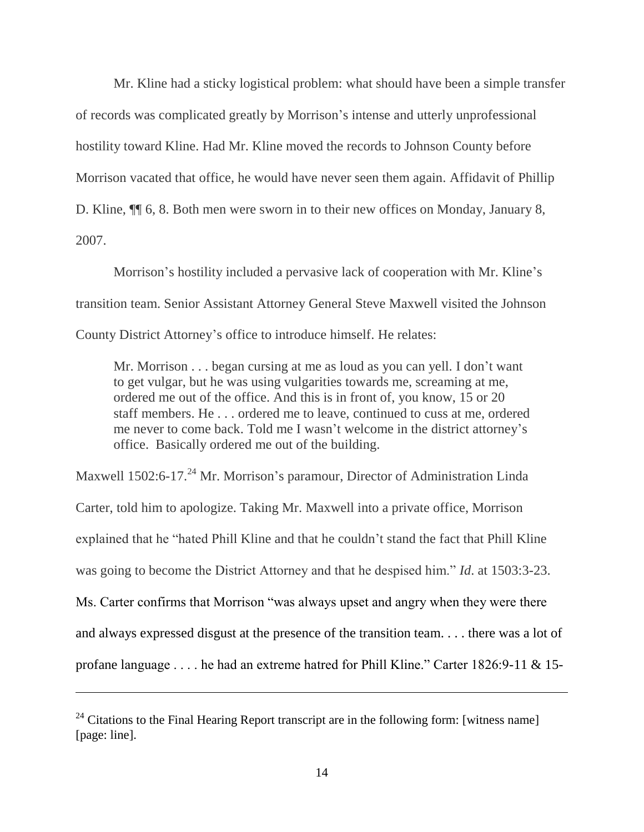Mr. Kline had a sticky logistical problem: what should have been a simple transfer of records was complicated greatly by Morrison's intense and utterly unprofessional hostility toward Kline. Had Mr. Kline moved the records to Johnson County before Morrison vacated that office, he would have never seen them again. Affidavit of Phillip D. Kline, ¶¶ 6, 8. Both men were sworn in to their new offices on Monday, January 8, 2007.

Morrison's hostility included a pervasive lack of cooperation with Mr. Kline's transition team. Senior Assistant Attorney General Steve Maxwell visited the Johnson County District Attorney's office to introduce himself. He relates:

Mr. Morrison . . . began cursing at me as loud as you can yell. I don't want to get vulgar, but he was using vulgarities towards me, screaming at me, ordered me out of the office. And this is in front of, you know, 15 or 20 staff members. He . . . ordered me to leave, continued to cuss at me, ordered me never to come back. Told me I wasn't welcome in the district attorney's office. Basically ordered me out of the building.

Maxwell 1502:6-17.<sup>24</sup> Mr. Morrison's paramour, Director of Administration Linda Carter, told him to apologize. Taking Mr. Maxwell into a private office, Morrison explained that he "hated Phill Kline and that he couldn't stand the fact that Phill Kline was going to become the District Attorney and that he despised him." *Id*. at 1503:3-23. Ms. Carter confirms that Morrison "was always upset and angry when they were there and always expressed disgust at the presence of the transition team. . . . there was a lot of profane language . . . . he had an extreme hatred for Phill Kline." Carter 1826:9-11 & 15-

<sup>&</sup>lt;sup>24</sup> Citations to the Final Hearing Report transcript are in the following form: [witness name] [page: line].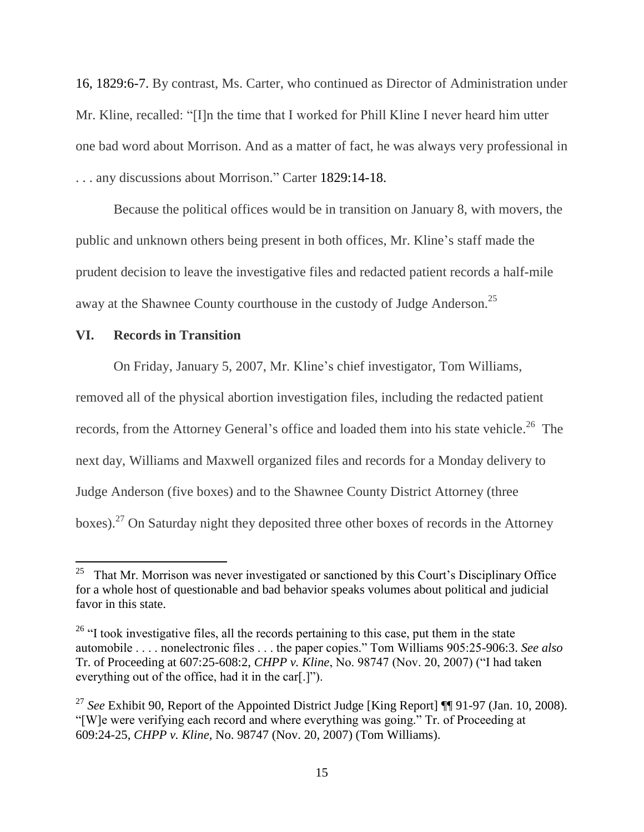16, 1829:6-7. By contrast, Ms. Carter, who continued as Director of Administration under Mr. Kline, recalled: "[I]n the time that I worked for Phill Kline I never heard him utter one bad word about Morrison. And as a matter of fact, he was always very professional in . . . any discussions about Morrison." Carter 1829:14-18.

Because the political offices would be in transition on January 8, with movers, the public and unknown others being present in both offices, Mr. Kline's staff made the prudent decision to leave the investigative files and redacted patient records a half-mile away at the Shawnee County courthouse in the custody of Judge Anderson.<sup>25</sup>

#### **VI. Records in Transition**

On Friday, January 5, 2007, Mr. Kline's chief investigator, Tom Williams,

removed all of the physical abortion investigation files, including the redacted patient records, from the Attorney General's office and loaded them into his state vehicle.<sup>26</sup> The next day, Williams and Maxwell organized files and records for a Monday delivery to Judge Anderson (five boxes) and to the Shawnee County District Attorney (three boxes).<sup>27</sup> On Saturday night they deposited three other boxes of records in the Attorney

 $\frac{1}{25}$  That Mr. Morrison was never investigated or sanctioned by this Court's Disciplinary Office for a whole host of questionable and bad behavior speaks volumes about political and judicial favor in this state.

 $26$  "I took investigative files, all the records pertaining to this case, put them in the state automobile . . . . nonelectronic files . . . the paper copies." Tom Williams 905:25-906:3. *See also* Tr. of Proceeding at 607:25-608:2, *CHPP v. Kline*, No. 98747 (Nov. 20, 2007) ("I had taken everything out of the office, had it in the car[.]").

<sup>&</sup>lt;sup>27</sup> See Exhibit 90, Report of the Appointed District Judge [King Report] **[1]** 91-97 (Jan. 10, 2008). "[W]e were verifying each record and where everything was going." Tr. of Proceeding at 609:24-25, *CHPP v. Kline*, No. 98747 (Nov. 20, 2007) (Tom Williams).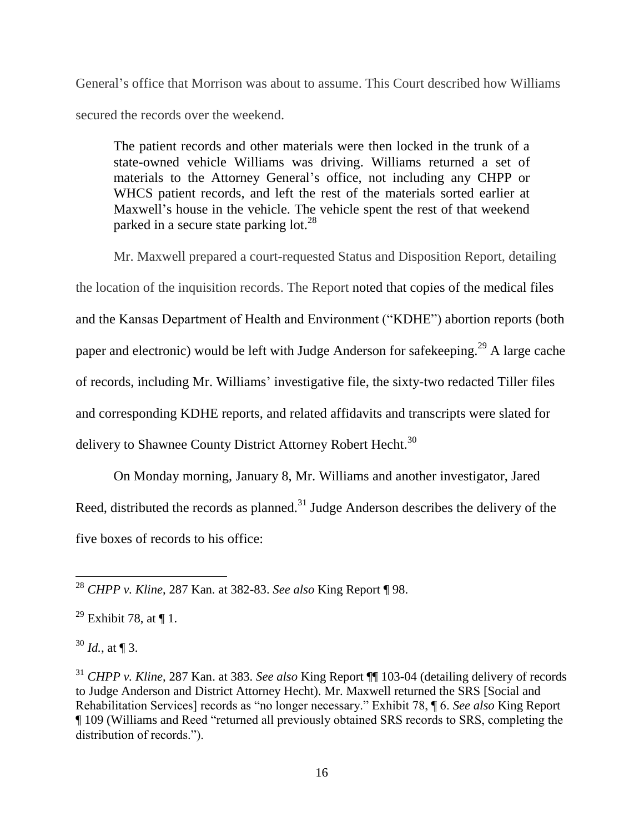General's office that Morrison was about to assume. This Court described how Williams secured the records over the weekend.

The patient records and other materials were then locked in the trunk of a state-owned vehicle Williams was driving. Williams returned a set of materials to the Attorney General's office, not including any CHPP or WHCS patient records, and left the rest of the materials sorted earlier at Maxwell's house in the vehicle. The vehicle spent the rest of that weekend parked in a secure state parking  $10t^{28}$ 

Mr. Maxwell prepared a court-requested Status and Disposition Report, detailing the location of the inquisition records. The Report noted that copies of the medical files and the Kansas Department of Health and Environment ("KDHE") abortion reports (both paper and electronic) would be left with Judge Anderson for safekeeping.<sup>29</sup> A large cache of records, including Mr. Williams' investigative file, the sixty-two redacted Tiller files and corresponding KDHE reports, and related affidavits and transcripts were slated for delivery to Shawnee County District Attorney Robert Hecht.<sup>30</sup>

On Monday morning, January 8, Mr. Williams and another investigator, Jared Reed, distributed the records as planned.<sup>31</sup> Judge Anderson describes the delivery of the five boxes of records to his office:

 $\overline{a}$ <sup>28</sup> *CHPP v. Kline*, 287 Kan*.* at 382-83. *See also* King Report ¶ 98.

<sup>&</sup>lt;sup>29</sup> Exhibit 78, at  $\P$  1.

 $30$  *Id.*, at **[3.**]

<sup>31</sup> *CHPP v. Kline*, 287 Kan. at 383. *See also* King Report ¶¶ 103-04 (detailing delivery of records to Judge Anderson and District Attorney Hecht). Mr. Maxwell returned the SRS [Social and Rehabilitation Services] records as "no longer necessary." Exhibit 78, ¶ 6. *See also* King Report ¶ 109 (Williams and Reed "returned all previously obtained SRS records to SRS, completing the distribution of records.").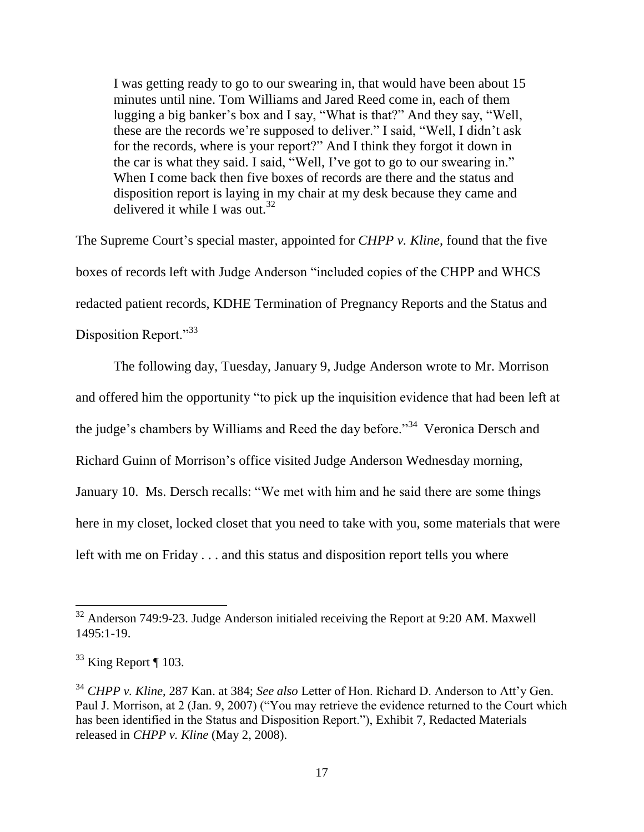I was getting ready to go to our swearing in, that would have been about 15 minutes until nine. Tom Williams and Jared Reed come in, each of them lugging a big banker's box and I say, "What is that?" And they say, "Well, these are the records we're supposed to deliver." I said, "Well, I didn't ask for the records, where is your report?" And I think they forgot it down in the car is what they said. I said, "Well, I've got to go to our swearing in." When I come back then five boxes of records are there and the status and disposition report is laying in my chair at my desk because they came and delivered it while I was out.  $32$ 

The Supreme Court's special master, appointed for *CHPP v. Kline*, found that the five boxes of records left with Judge Anderson "included copies of the CHPP and WHCS redacted patient records, KDHE Termination of Pregnancy Reports and the Status and Disposition Report."<sup>33</sup>

The following day, Tuesday, January 9, Judge Anderson wrote to Mr. Morrison and offered him the opportunity "to pick up the inquisition evidence that had been left at the judge's chambers by Williams and Reed the day before."<sup>34</sup> Veronica Dersch and Richard Guinn of Morrison's office visited Judge Anderson Wednesday morning, January 10. Ms. Dersch recalls: "We met with him and he said there are some things here in my closet, locked closet that you need to take with you, some materials that were left with me on Friday . . . and this status and disposition report tells you where

 $32$  Anderson 749:9-23. Judge Anderson initialed receiving the Report at 9:20 AM. Maxwell 1495:1-19.

 $33$  King Report ¶ 103.

<sup>34</sup> *CHPP v. Kline*, 287 Kan. at 384; *See also* Letter of Hon. Richard D. Anderson to Att'y Gen. Paul J. Morrison, at 2 (Jan. 9, 2007) ("You may retrieve the evidence returned to the Court which has been identified in the Status and Disposition Report."), Exhibit 7, Redacted Materials released in *CHPP v. Kline* (May 2, 2008).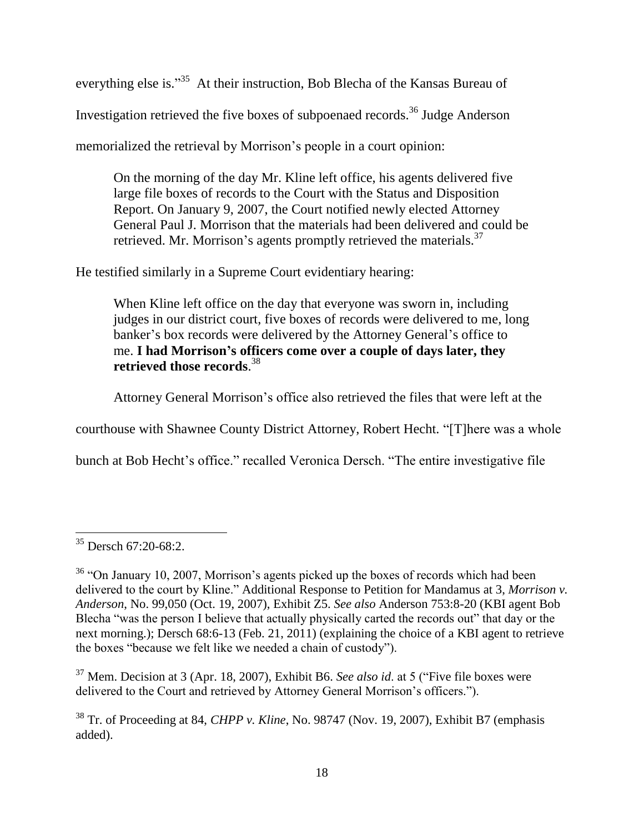everything else is."<sup>35</sup> At their instruction, Bob Blecha of the Kansas Bureau of Investigation retrieved the five boxes of subpoenaed records.<sup>36</sup> Judge Anderson memorialized the retrieval by Morrison's people in a court opinion:

On the morning of the day Mr. Kline left office, his agents delivered five large file boxes of records to the Court with the Status and Disposition Report. On January 9, 2007, the Court notified newly elected Attorney General Paul J. Morrison that the materials had been delivered and could be retrieved. Mr. Morrison's agents promptly retrieved the materials.<sup>37</sup>

He testified similarly in a Supreme Court evidentiary hearing:

When Kline left office on the day that everyone was sworn in, including judges in our district court, five boxes of records were delivered to me, long banker's box records were delivered by the Attorney General's office to me. **I had Morrison's officers come over a couple of days later, they retrieved those records**. 38

Attorney General Morrison's office also retrieved the files that were left at the

courthouse with Shawnee County District Attorney, Robert Hecht. "[T]here was a whole

bunch at Bob Hecht's office." recalled Veronica Dersch. "The entire investigative file

<sup>37</sup> Mem. Decision at 3 (Apr. 18, 2007), Exhibit B6. *See also id*. at 5 ("Five file boxes were delivered to the Court and retrieved by Attorney General Morrison's officers.").

 $\overline{a}$ <sup>35</sup> Dersch 67:20-68:2.

 $36$  "On January 10, 2007, Morrison's agents picked up the boxes of records which had been delivered to the court by Kline." Additional Response to Petition for Mandamus at 3, *Morrison v. Anderson*, No. 99,050 (Oct. 19, 2007), Exhibit Z5. *See also* Anderson 753:8-20 (KBI agent Bob Blecha "was the person I believe that actually physically carted the records out" that day or the next morning.); Dersch 68:6-13 (Feb. 21, 2011) (explaining the choice of a KBI agent to retrieve the boxes "because we felt like we needed a chain of custody").

<sup>38</sup> Tr. of Proceeding at 84, *CHPP v. Kline*, No. 98747 (Nov. 19, 2007), Exhibit B7 (emphasis added).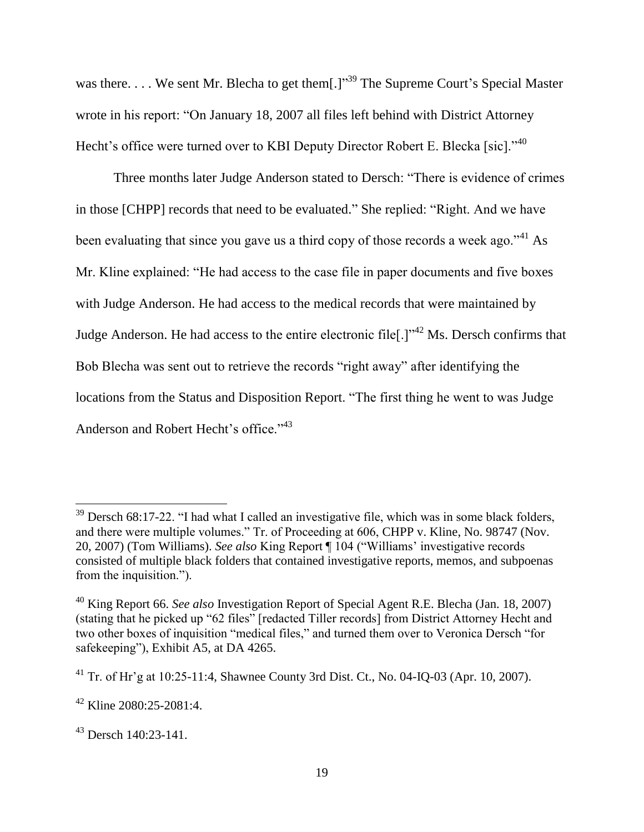was there.... We sent Mr. Blecha to get them[.] $1^{39}$  The Supreme Court's Special Master wrote in his report: "On January 18, 2007 all files left behind with District Attorney Hecht's office were turned over to KBI Deputy Director Robert E. Blecka [sic]."<sup>40</sup>

Three months later Judge Anderson stated to Dersch: "There is evidence of crimes in those [CHPP] records that need to be evaluated." She replied: "Right. And we have been evaluating that since you gave us a third copy of those records a week ago."<sup>41</sup> As Mr. Kline explained: "He had access to the case file in paper documents and five boxes with Judge Anderson. He had access to the medical records that were maintained by Judge Anderson. He had access to the entire electronic file<sup>[.]"<sup>42</sup> Ms. Dersch confirms that</sup> Bob Blecha was sent out to retrieve the records "right away" after identifying the locations from the Status and Disposition Report. "The first thing he went to was Judge Anderson and Robert Hecht's office."<sup>43</sup>

 $39$  Dersch 68:17-22. "I had what I called an investigative file, which was in some black folders, and there were multiple volumes." Tr. of Proceeding at 606, CHPP v. Kline, No. 98747 (Nov. 20, 2007) (Tom Williams). *See also* King Report ¶ 104 ("Williams' investigative records consisted of multiple black folders that contained investigative reports, memos, and subpoenas from the inquisition.").

<sup>40</sup> King Report 66. *See also* Investigation Report of Special Agent R.E. Blecha (Jan. 18, 2007) (stating that he picked up "62 files" [redacted Tiller records] from District Attorney Hecht and two other boxes of inquisition "medical files," and turned them over to Veronica Dersch "for safekeeping"), Exhibit A5, at DA 4265.

<sup>41</sup> Tr. of Hr'g at 10:25-11:4, Shawnee County 3rd Dist. Ct., No. 04-IQ-03 (Apr. 10, 2007).

 $42$  Kline 2080:25-2081:4.

 $43$  Dersch 140:23-141.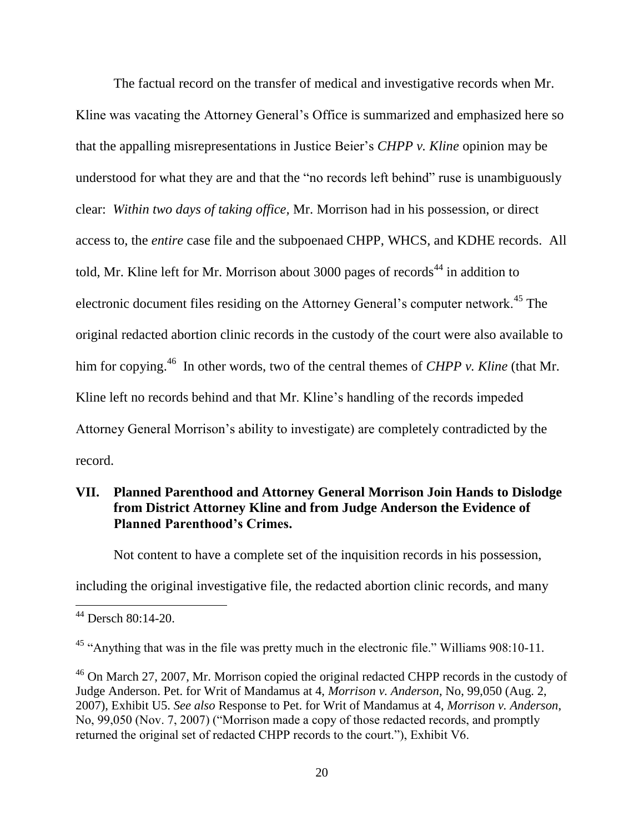The factual record on the transfer of medical and investigative records when Mr. Kline was vacating the Attorney General's Office is summarized and emphasized here so that the appalling misrepresentations in Justice Beier's *CHPP v. Kline* opinion may be understood for what they are and that the "no records left behind" ruse is unambiguously clear: *Within two days of taking office,* Mr. Morrison had in his possession, or direct access to, the *entire* case file and the subpoenaed CHPP, WHCS, and KDHE records. All told, Mr. Kline left for Mr. Morrison about 3000 pages of records<sup>44</sup> in addition to electronic document files residing on the Attorney General's computer network.<sup>45</sup> The original redacted abortion clinic records in the custody of the court were also available to him for copying.<sup>46</sup> In other words, two of the central themes of *CHPP v. Kline* (that Mr. Kline left no records behind and that Mr. Kline's handling of the records impeded Attorney General Morrison's ability to investigate) are completely contradicted by the record.

# **VII. Planned Parenthood and Attorney General Morrison Join Hands to Dislodge from District Attorney Kline and from Judge Anderson the Evidence of Planned Parenthood's Crimes.**

Not content to have a complete set of the inquisition records in his possession,

including the original investigative file, the redacted abortion clinic records, and many

<sup>44</sup> Dersch 80:14-20.

 $45$  "Anything that was in the file was pretty much in the electronic file." Williams  $908:10-11$ .

<sup>&</sup>lt;sup>46</sup> On March 27, 2007, Mr. Morrison copied the original redacted CHPP records in the custody of Judge Anderson. Pet. for Writ of Mandamus at 4, *Morrison v. Anderson*, No, 99,050 (Aug. 2, 2007), Exhibit U5. *See also* Response to Pet. for Writ of Mandamus at 4, *Morrison v. Anderson*, No, 99,050 (Nov. 7, 2007) ("Morrison made a copy of those redacted records, and promptly returned the original set of redacted CHPP records to the court."), Exhibit V6.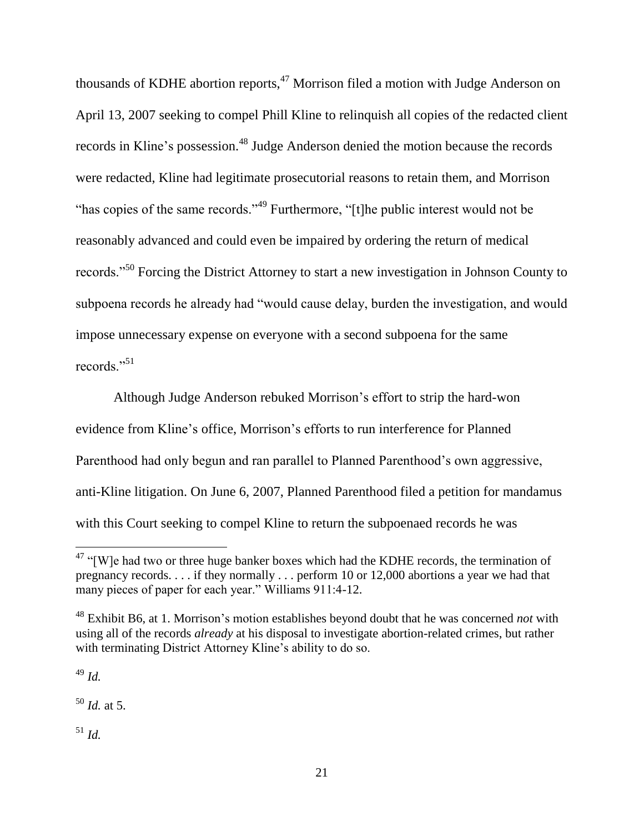thousands of KDHE abortion reports,<sup>47</sup> Morrison filed a motion with Judge Anderson on April 13, 2007 seeking to compel Phill Kline to relinquish all copies of the redacted client records in Kline's possession.<sup>48</sup> Judge Anderson denied the motion because the records were redacted, Kline had legitimate prosecutorial reasons to retain them, and Morrison "has copies of the same records."<sup>49</sup> Furthermore, "[t]he public interest would not be reasonably advanced and could even be impaired by ordering the return of medical records."<sup>50</sup> Forcing the District Attorney to start a new investigation in Johnson County to subpoena records he already had "would cause delay, burden the investigation, and would impose unnecessary expense on everyone with a second subpoena for the same records."<sup>51</sup>

Although Judge Anderson rebuked Morrison's effort to strip the hard-won evidence from Kline's office, Morrison's efforts to run interference for Planned Parenthood had only begun and ran parallel to Planned Parenthood's own aggressive, anti-Kline litigation. On June 6, 2007, Planned Parenthood filed a petition for mandamus with this Court seeking to compel Kline to return the subpoenaed records he was

<sup>49</sup> *Id.*

 $\overline{a}$ 

<sup>50</sup> *Id.* at 5.

<sup>51</sup> *Id.*

 $47$  "[W]e had two or three huge banker boxes which had the KDHE records, the termination of pregnancy records. . . . if they normally . . . perform 10 or 12,000 abortions a year we had that many pieces of paper for each year." Williams 911:4-12.

<sup>48</sup> Exhibit B6, at 1. Morrison's motion establishes beyond doubt that he was concerned *not* with using all of the records *already* at his disposal to investigate abortion-related crimes, but rather with terminating District Attorney Kline's ability to do so.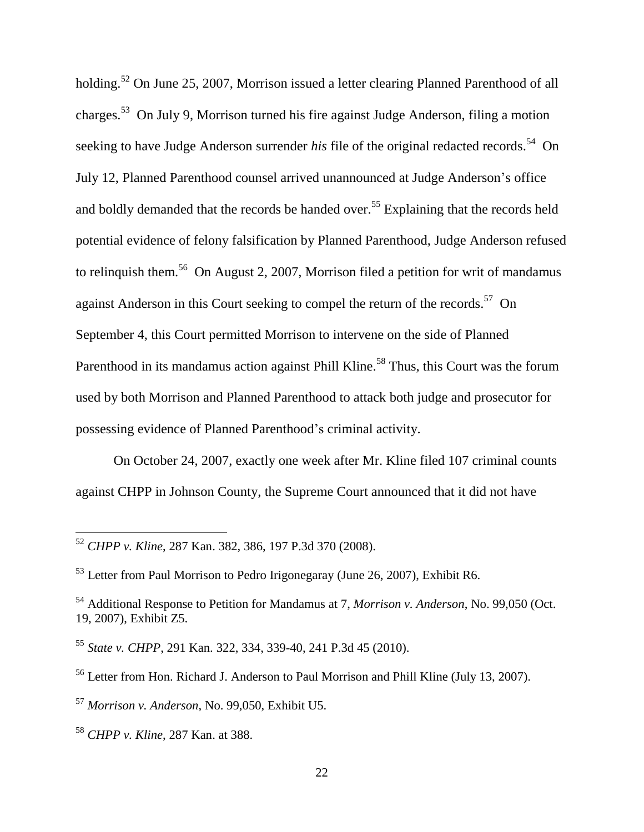holding.<sup>52</sup> On June 25, 2007, Morrison issued a letter clearing Planned Parenthood of all charges.<sup>53</sup> On July 9, Morrison turned his fire against Judge Anderson, filing a motion seeking to have Judge Anderson surrender *his* file of the original redacted records.<sup>54</sup> On July 12, Planned Parenthood counsel arrived unannounced at Judge Anderson's office and boldly demanded that the records be handed over.<sup>55</sup> Explaining that the records held potential evidence of felony falsification by Planned Parenthood, Judge Anderson refused to relinquish them.<sup>56</sup> On August 2, 2007, Morrison filed a petition for writ of mandamus against Anderson in this Court seeking to compel the return of the records.<sup>57</sup> On September 4, this Court permitted Morrison to intervene on the side of Planned Parenthood in its mandamus action against Phill Kline.<sup>58</sup> Thus, this Court was the forum used by both Morrison and Planned Parenthood to attack both judge and prosecutor for possessing evidence of Planned Parenthood's criminal activity.

On October 24, 2007, exactly one week after Mr. Kline filed 107 criminal counts against CHPP in Johnson County, the Supreme Court announced that it did not have

<sup>52</sup> *CHPP v. Kline*, 287 Kan. 382, 386, 197 P.3d 370 (2008).

<sup>53</sup> Letter from Paul Morrison to Pedro Irigonegaray (June 26, 2007), Exhibit R6.

<sup>54</sup> Additional Response to Petition for Mandamus at 7, *Morrison v. Anderson*, No. 99,050 (Oct. 19, 2007), Exhibit Z5.

<sup>55</sup> *State v. CHPP*, 291 Kan. 322, 334, 339-40, 241 P.3d 45 (2010).

<sup>56</sup> Letter from Hon. Richard J. Anderson to Paul Morrison and Phill Kline (July 13, 2007).

<sup>57</sup> *Morrison v. Anderson*, No. 99,050, Exhibit U5.

<sup>58</sup> *CHPP v. Kline*, 287 Kan. at 388.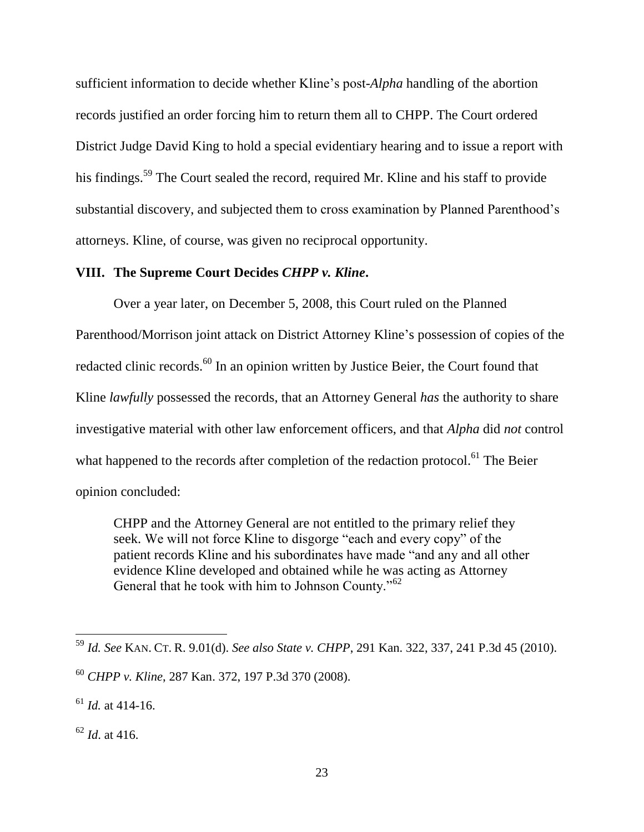sufficient information to decide whether Kline's post-*Alpha* handling of the abortion records justified an order forcing him to return them all to CHPP. The Court ordered District Judge David King to hold a special evidentiary hearing and to issue a report with his findings.<sup>59</sup> The Court sealed the record, required Mr. Kline and his staff to provide substantial discovery, and subjected them to cross examination by Planned Parenthood's attorneys. Kline, of course, was given no reciprocal opportunity.

### **VIII. The Supreme Court Decides** *CHPP v. Kline***.**

Over a year later, on December 5, 2008, this Court ruled on the Planned Parenthood/Morrison joint attack on District Attorney Kline's possession of copies of the redacted clinic records.<sup>60</sup> In an opinion written by Justice Beier, the Court found that Kline *lawfully* possessed the records, that an Attorney General *has* the authority to share investigative material with other law enforcement officers, and that *Alpha* did *not* control what happened to the records after completion of the redaction protocol.<sup>61</sup> The Beier opinion concluded:

CHPP and the Attorney General are not entitled to the primary relief they seek. We will not force Kline to disgorge "each and every copy" of the patient records Kline and his subordinates have made "and any and all other evidence Kline developed and obtained while he was acting as Attorney General that he took with him to Johnson County."<sup>62</sup>

<sup>59</sup> *Id. See* KAN. CT. R. 9.01(d). *See also State v. CHPP*, 291 Kan. 322, 337, 241 P.3d 45 (2010).

<sup>60</sup> *CHPP v. Kline*, 287 Kan. 372, 197 P.3d 370 (2008).

 $^{61}$  *Id.* at 414-16.

 $62$  *Id.* at 416.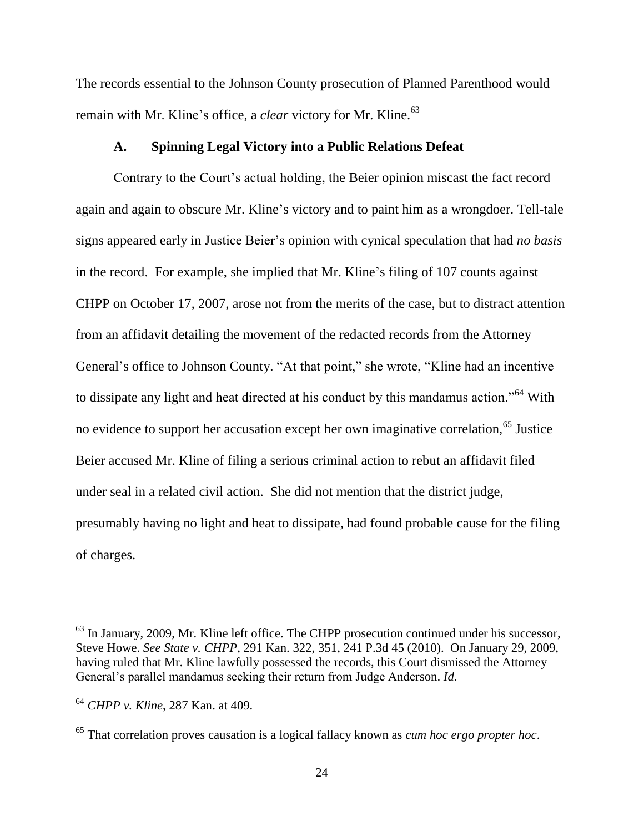The records essential to the Johnson County prosecution of Planned Parenthood would remain with Mr. Kline's office, a *clear* victory for Mr. Kline.<sup>63</sup>

### **A. Spinning Legal Victory into a Public Relations Defeat**

Contrary to the Court's actual holding, the Beier opinion miscast the fact record again and again to obscure Mr. Kline's victory and to paint him as a wrongdoer. Tell-tale signs appeared early in Justice Beier's opinion with cynical speculation that had *no basis* in the record. For example, she implied that Mr. Kline's filing of 107 counts against CHPP on October 17, 2007, arose not from the merits of the case, but to distract attention from an affidavit detailing the movement of the redacted records from the Attorney General's office to Johnson County. "At that point," she wrote, "Kline had an incentive to dissipate any light and heat directed at his conduct by this mandamus action."<sup>64</sup> With no evidence to support her accusation except her own imaginative correlation,<sup>65</sup> Justice Beier accused Mr. Kline of filing a serious criminal action to rebut an affidavit filed under seal in a related civil action. She did not mention that the district judge, presumably having no light and heat to dissipate, had found probable cause for the filing of charges.

 $<sup>63</sup>$  In January, 2009, Mr. Kline left office. The CHPP prosecution continued under his successor,</sup> Steve Howe. *See State v. CHPP*, 291 Kan. 322, 351, 241 P.3d 45 (2010). On January 29, 2009, having ruled that Mr. Kline lawfully possessed the records, this Court dismissed the Attorney General's parallel mandamus seeking their return from Judge Anderson. *Id.*

<sup>64</sup> *CHPP v. Kline*, 287 Kan. at 409.

<sup>65</sup> That correlation proves causation is a logical fallacy known as *cum hoc ergo propter hoc*.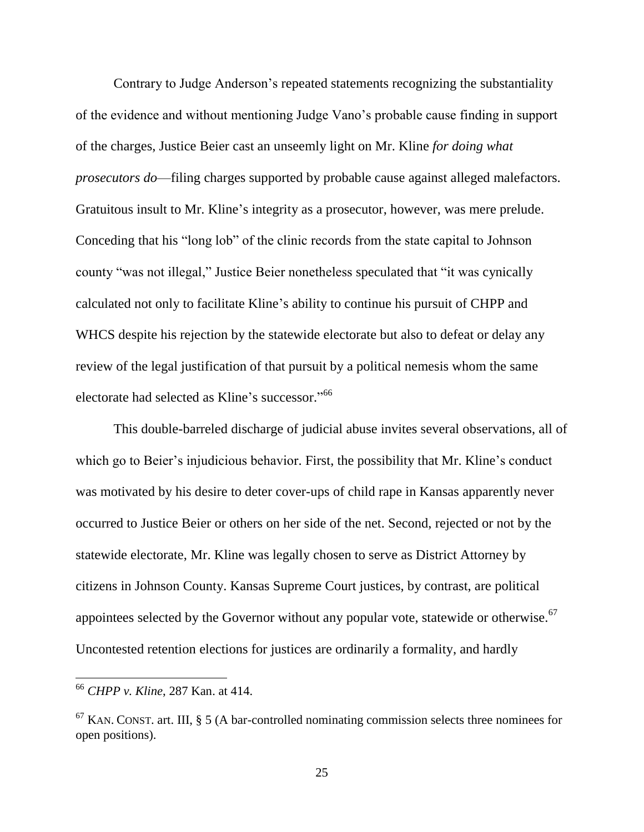Contrary to Judge Anderson's repeated statements recognizing the substantiality of the evidence and without mentioning Judge Vano's probable cause finding in support of the charges, Justice Beier cast an unseemly light on Mr. Kline *for doing what prosecutors do*—filing charges supported by probable cause against alleged malefactors. Gratuitous insult to Mr. Kline's integrity as a prosecutor, however, was mere prelude. Conceding that his "long lob" of the clinic records from the state capital to Johnson county "was not illegal," Justice Beier nonetheless speculated that "it was cynically calculated not only to facilitate Kline's ability to continue his pursuit of CHPP and WHCS despite his rejection by the statewide electorate but also to defeat or delay any review of the legal justification of that pursuit by a political nemesis whom the same electorate had selected as Kline's successor."<sup>66</sup>

This double-barreled discharge of judicial abuse invites several observations, all of which go to Beier's injudicious behavior. First, the possibility that Mr. Kline's conduct was motivated by his desire to deter cover-ups of child rape in Kansas apparently never occurred to Justice Beier or others on her side of the net. Second, rejected or not by the statewide electorate, Mr. Kline was legally chosen to serve as District Attorney by citizens in Johnson County. Kansas Supreme Court justices, by contrast, are political appointees selected by the Governor without any popular vote, statewide or otherwise.<sup>67</sup> Uncontested retention elections for justices are ordinarily a formality, and hardly

<sup>66</sup> *CHPP v. Kline*, 287 Kan. at 414.

 $67$  KAN. CONST. art. III, § 5 (A bar-controlled nominating commission selects three nominees for open positions).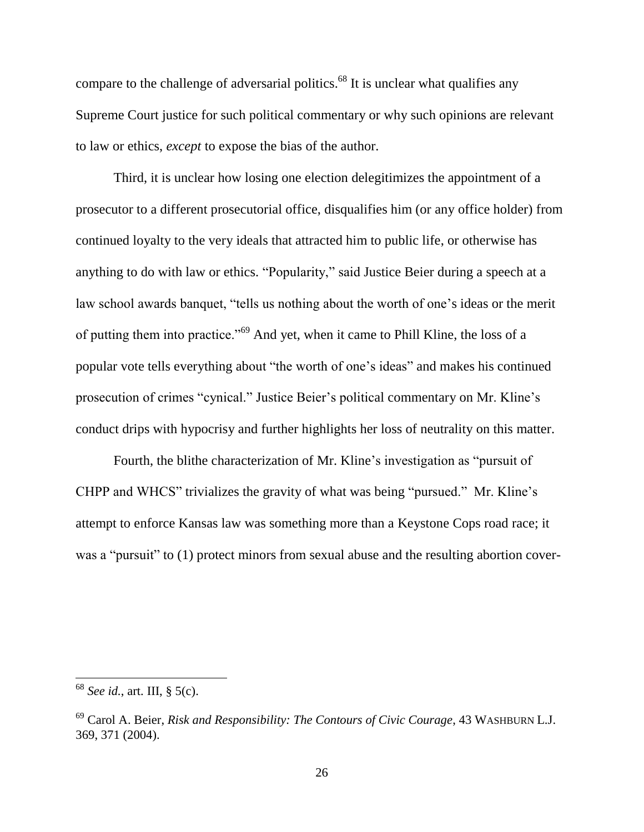compare to the challenge of adversarial politics.<sup>68</sup> It is unclear what qualifies any Supreme Court justice for such political commentary or why such opinions are relevant to law or ethics, *except* to expose the bias of the author.

Third, it is unclear how losing one election delegitimizes the appointment of a prosecutor to a different prosecutorial office, disqualifies him (or any office holder) from continued loyalty to the very ideals that attracted him to public life, or otherwise has anything to do with law or ethics. "Popularity," said Justice Beier during a speech at a law school awards banquet, "tells us nothing about the worth of one's ideas or the merit of putting them into practice."<sup>69</sup> And yet, when it came to Phill Kline, the loss of a popular vote tells everything about "the worth of one's ideas" and makes his continued prosecution of crimes "cynical." Justice Beier's political commentary on Mr. Kline's conduct drips with hypocrisy and further highlights her loss of neutrality on this matter.

Fourth, the blithe characterization of Mr. Kline's investigation as "pursuit of CHPP and WHCS" trivializes the gravity of what was being "pursued." Mr. Kline's attempt to enforce Kansas law was something more than a Keystone Cops road race; it was a "pursuit" to (1) protect minors from sexual abuse and the resulting abortion cover-

<sup>68</sup> *See id.*, art. III, § 5(c).

<sup>69</sup> Carol A. Beier, *Risk and Responsibility: The Contours of Civic Courage*, 43 WASHBURN L.J. 369, 371 (2004).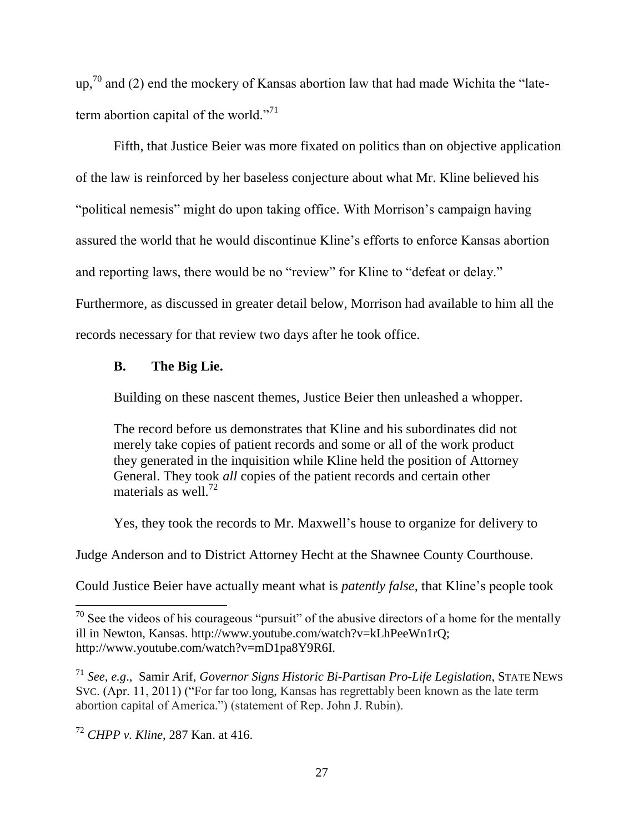up,<sup>70</sup> and (2) end the mockery of Kansas abortion law that had made Wichita the "lateterm abortion capital of the world."<sup>71</sup>

Fifth, that Justice Beier was more fixated on politics than on objective application of the law is reinforced by her baseless conjecture about what Mr. Kline believed his "political nemesis" might do upon taking office. With Morrison's campaign having assured the world that he would discontinue Kline's efforts to enforce Kansas abortion and reporting laws, there would be no "review" for Kline to "defeat or delay." Furthermore, as discussed in greater detail below, Morrison had available to him all the records necessary for that review two days after he took office.

### **B. The Big Lie.**

Building on these nascent themes, Justice Beier then unleashed a whopper.

The record before us demonstrates that Kline and his subordinates did not merely take copies of patient records and some or all of the work product they generated in the inquisition while Kline held the position of Attorney General. They took *all* copies of the patient records and certain other materials as well. $72$ 

Yes, they took the records to Mr. Maxwell's house to organize for delivery to

Judge Anderson and to District Attorney Hecht at the Shawnee County Courthouse.

Could Justice Beier have actually meant what is *patently false*, that Kline's people took

 $70$  See the videos of his courageous "pursuit" of the abusive directors of a home for the mentally ill in Newton, Kansas. http://www.youtube.com/watch?v=kLhPeeWn1rQ; http://www.youtube.com/watch?v=mD1pa8Y9R6I.

<sup>71</sup> *See, e.g*., Samir Arif, *Governor Signs Historic Bi-Partisan Pro-Life Legislation*, STATE NEWS SVC. (Apr. 11, 2011) ("For far too long, Kansas has regrettably been known as the late term abortion capital of America.") (statement of Rep. John J. Rubin).

<sup>72</sup> *CHPP v. Kline*, 287 Kan. at 416.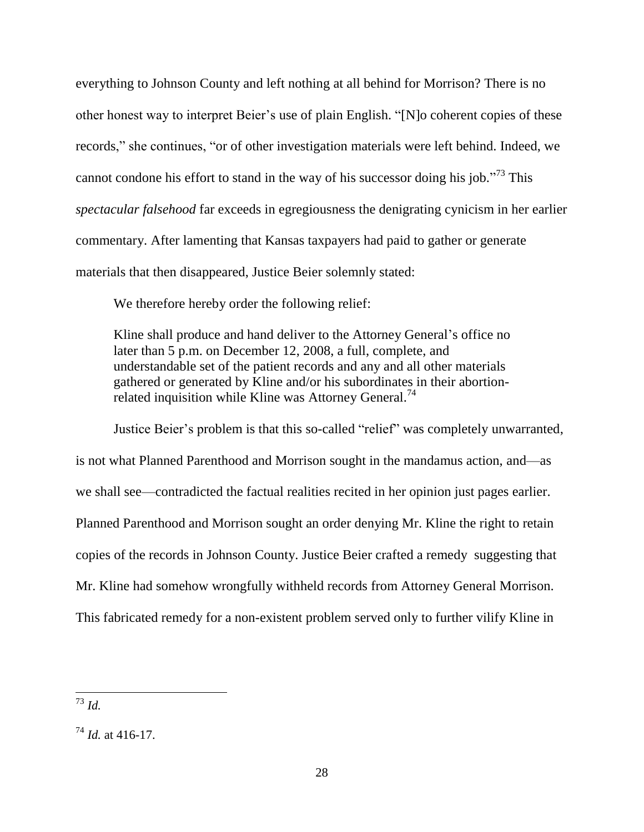everything to Johnson County and left nothing at all behind for Morrison? There is no other honest way to interpret Beier's use of plain English. "[N]o coherent copies of these records," she continues, "or of other investigation materials were left behind. Indeed, we cannot condone his effort to stand in the way of his successor doing his job."<sup>73</sup> This *spectacular falsehood* far exceeds in egregiousness the denigrating cynicism in her earlier commentary. After lamenting that Kansas taxpayers had paid to gather or generate materials that then disappeared, Justice Beier solemnly stated:

We therefore hereby order the following relief:

Kline shall produce and hand deliver to the Attorney General's office no later than 5 p.m. on December 12, 2008, a full, complete, and understandable set of the patient records and any and all other materials gathered or generated by Kline and/or his subordinates in their abortionrelated inquisition while Kline was Attorney General.<sup>74</sup>

Justice Beier's problem is that this so-called "relief" was completely unwarranted, is not what Planned Parenthood and Morrison sought in the mandamus action, and—as we shall see—contradicted the factual realities recited in her opinion just pages earlier. Planned Parenthood and Morrison sought an order denying Mr. Kline the right to retain copies of the records in Johnson County. Justice Beier crafted a remedy suggesting that Mr. Kline had somehow wrongfully withheld records from Attorney General Morrison. This fabricated remedy for a non-existent problem served only to further vilify Kline in

 $\overline{a}$ <sup>73</sup> *Id.*

 $^{74}$  *Id.* at 416-17.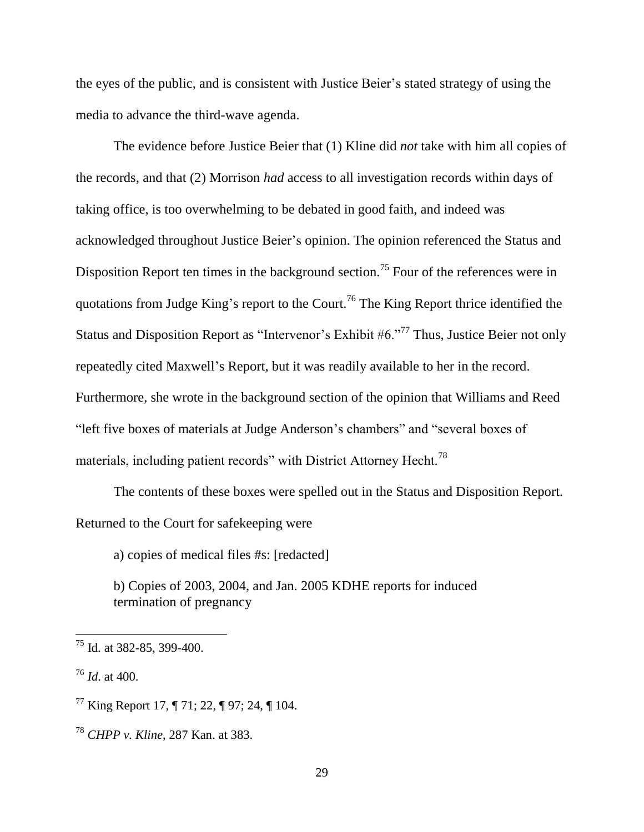the eyes of the public, and is consistent with Justice Beier's stated strategy of using the media to advance the third-wave agenda.

The evidence before Justice Beier that (1) Kline did *not* take with him all copies of the records, and that (2) Morrison *had* access to all investigation records within days of taking office, is too overwhelming to be debated in good faith, and indeed was acknowledged throughout Justice Beier's opinion. The opinion referenced the Status and Disposition Report ten times in the background section.<sup>75</sup> Four of the references were in quotations from Judge King's report to the Court.<sup>76</sup> The King Report thrice identified the Status and Disposition Report as "Intervenor's Exhibit  $#6.$ "<sup>77</sup> Thus, Justice Beier not only repeatedly cited Maxwell's Report, but it was readily available to her in the record. Furthermore, she wrote in the background section of the opinion that Williams and Reed "left five boxes of materials at Judge Anderson's chambers" and "several boxes of materials, including patient records" with District Attorney Hecht.<sup>78</sup>

The contents of these boxes were spelled out in the Status and Disposition Report. Returned to the Court for safekeeping were

a) copies of medical files #s: [redacted]

b) Copies of 2003, 2004, and Jan. 2005 KDHE reports for induced termination of pregnancy

 $^{75}$  Id. at 382-85, 399-400.

<sup>76</sup> *Id*. at 400.

 $^{77}$  King Report 17, ¶ 71; 22, ¶ 97; 24, ¶ 104.

<sup>78</sup> *CHPP v. Kline*, 287 Kan. at 383.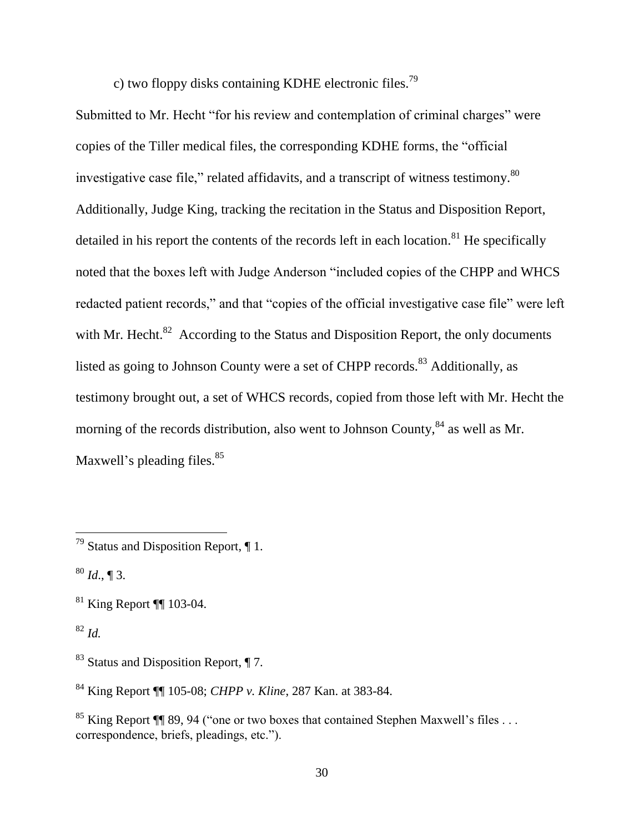c) two floppy disks containing KDHE electronic files.<sup>79</sup>

Submitted to Mr. Hecht "for his review and contemplation of criminal charges" were copies of the Tiller medical files, the corresponding KDHE forms, the "official investigative case file," related affidavits, and a transcript of witness testimony.<sup>80</sup> Additionally, Judge King, tracking the recitation in the Status and Disposition Report, detailed in his report the contents of the records left in each location.<sup>81</sup> He specifically noted that the boxes left with Judge Anderson "included copies of the CHPP and WHCS redacted patient records," and that "copies of the official investigative case file" were left with Mr. Hecht. $82$  According to the Status and Disposition Report, the only documents listed as going to Johnson County were a set of CHPP records.<sup>83</sup> Additionally, as testimony brought out, a set of WHCS records, copied from those left with Mr. Hecht the morning of the records distribution, also went to Johnson County, <sup>84</sup> as well as Mr. Maxwell's pleading files.<sup>85</sup>

 $\overline{a}$ 

<sup>84</sup> King Report ¶¶ 105-08; *CHPP v. Kline*, 287 Kan. at 383-84.

<sup>&</sup>lt;sup>79</sup> Status and Disposition Report,  $\P$  1.

 $80$  *Id.*, ¶ 3.

 $81$  King Report ¶ 103-04.

<sup>82</sup> *Id.*

<sup>83</sup> Status and Disposition Report, ¶ 7.

<sup>&</sup>lt;sup>85</sup> King Report ¶ 89, 94 ("one or two boxes that contained Stephen Maxwell's files ... correspondence, briefs, pleadings, etc.").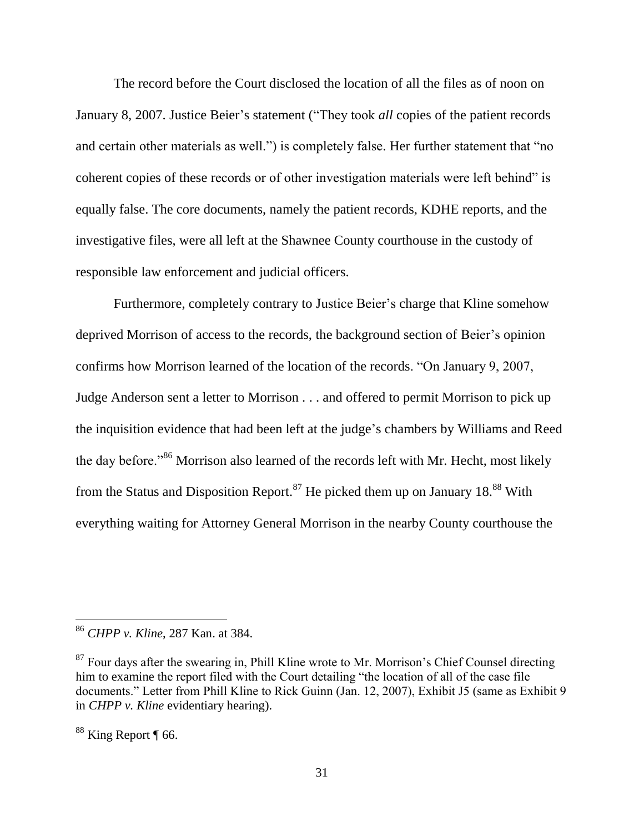The record before the Court disclosed the location of all the files as of noon on January 8, 2007. Justice Beier's statement ("They took *all* copies of the patient records and certain other materials as well.") is completely false. Her further statement that "no coherent copies of these records or of other investigation materials were left behind" is equally false. The core documents, namely the patient records, KDHE reports, and the investigative files, were all left at the Shawnee County courthouse in the custody of responsible law enforcement and judicial officers.

Furthermore, completely contrary to Justice Beier's charge that Kline somehow deprived Morrison of access to the records, the background section of Beier's opinion confirms how Morrison learned of the location of the records. "On January 9, 2007, Judge Anderson sent a letter to Morrison . . . and offered to permit Morrison to pick up the inquisition evidence that had been left at the judge's chambers by Williams and Reed the day before."<sup>86</sup> Morrison also learned of the records left with Mr. Hecht, most likely from the Status and Disposition Report.<sup>87</sup> He picked them up on January 18.<sup>88</sup> With everything waiting for Attorney General Morrison in the nearby County courthouse the

<sup>86</sup> *CHPP v. Kline*, 287 Kan. at 384.

 $87$  Four days after the swearing in, Phill Kline wrote to Mr. Morrison's Chief Counsel directing him to examine the report filed with the Court detailing "the location of all of the case file documents." Letter from Phill Kline to Rick Guinn (Jan. 12, 2007), Exhibit J5 (same as Exhibit 9 in *CHPP v. Kline* evidentiary hearing).

<sup>&</sup>lt;sup>88</sup> King Report ¶ 66.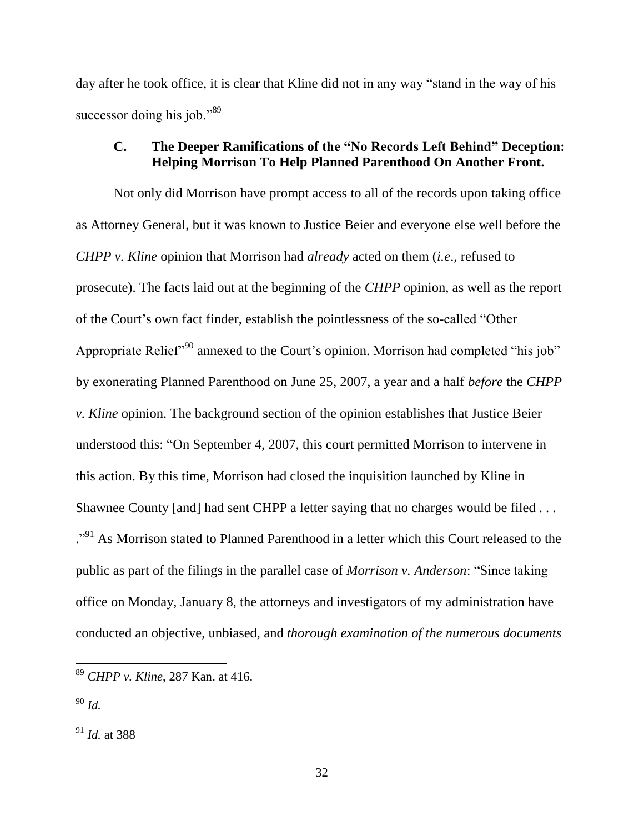day after he took office, it is clear that Kline did not in any way "stand in the way of his successor doing his job."<sup>89</sup>

# **C. The Deeper Ramifications of the "No Records Left Behind" Deception: Helping Morrison To Help Planned Parenthood On Another Front.**

Not only did Morrison have prompt access to all of the records upon taking office as Attorney General, but it was known to Justice Beier and everyone else well before the *CHPP v. Kline* opinion that Morrison had *already* acted on them (*i.e*., refused to prosecute). The facts laid out at the beginning of the *CHPP* opinion, as well as the report of the Court's own fact finder, establish the pointlessness of the so-called "Other Appropriate Relief<sup>"90</sup> annexed to the Court's opinion. Morrison had completed "his job" by exonerating Planned Parenthood on June 25, 2007, a year and a half *before* the *CHPP v. Kline* opinion. The background section of the opinion establishes that Justice Beier understood this: "On September 4, 2007, this court permitted Morrison to intervene in this action. By this time, Morrison had closed the inquisition launched by Kline in Shawnee County [and] had sent CHPP a letter saying that no charges would be filed . . . <sup>..91</sup> As Morrison stated to Planned Parenthood in a letter which this Court released to the public as part of the filings in the parallel case of *Morrison v. Anderson*: "Since taking office on Monday, January 8, the attorneys and investigators of my administration have conducted an objective, unbiased, and *thorough examination of the numerous documents* 

<sup>90</sup> *Id.*

 $\overline{a}$ 

<sup>91</sup> *Id.* at 388

<sup>89</sup> *CHPP v. Kline*, 287 Kan. at 416.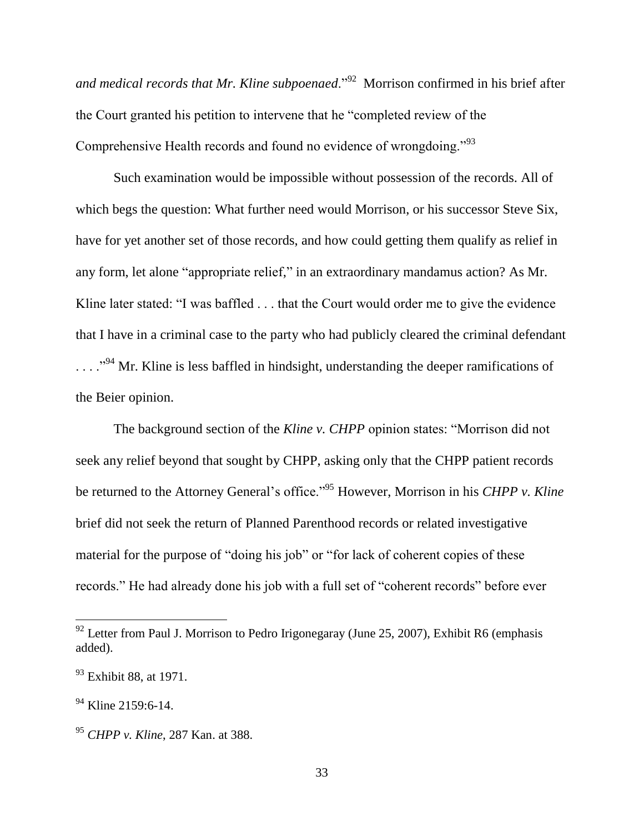and medical records that Mr. Kline subpoenaed.<sup>"92</sup> Morrison confirmed in his brief after the Court granted his petition to intervene that he "completed review of the Comprehensive Health records and found no evidence of wrongdoing."<sup>93</sup>

Such examination would be impossible without possession of the records. All of which begs the question: What further need would Morrison, or his successor Steve Six, have for yet another set of those records, and how could getting them qualify as relief in any form, let alone "appropriate relief," in an extraordinary mandamus action? As Mr. Kline later stated: "I was baffled . . . that the Court would order me to give the evidence that I have in a criminal case to the party who had publicly cleared the criminal defendant  $\ldots$  <sup>..., 94</sup> Mr. Kline is less baffled in hindsight, understanding the deeper ramifications of the Beier opinion.

The background section of the *Kline v. CHPP* opinion states: "Morrison did not seek any relief beyond that sought by CHPP, asking only that the CHPP patient records be returned to the Attorney General's office."<sup>95</sup> However, Morrison in his *CHPP v. Kline* brief did not seek the return of Planned Parenthood records or related investigative material for the purpose of "doing his job" or "for lack of coherent copies of these records." He had already done his job with a full set of "coherent records" before ever

 $92$  Letter from Paul J. Morrison to Pedro Irigonegaray (June 25, 2007), Exhibit R6 (emphasis added).

<sup>&</sup>lt;sup>93</sup> Exhibit 88, at 1971.

 $^{94}$  Kline 2159:6-14.

<sup>95</sup> *CHPP v. Kline*, 287 Kan. at 388.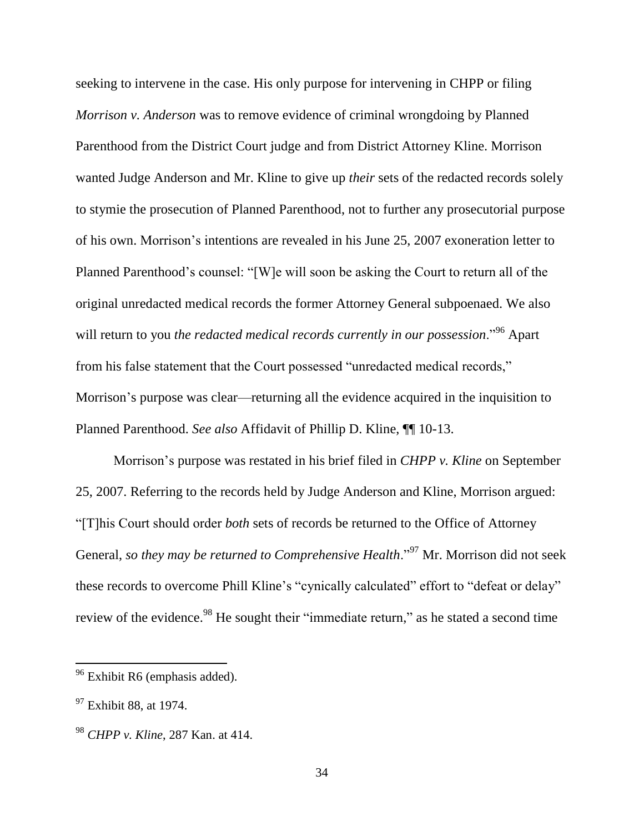seeking to intervene in the case. His only purpose for intervening in CHPP or filing *Morrison v. Anderson* was to remove evidence of criminal wrongdoing by Planned Parenthood from the District Court judge and from District Attorney Kline. Morrison wanted Judge Anderson and Mr. Kline to give up *their* sets of the redacted records solely to stymie the prosecution of Planned Parenthood, not to further any prosecutorial purpose of his own. Morrison's intentions are revealed in his June 25, 2007 exoneration letter to Planned Parenthood's counsel: "[W]e will soon be asking the Court to return all of the original unredacted medical records the former Attorney General subpoenaed. We also will return to you *the redacted medical records currently in our possession*."<sup>96</sup> Apart from his false statement that the Court possessed "unredacted medical records," Morrison's purpose was clear—returning all the evidence acquired in the inquisition to Planned Parenthood. *See also* Affidavit of Phillip D. Kline, ¶¶ 10-13.

Morrison's purpose was restated in his brief filed in *CHPP v. Kline* on September 25, 2007. Referring to the records held by Judge Anderson and Kline, Morrison argued: "[T]his Court should order *both* sets of records be returned to the Office of Attorney General, *so they may be returned to Comprehensive Health*."<sup>97</sup> Mr. Morrison did not seek these records to overcome Phill Kline's "cynically calculated" effort to "defeat or delay" review of the evidence.<sup>98</sup> He sought their "immediate return," as he stated a second time

<sup>&</sup>lt;sup>96</sup> Exhibit R6 (emphasis added).

 $97$  Exhibit 88, at 1974.

<sup>98</sup> *CHPP v. Kline*, 287 Kan. at 414.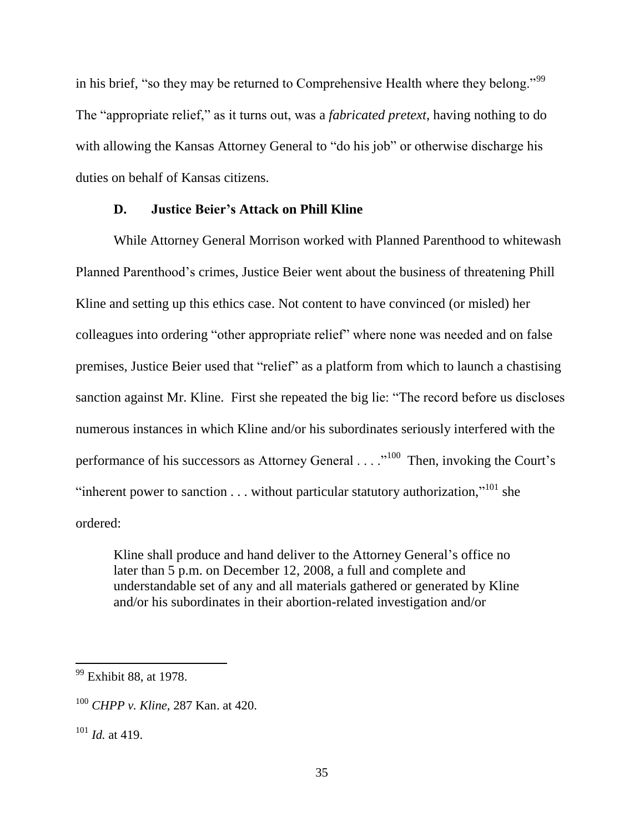in his brief, "so they may be returned to Comprehensive Health where they belong."<sup>99</sup> The "appropriate relief," as it turns out, was a *fabricated pretext*, having nothing to do with allowing the Kansas Attorney General to "do his job" or otherwise discharge his duties on behalf of Kansas citizens.

### **D. Justice Beier's Attack on Phill Kline**

While Attorney General Morrison worked with Planned Parenthood to whitewash Planned Parenthood's crimes, Justice Beier went about the business of threatening Phill Kline and setting up this ethics case. Not content to have convinced (or misled) her colleagues into ordering "other appropriate relief" where none was needed and on false premises, Justice Beier used that "relief" as a platform from which to launch a chastising sanction against Mr. Kline. First she repeated the big lie: "The record before us discloses numerous instances in which Kline and/or his subordinates seriously interfered with the performance of his successors as Attorney General . . . .<sup>100</sup> Then, invoking the Court's "inherent power to sanction  $\dots$  without particular statutory authorization,"<sup>101</sup> she ordered:

Kline shall produce and hand deliver to the Attorney General's office no later than 5 p.m. on December 12, 2008, a full and complete and understandable set of any and all materials gathered or generated by Kline and/or his subordinates in their abortion-related investigation and/or

<sup>&</sup>lt;sup>99</sup> Exhibit 88, at 1978.

<sup>100</sup> *CHPP v. Kline*, 287 Kan. at 420.

<sup>101</sup> *Id.* at 419.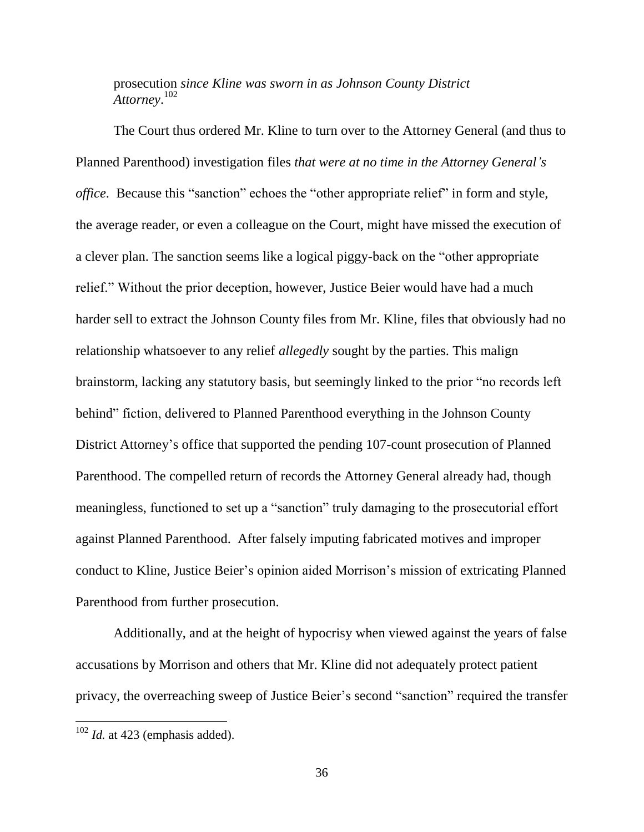prosecution *since Kline was sworn in as Johnson County District Attorney*. 102

The Court thus ordered Mr. Kline to turn over to the Attorney General (and thus to Planned Parenthood) investigation files *that were at no time in the Attorney General's office*. Because this "sanction" echoes the "other appropriate relief" in form and style, the average reader, or even a colleague on the Court, might have missed the execution of a clever plan. The sanction seems like a logical piggy-back on the "other appropriate relief." Without the prior deception, however, Justice Beier would have had a much harder sell to extract the Johnson County files from Mr. Kline, files that obviously had no relationship whatsoever to any relief *allegedly* sought by the parties. This malign brainstorm, lacking any statutory basis, but seemingly linked to the prior "no records left behind" fiction, delivered to Planned Parenthood everything in the Johnson County District Attorney's office that supported the pending 107-count prosecution of Planned Parenthood. The compelled return of records the Attorney General already had, though meaningless, functioned to set up a "sanction" truly damaging to the prosecutorial effort against Planned Parenthood. After falsely imputing fabricated motives and improper conduct to Kline, Justice Beier's opinion aided Morrison's mission of extricating Planned Parenthood from further prosecution.

Additionally, and at the height of hypocrisy when viewed against the years of false accusations by Morrison and others that Mr. Kline did not adequately protect patient privacy, the overreaching sweep of Justice Beier's second "sanction" required the transfer

 $102$  *Id.* at 423 (emphasis added).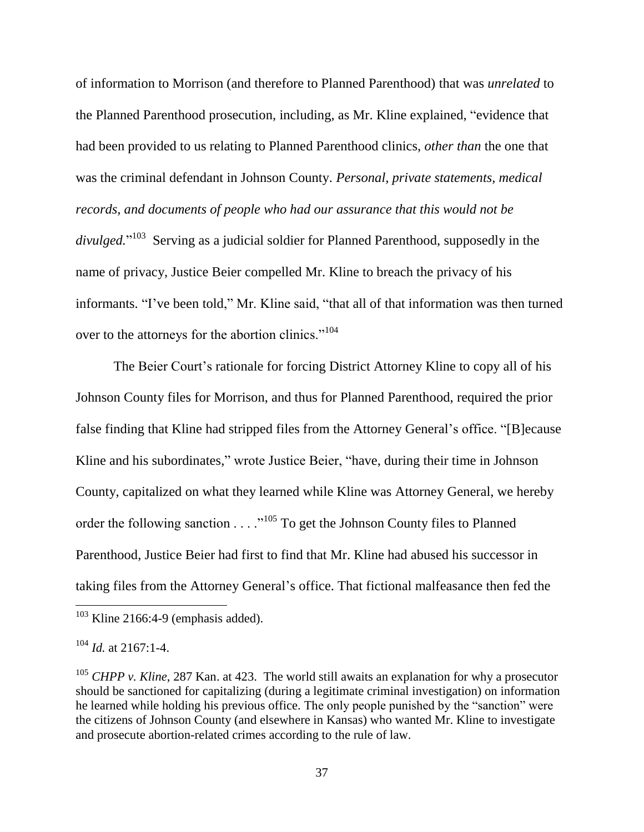of information to Morrison (and therefore to Planned Parenthood) that was *unrelated* to the Planned Parenthood prosecution, including, as Mr. Kline explained, "evidence that had been provided to us relating to Planned Parenthood clinics, *other than* the one that was the criminal defendant in Johnson County. *Personal, private statements, medical records, and documents of people who had our assurance that this would not be divulged.*" <sup>103</sup> Serving as a judicial soldier for Planned Parenthood, supposedly in the name of privacy, Justice Beier compelled Mr. Kline to breach the privacy of his informants. "I've been told," Mr. Kline said, "that all of that information was then turned over to the attorneys for the abortion clinics."<sup>104</sup>

The Beier Court's rationale for forcing District Attorney Kline to copy all of his Johnson County files for Morrison, and thus for Planned Parenthood, required the prior false finding that Kline had stripped files from the Attorney General's office. "[B]ecause Kline and his subordinates," wrote Justice Beier, "have, during their time in Johnson County, capitalized on what they learned while Kline was Attorney General, we hereby order the following sanction . . . . "<sup>105</sup> To get the Johnson County files to Planned Parenthood, Justice Beier had first to find that Mr. Kline had abused his successor in taking files from the Attorney General's office. That fictional malfeasance then fed the

 $\overline{a}$ 

 $103$  Kline 2166:4-9 (emphasis added).

 $104$  *Id.* at 2167:1-4.

<sup>&</sup>lt;sup>105</sup> *CHPP v. Kline*, 287 Kan. at 423. The world still awaits an explanation for why a prosecutor should be sanctioned for capitalizing (during a legitimate criminal investigation) on information he learned while holding his previous office. The only people punished by the "sanction" were the citizens of Johnson County (and elsewhere in Kansas) who wanted Mr. Kline to investigate and prosecute abortion-related crimes according to the rule of law.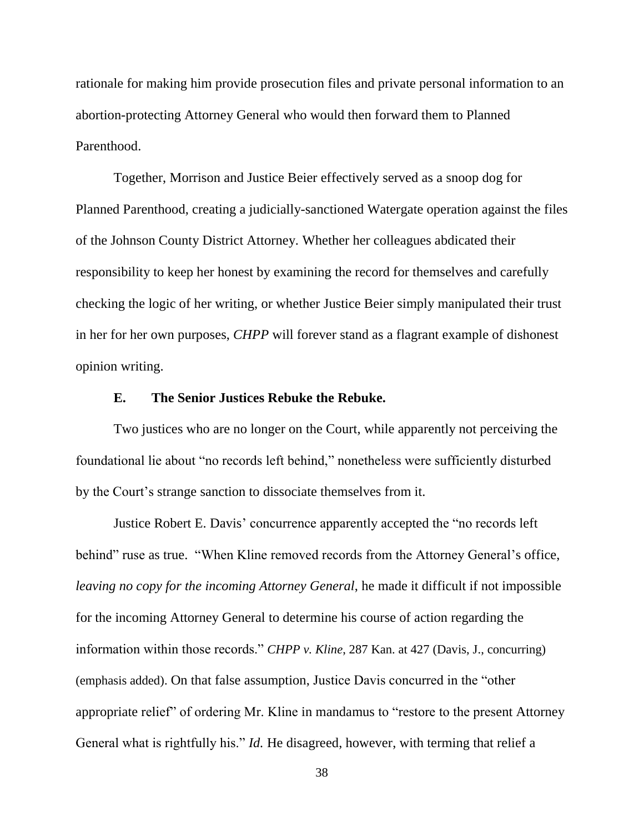rationale for making him provide prosecution files and private personal information to an abortion-protecting Attorney General who would then forward them to Planned Parenthood.

Together, Morrison and Justice Beier effectively served as a snoop dog for Planned Parenthood, creating a judicially-sanctioned Watergate operation against the files of the Johnson County District Attorney. Whether her colleagues abdicated their responsibility to keep her honest by examining the record for themselves and carefully checking the logic of her writing, or whether Justice Beier simply manipulated their trust in her for her own purposes, *CHPP* will forever stand as a flagrant example of dishonest opinion writing.

#### **E. The Senior Justices Rebuke the Rebuke.**

Two justices who are no longer on the Court, while apparently not perceiving the foundational lie about "no records left behind," nonetheless were sufficiently disturbed by the Court's strange sanction to dissociate themselves from it.

Justice Robert E. Davis' concurrence apparently accepted the "no records left behind" ruse as true. "When Kline removed records from the Attorney General's office, *leaving no copy for the incoming Attorney General*, he made it difficult if not impossible for the incoming Attorney General to determine his course of action regarding the information within those records." *CHPP v. Kline*, 287 Kan. at 427 (Davis, J., concurring) (emphasis added). On that false assumption, Justice Davis concurred in the "other appropriate relief" of ordering Mr. Kline in mandamus to "restore to the present Attorney General what is rightfully his." *Id.* He disagreed, however, with terming that relief a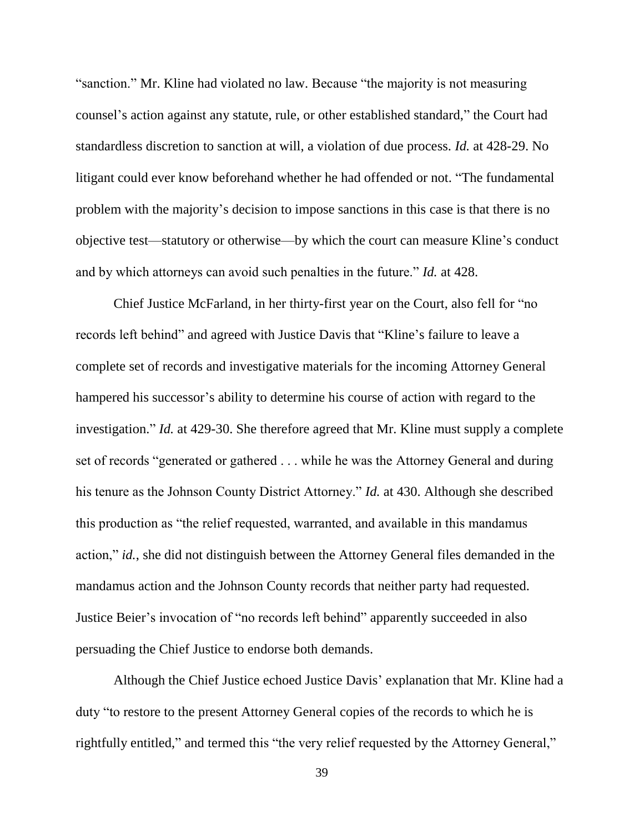"sanction." Mr. Kline had violated no law. Because "the majority is not measuring counsel's action against any statute, rule, or other established standard," the Court had standardless discretion to sanction at will, a violation of due process. *Id.* at 428-29. No litigant could ever know beforehand whether he had offended or not. "The fundamental problem with the majority's decision to impose sanctions in this case is that there is no objective test—statutory or otherwise—by which the court can measure Kline's conduct and by which attorneys can avoid such penalties in the future." *Id.* at 428.

Chief Justice McFarland, in her thirty-first year on the Court, also fell for "no records left behind" and agreed with Justice Davis that "Kline's failure to leave a complete set of records and investigative materials for the incoming Attorney General hampered his successor's ability to determine his course of action with regard to the investigation." *Id.* at 429-30. She therefore agreed that Mr. Kline must supply a complete set of records "generated or gathered . . . while he was the Attorney General and during his tenure as the Johnson County District Attorney." *Id.* at 430. Although she described this production as "the relief requested, warranted, and available in this mandamus action," *id.*, she did not distinguish between the Attorney General files demanded in the mandamus action and the Johnson County records that neither party had requested. Justice Beier's invocation of "no records left behind" apparently succeeded in also persuading the Chief Justice to endorse both demands.

Although the Chief Justice echoed Justice Davis' explanation that Mr. Kline had a duty "to restore to the present Attorney General copies of the records to which he is rightfully entitled," and termed this "the very relief requested by the Attorney General,"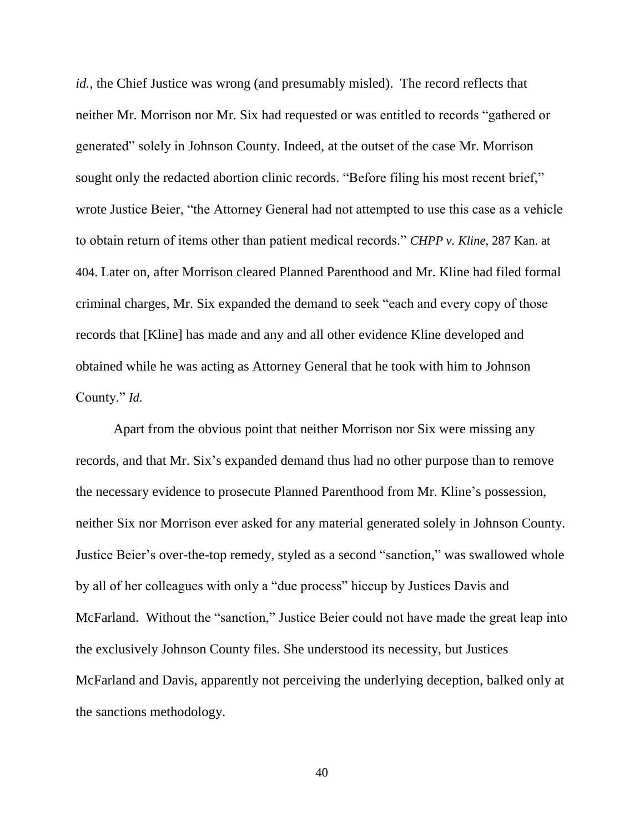*id.*, the Chief Justice was wrong (and presumably misled). The record reflects that neither Mr. Morrison nor Mr. Six had requested or was entitled to records "gathered or generated" solely in Johnson County. Indeed, at the outset of the case Mr. Morrison sought only the redacted abortion clinic records. "Before filing his most recent brief," wrote Justice Beier, "the Attorney General had not attempted to use this case as a vehicle to obtain return of items other than patient medical records." *CHPP v. Kline*, 287 Kan. at 404. Later on, after Morrison cleared Planned Parenthood and Mr. Kline had filed formal criminal charges, Mr. Six expanded the demand to seek "each and every copy of those records that [Kline] has made and any and all other evidence Kline developed and obtained while he was acting as Attorney General that he took with him to Johnson County." *Id*.

Apart from the obvious point that neither Morrison nor Six were missing any records, and that Mr. Six's expanded demand thus had no other purpose than to remove the necessary evidence to prosecute Planned Parenthood from Mr. Kline's possession, neither Six nor Morrison ever asked for any material generated solely in Johnson County. Justice Beier's over-the-top remedy, styled as a second "sanction," was swallowed whole by all of her colleagues with only a "due process" hiccup by Justices Davis and McFarland. Without the "sanction," Justice Beier could not have made the great leap into the exclusively Johnson County files. She understood its necessity, but Justices McFarland and Davis, apparently not perceiving the underlying deception, balked only at the sanctions methodology.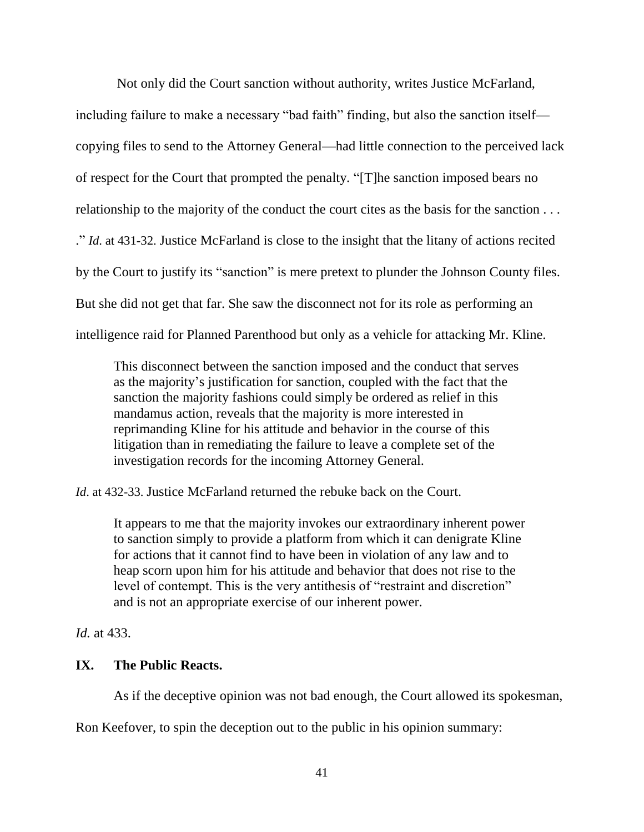Not only did the Court sanction without authority, writes Justice McFarland,

including failure to make a necessary "bad faith" finding, but also the sanction itself copying files to send to the Attorney General—had little connection to the perceived lack of respect for the Court that prompted the penalty. "[T]he sanction imposed bears no relationship to the majority of the conduct the court cites as the basis for the sanction . . . ." *Id*. at 431-32. Justice McFarland is close to the insight that the litany of actions recited by the Court to justify its "sanction" is mere pretext to plunder the Johnson County files. But she did not get that far. She saw the disconnect not for its role as performing an intelligence raid for Planned Parenthood but only as a vehicle for attacking Mr. Kline.

This disconnect between the sanction imposed and the conduct that serves as the majority's justification for sanction, coupled with the fact that the sanction the majority fashions could simply be ordered as relief in this mandamus action, reveals that the majority is more interested in reprimanding Kline for his attitude and behavior in the course of this litigation than in remediating the failure to leave a complete set of the investigation records for the incoming Attorney General.

*Id.* at 432-33. Justice McFarland returned the rebuke back on the Court.

It appears to me that the majority invokes our extraordinary inherent power to sanction simply to provide a platform from which it can denigrate Kline for actions that it cannot find to have been in violation of any law and to heap scorn upon him for his attitude and behavior that does not rise to the level of contempt. This is the very antithesis of "restraint and discretion" and is not an appropriate exercise of our inherent power.

*Id.* at 433.

# **IX. The Public Reacts.**

As if the deceptive opinion was not bad enough, the Court allowed its spokesman,

Ron Keefover, to spin the deception out to the public in his opinion summary: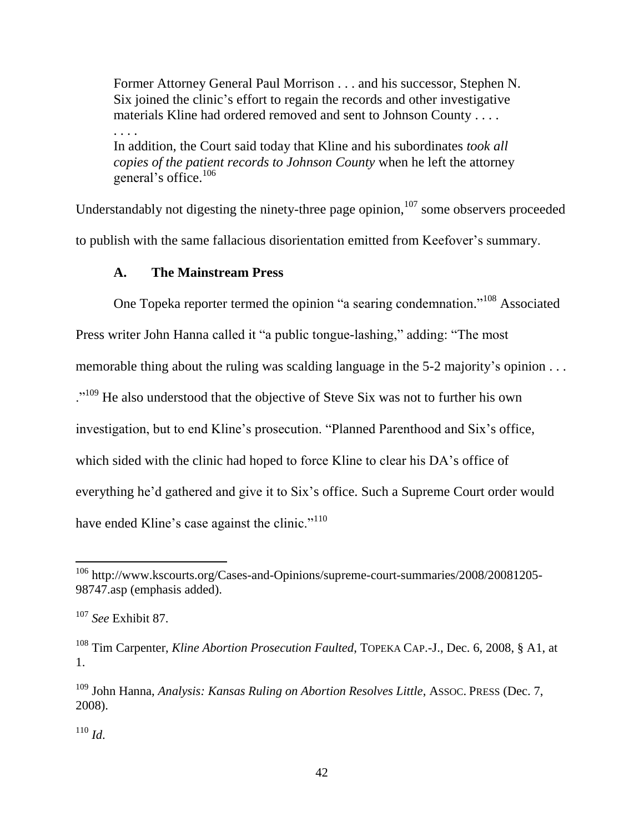Former Attorney General Paul Morrison . . . and his successor, Stephen N. Six joined the clinic's effort to regain the records and other investigative materials Kline had ordered removed and sent to Johnson County . . . .

. . . . In addition, the Court said today that Kline and his subordinates *took all copies of the patient records to Johnson County* when he left the attorney general's office.<sup>106</sup>

Understandably not digesting the ninety-three page opinion,  $107$  some observers proceeded to publish with the same fallacious disorientation emitted from Keefover's summary.

### **A. The Mainstream Press**

One Topeka reporter termed the opinion "a searing condemnation."<sup>108</sup> Associated

Press writer John Hanna called it "a public tongue-lashing," adding: "The most

memorable thing about the ruling was scalding language in the 5-2 majority's opinion . . .

."<sup>109</sup> He also understood that the objective of Steve Six was not to further his own

investigation, but to end Kline's prosecution. "Planned Parenthood and Six's office,

which sided with the clinic had hoped to force Kline to clear his DA's office of

everything he'd gathered and give it to Six's office. Such a Supreme Court order would

have ended Kline's case against the clinic."<sup>110</sup>

 $110$  *Id.* 

 $\overline{a}$ 

<sup>&</sup>lt;sup>106</sup> http://www.kscourts.org/Cases-and-Opinions/supreme-court-summaries/2008/20081205-98747.asp (emphasis added).

<sup>107</sup> *See* Exhibit 87.

<sup>108</sup> Tim Carpenter, *Kline Abortion Prosecution Faulted*, TOPEKA CAP.-J., Dec. 6, 2008, § A1, at 1.

<sup>&</sup>lt;sup>109</sup> John Hanna, *Analysis: Kansas Ruling on Abortion Resolves Little*, Assoc. PRESS (Dec. 7, 2008).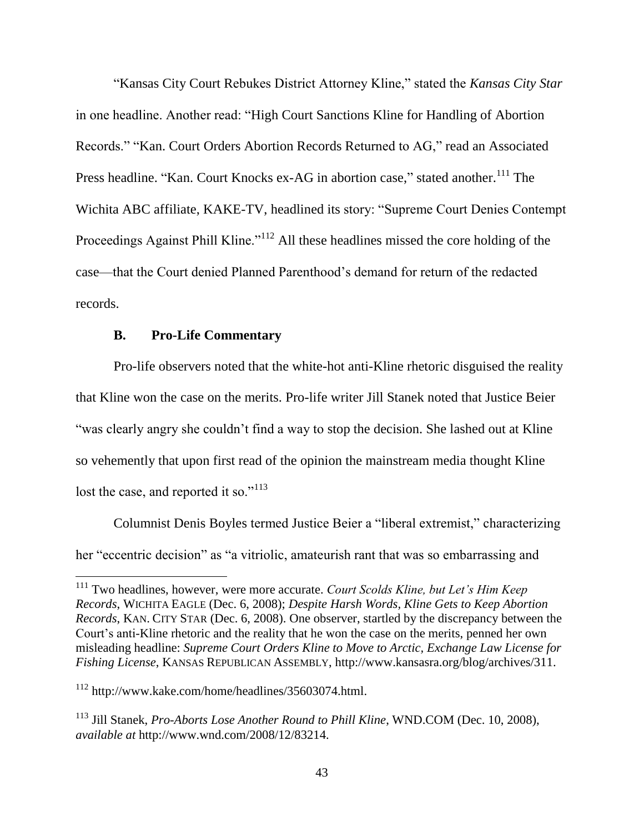"Kansas City Court Rebukes District Attorney Kline," stated the *Kansas City Star* in one headline. Another read: "High Court Sanctions Kline for Handling of Abortion Records." "Kan. Court Orders Abortion Records Returned to AG," read an Associated Press headline. "Kan. Court Knocks ex-AG in abortion case," stated another.<sup>111</sup> The Wichita ABC affiliate, KAKE-TV, headlined its story: "Supreme Court Denies Contempt Proceedings Against Phill Kline."<sup>112</sup> All these headlines missed the core holding of the case—that the Court denied Planned Parenthood's demand for return of the redacted records.

#### **B. Pro-Life Commentary**

Pro-life observers noted that the white-hot anti-Kline rhetoric disguised the reality that Kline won the case on the merits. Pro-life writer Jill Stanek noted that Justice Beier "was clearly angry she couldn't find a way to stop the decision. She lashed out at Kline so vehemently that upon first read of the opinion the mainstream media thought Kline lost the case, and reported it so."<sup>113</sup>

Columnist Denis Boyles termed Justice Beier a "liberal extremist," characterizing her "eccentric decision" as "a vitriolic, amateurish rant that was so embarrassing and

 $\overline{a}$ 

<sup>111</sup> Two headlines, however, were more accurate. *Court Scolds Kline, but Let's Him Keep Records*, WICHITA EAGLE (Dec. 6, 2008); *Despite Harsh Words, Kline Gets to Keep Abortion Records*, KAN. CITY STAR (Dec. 6, 2008). One observer, startled by the discrepancy between the Court's anti-Kline rhetoric and the reality that he won the case on the merits, penned her own misleading headline: *Supreme Court Orders Kline to Move to Arctic, Exchange Law License for Fishing License*, KANSAS REPUBLICAN ASSEMBLY, http://www.kansasra.org/blog/archives/311.

<sup>112</sup> http://www.kake.com/home/headlines/35603074.html.

<sup>113</sup> Jill Stanek, *Pro-Aborts Lose Another Round to Phill Kline*, WND.COM (Dec. 10, 2008), *available at* http://www.wnd.com/2008/12/83214.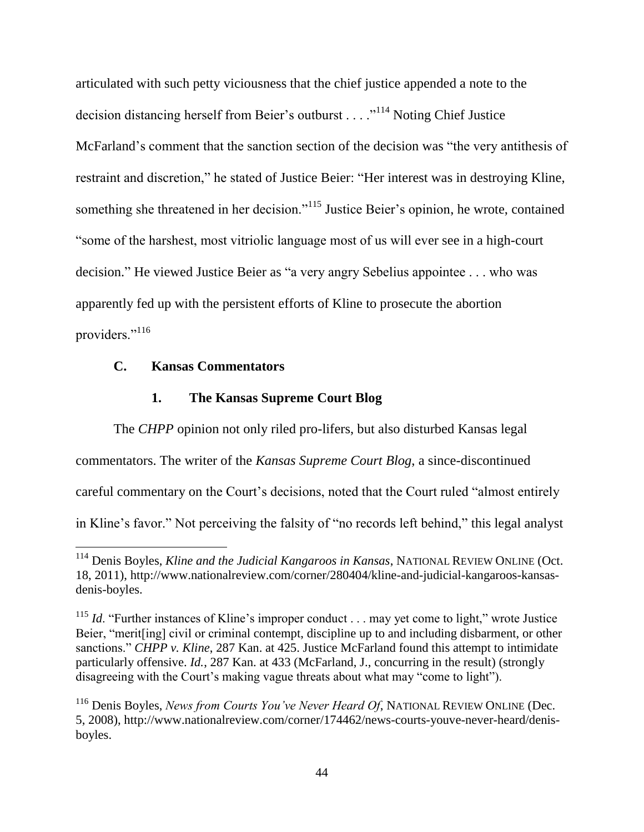articulated with such petty viciousness that the chief justice appended a note to the decision distancing herself from Beier's outburst . . . ."<sup>114</sup> Noting Chief Justice McFarland's comment that the sanction section of the decision was "the very antithesis of restraint and discretion," he stated of Justice Beier: "Her interest was in destroying Kline, something she threatened in her decision."<sup>115</sup> Justice Beier's opinion, he wrote, contained "some of the harshest, most vitriolic language most of us will ever see in a high-court decision." He viewed Justice Beier as "a very angry Sebelius appointee . . . who was apparently fed up with the persistent efforts of Kline to prosecute the abortion providers."<sup>116</sup>

## **C. Kansas Commentators**

 $\overline{a}$ 

#### **1. The Kansas Supreme Court Blog**

The *CHPP* opinion not only riled pro-lifers, but also disturbed Kansas legal commentators. The writer of the *Kansas Supreme Court Blog*, a since-discontinued careful commentary on the Court's decisions, noted that the Court ruled "almost entirely in Kline's favor." Not perceiving the falsity of "no records left behind," this legal analyst

<sup>114</sup> Denis Boyles, *Kline and the Judicial Kangaroos in Kansas*, NATIONAL REVIEW ONLINE (Oct. 18, 2011), http://www.nationalreview.com/corner/280404/kline-and-judicial-kangaroos-kansasdenis-boyles.

<sup>&</sup>lt;sup>115</sup> *Id.* "Further instances of Kline's improper conduct . . . may yet come to light," wrote Justice Beier, "merit[ing] civil or criminal contempt, discipline up to and including disbarment, or other sanctions." *CHPP v. Kline*, 287 Kan. at 425. Justice McFarland found this attempt to intimidate particularly offensive. *Id.*, 287 Kan. at 433 (McFarland, J., concurring in the result) (strongly disagreeing with the Court's making vague threats about what may "come to light").

<sup>116</sup> Denis Boyles, *News from Courts You've Never Heard Of*, NATIONAL REVIEW ONLINE (Dec. 5, 2008), http://www.nationalreview.com/corner/174462/news-courts-youve-never-heard/denisboyles.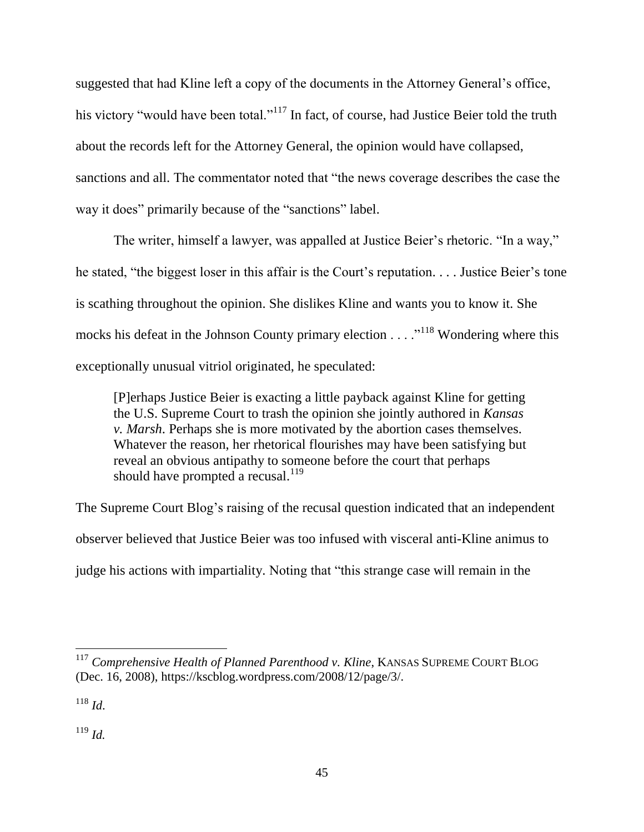suggested that had Kline left a copy of the documents in the Attorney General's office, his victory "would have been total."<sup>117</sup> In fact, of course, had Justice Beier told the truth about the records left for the Attorney General, the opinion would have collapsed, sanctions and all. The commentator noted that "the news coverage describes the case the way it does" primarily because of the "sanctions" label.

The writer, himself a lawyer, was appalled at Justice Beier's rhetoric. "In a way," he stated, "the biggest loser in this affair is the Court's reputation. . . . Justice Beier's tone is scathing throughout the opinion. She dislikes Kline and wants you to know it. She mocks his defeat in the Johnson County primary election  $\dots$ <sup>118</sup>. Wondering where this exceptionally unusual vitriol originated, he speculated:

[P]erhaps Justice Beier is exacting a little payback against Kline for getting the U.S. Supreme Court to trash the opinion she jointly authored in *Kansas v. Marsh*. Perhaps she is more motivated by the abortion cases themselves. Whatever the reason, her rhetorical flourishes may have been satisfying but reveal an obvious antipathy to someone before the court that perhaps should have prompted a recusal. $^{119}$ 

The Supreme Court Blog's raising of the recusal question indicated that an independent observer believed that Justice Beier was too infused with visceral anti-Kline animus to judge his actions with impartiality. Noting that "this strange case will remain in the

 $\overline{a}$ 

<sup>119</sup> *Id.*

<sup>117</sup> *Comprehensive Health of Planned Parenthood v. Kline*, KANSAS SUPREME COURT BLOG (Dec. 16, 2008), https://kscblog.wordpress.com/2008/12/page/3/.

 $^{118}$  *Id*.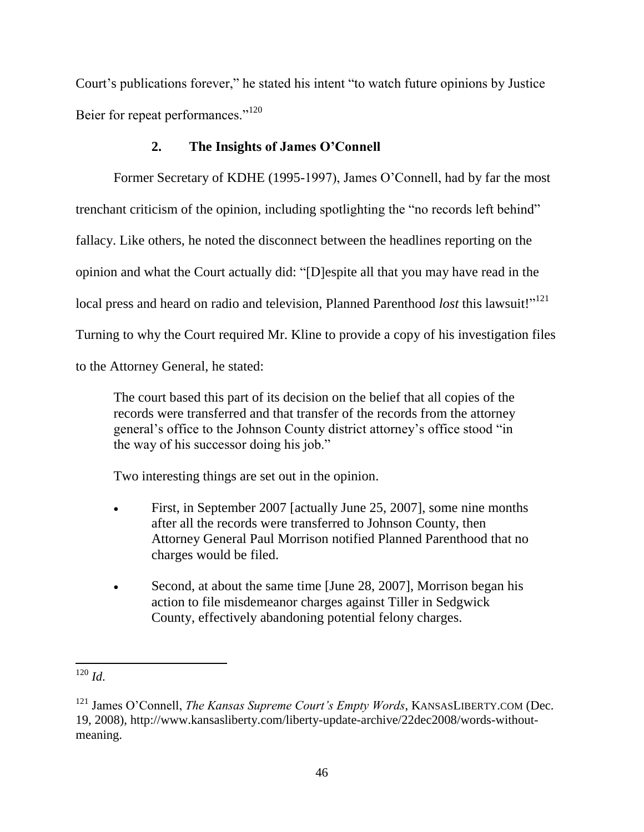Court's publications forever," he stated his intent "to watch future opinions by Justice Beier for repeat performances."<sup>120</sup>

## **2. The Insights of James O'Connell**

Former Secretary of KDHE (1995-1997), James O'Connell, had by far the most trenchant criticism of the opinion, including spotlighting the "no records left behind" fallacy. Like others, he noted the disconnect between the headlines reporting on the opinion and what the Court actually did: "[D]espite all that you may have read in the local press and heard on radio and television, Planned Parenthood *lost* this lawsuit!"<sup>121</sup> Turning to why the Court required Mr. Kline to provide a copy of his investigation files to the Attorney General, he stated:

The court based this part of its decision on the belief that all copies of the records were transferred and that transfer of the records from the attorney general's office to the Johnson County district attorney's office stood "in the way of his successor doing his job."

Two interesting things are set out in the opinion.

- First, in September 2007 [actually June 25, 2007], some nine months after all the records were transferred to Johnson County, then Attorney General Paul Morrison notified Planned Parenthood that no charges would be filed.
- Second, at about the same time [June 28, 2007], Morrison began his action to file misdemeanor charges against Tiller in Sedgwick County, effectively abandoning potential felony charges.

 $\overline{a}$  $120$  *Id*.

<sup>&</sup>lt;sup>121</sup> James O'Connell, *The Kansas Supreme Court's Empty Words*, KANSASLIBERTY.COM (Dec. 19, 2008), http://www.kansasliberty.com/liberty-update-archive/22dec2008/words-withoutmeaning.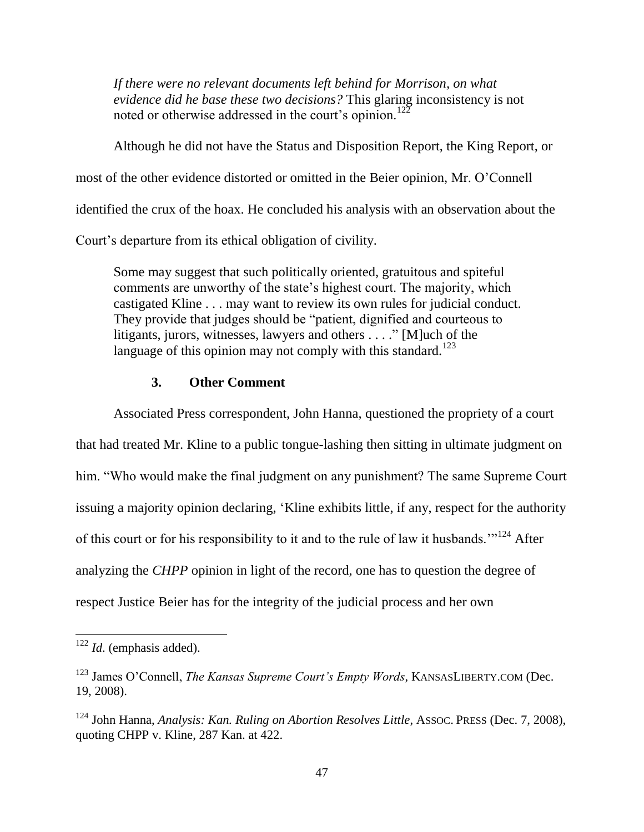*If there were no relevant documents left behind for Morrison, on what evidence did he base these two decisions?* This glaring inconsistency is not noted or otherwise addressed in the court's opinion.<sup>122</sup>

Although he did not have the Status and Disposition Report, the King Report, or most of the other evidence distorted or omitted in the Beier opinion, Mr. O'Connell identified the crux of the hoax. He concluded his analysis with an observation about the Court's departure from its ethical obligation of civility.

Some may suggest that such politically oriented, gratuitous and spiteful comments are unworthy of the state's highest court. The majority, which castigated Kline . . . may want to review its own rules for judicial conduct. They provide that judges should be "patient, dignified and courteous to litigants, jurors, witnesses, lawyers and others . . . ." [M]uch of the language of this opinion may not comply with this standard.<sup>123</sup>

## **3. Other Comment**

Associated Press correspondent, John Hanna, questioned the propriety of a court that had treated Mr. Kline to a public tongue-lashing then sitting in ultimate judgment on him. "Who would make the final judgment on any punishment? The same Supreme Court issuing a majority opinion declaring, 'Kline exhibits little, if any, respect for the authority of this court or for his responsibility to it and to the rule of law it husbands."<sup>124</sup> After analyzing the *CHPP* opinion in light of the record, one has to question the degree of respect Justice Beier has for the integrity of the judicial process and her own

 $\overline{a}$ 

<sup>122</sup> *Id*. (emphasis added).

<sup>123</sup> James O'Connell, *The Kansas Supreme Court's Empty Words*, KANSASLIBERTY.COM (Dec. 19, 2008).

<sup>124</sup> John Hanna, *Analysis: Kan. Ruling on Abortion Resolves Little*, ASSOC. PRESS (Dec. 7, 2008), quoting CHPP v. Kline, 287 Kan. at 422.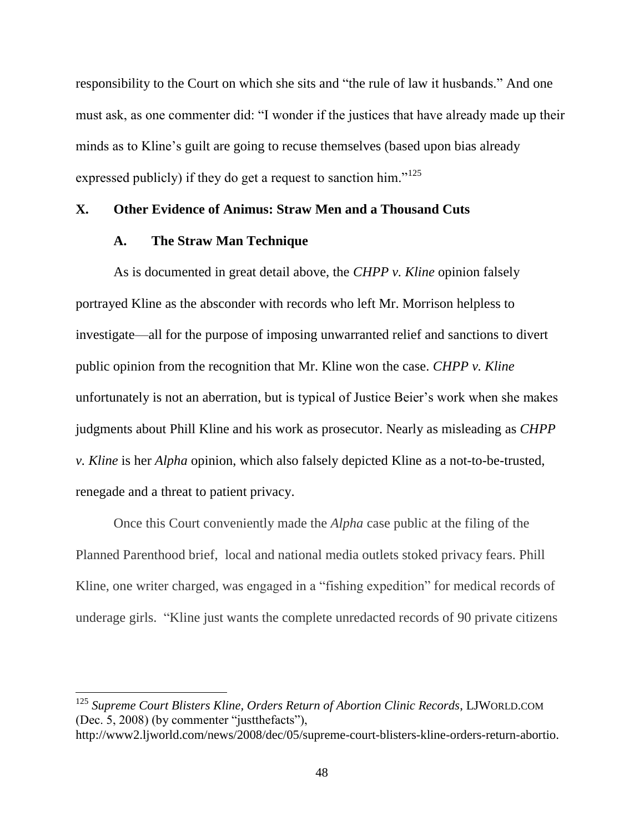responsibility to the Court on which she sits and "the rule of law it husbands." And one must ask, as one commenter did: "I wonder if the justices that have already made up their minds as to Kline's guilt are going to recuse themselves (based upon bias already expressed publicly) if they do get a request to sanction him."<sup>125</sup>

## **X. Other Evidence of Animus: Straw Men and a Thousand Cuts**

## **A. The Straw Man Technique**

 $\overline{a}$ 

As is documented in great detail above, the *CHPP v. Kline* opinion falsely portrayed Kline as the absconder with records who left Mr. Morrison helpless to investigate—all for the purpose of imposing unwarranted relief and sanctions to divert public opinion from the recognition that Mr. Kline won the case. *CHPP v. Kline* unfortunately is not an aberration, but is typical of Justice Beier's work when she makes judgments about Phill Kline and his work as prosecutor. Nearly as misleading as *CHPP v. Kline* is her *Alpha* opinion, which also falsely depicted Kline as a not-to-be-trusted, renegade and a threat to patient privacy.

Once this Court conveniently made the *Alpha* case public at the filing of the Planned Parenthood brief, local and national media outlets stoked privacy fears. Phill Kline, one writer charged, was engaged in a "fishing expedition" for medical records of underage girls. "Kline just wants the complete unredacted records of 90 private citizens

<sup>125</sup> *Supreme Court Blisters Kline, Orders Return of Abortion Clinic Records*, LJWORLD.COM (Dec. 5, 2008) (by commenter "justthefacts"),

http://www2.ljworld.com/news/2008/dec/05/supreme-court-blisters-kline-orders-return-abortio.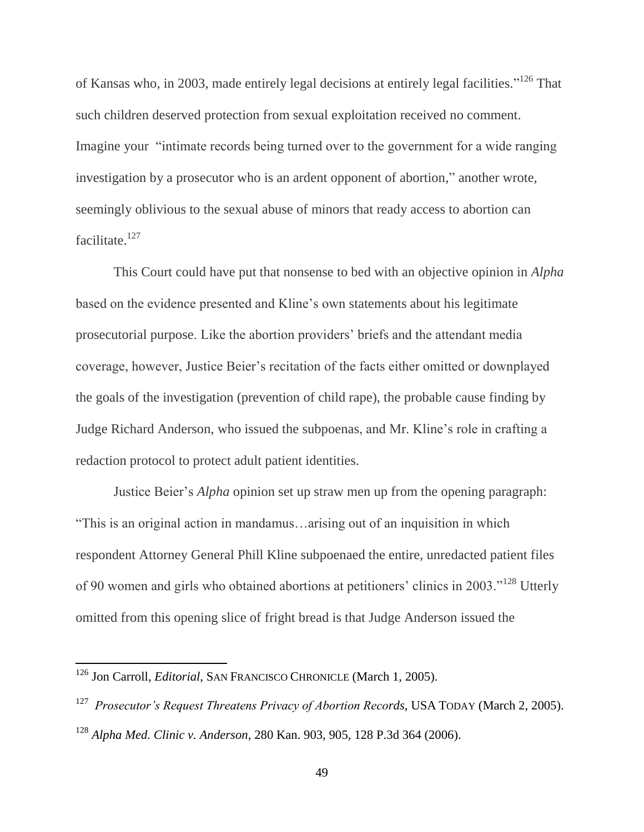of Kansas who, in 2003, made entirely legal decisions at entirely legal facilities."<sup>126</sup> That such children deserved protection from sexual exploitation received no comment. Imagine your "intimate records being turned over to the government for a wide ranging investigation by a prosecutor who is an ardent opponent of abortion," another wrote, seemingly oblivious to the sexual abuse of minors that ready access to abortion can facilitate.<sup>127</sup>

This Court could have put that nonsense to bed with an objective opinion in *Alpha* based on the evidence presented and Kline's own statements about his legitimate prosecutorial purpose. Like the abortion providers' briefs and the attendant media coverage, however, Justice Beier's recitation of the facts either omitted or downplayed the goals of the investigation (prevention of child rape), the probable cause finding by Judge Richard Anderson, who issued the subpoenas, and Mr. Kline's role in crafting a redaction protocol to protect adult patient identities.

Justice Beier's *Alpha* opinion set up straw men up from the opening paragraph: "This is an original action in mandamus…arising out of an inquisition in which respondent Attorney General Phill Kline subpoenaed the entire, unredacted patient files of 90 women and girls who obtained abortions at petitioners' clinics in 2003."<sup>128</sup> Utterly omitted from this opening slice of fright bread is that Judge Anderson issued the

 $\overline{a}$ 

<sup>126</sup> Jon Carroll, *Editorial*, SAN FRANCISCO CHRONICLE (March 1, 2005).

<sup>127</sup> *Prosecutor's Request Threatens Privacy of Abortion Records*, USA TODAY (March 2, 2005).

<sup>128</sup> *Alpha Med. Clinic v. Anderson*, 280 Kan. 903, 905, 128 P.3d 364 (2006).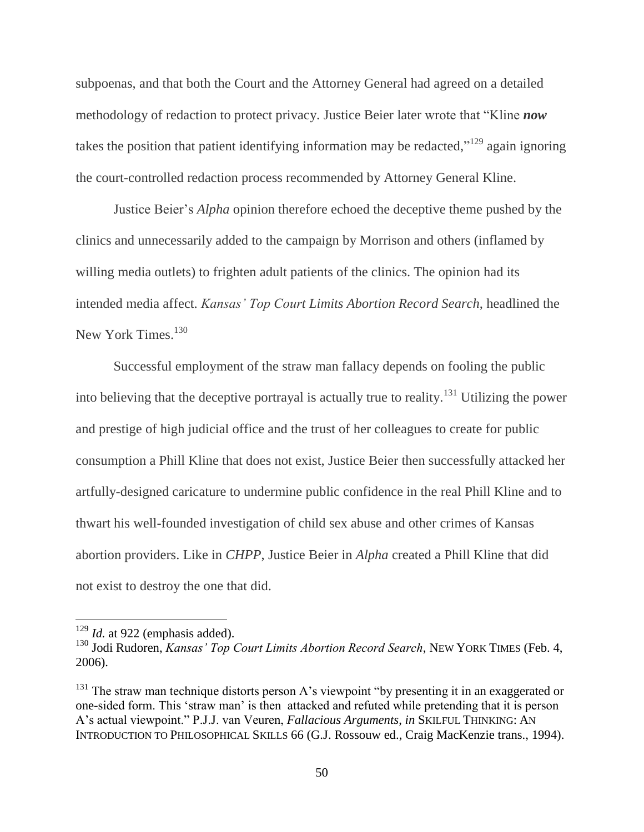subpoenas, and that both the Court and the Attorney General had agreed on a detailed methodology of redaction to protect privacy. Justice Beier later wrote that "Kline *now* takes the position that patient identifying information may be redacted,"<sup>129</sup> again ignoring the court-controlled redaction process recommended by Attorney General Kline.

Justice Beier's *Alpha* opinion therefore echoed the deceptive theme pushed by the clinics and unnecessarily added to the campaign by Morrison and others (inflamed by willing media outlets) to frighten adult patients of the clinics. The opinion had its intended media affect. *Kansas' Top Court Limits Abortion Record Search*, headlined the New York Times.<sup>130</sup>

Successful employment of the straw man fallacy depends on fooling the public into believing that the deceptive portrayal is actually true to reality.<sup>131</sup> Utilizing the power and prestige of high judicial office and the trust of her colleagues to create for public consumption a Phill Kline that does not exist, Justice Beier then successfully attacked her artfully-designed caricature to undermine public confidence in the real Phill Kline and to thwart his well-founded investigation of child sex abuse and other crimes of Kansas abortion providers. Like in *CHPP*, Justice Beier in *Alpha* created a Phill Kline that did not exist to destroy the one that did.

 $\overline{a}$ 

<sup>&</sup>lt;sup>129</sup> *Id.* at 922 (emphasis added).

<sup>130</sup> Jodi Rudoren, *Kansas' Top Court Limits Abortion Record Search*, NEW YORK TIMES (Feb. 4, 2006).

 $131$  The straw man technique distorts person A's viewpoint "by presenting it in an exaggerated or one-sided form. This 'straw man' is then attacked and refuted while pretending that it is person A's actual viewpoint." P.J.J. van Veuren, *Fallacious Arguments*, *in* SKILFUL THINKING: AN INTRODUCTION TO PHILOSOPHICAL SKILLS 66 (G.J. Rossouw ed., Craig MacKenzie trans., 1994).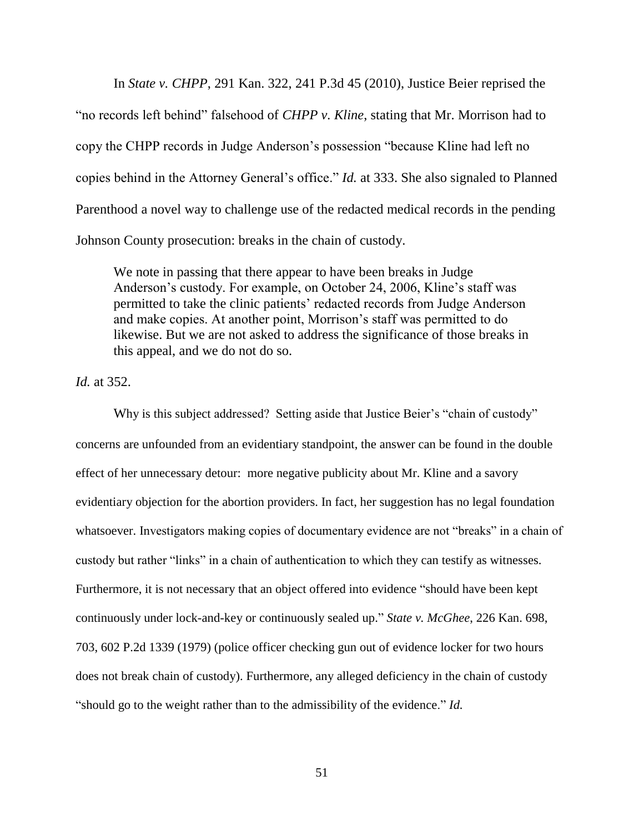In *State v. CHPP*, 291 Kan. 322, 241 P.3d 45 (2010), Justice Beier reprised the "no records left behind" falsehood of *CHPP v. Kline*, stating that Mr. Morrison had to copy the CHPP records in Judge Anderson's possession "because Kline had left no copies behind in the Attorney General's office." *Id.* at 333. She also signaled to Planned Parenthood a novel way to challenge use of the redacted medical records in the pending Johnson County prosecution: breaks in the chain of custody.

We note in passing that there appear to have been breaks in Judge Anderson's custody. For example, on October 24, 2006, Kline's staff was permitted to take the clinic patients' redacted records from Judge Anderson and make copies. At another point, Morrison's staff was permitted to do likewise. But we are not asked to address the significance of those breaks in this appeal, and we do not do so.

*Id.* at 352.

Why is this subject addressed? Setting aside that Justice Beier's "chain of custody" concerns are unfounded from an evidentiary standpoint, the answer can be found in the double effect of her unnecessary detour: more negative publicity about Mr. Kline and a savory evidentiary objection for the abortion providers. In fact, her suggestion has no legal foundation whatsoever. Investigators making copies of documentary evidence are not "breaks" in a chain of custody but rather "links" in a chain of authentication to which they can testify as witnesses. Furthermore, it is not necessary that an object offered into evidence "should have been kept continuously under lock-and-key or continuously sealed up." *State v. McGhee*, 226 Kan. 698, 703, 602 P.2d 1339 (1979) (police officer checking gun out of evidence locker for two hours does not break chain of custody). Furthermore, any alleged deficiency in the chain of custody "should go to the weight rather than to the admissibility of the evidence." *Id.*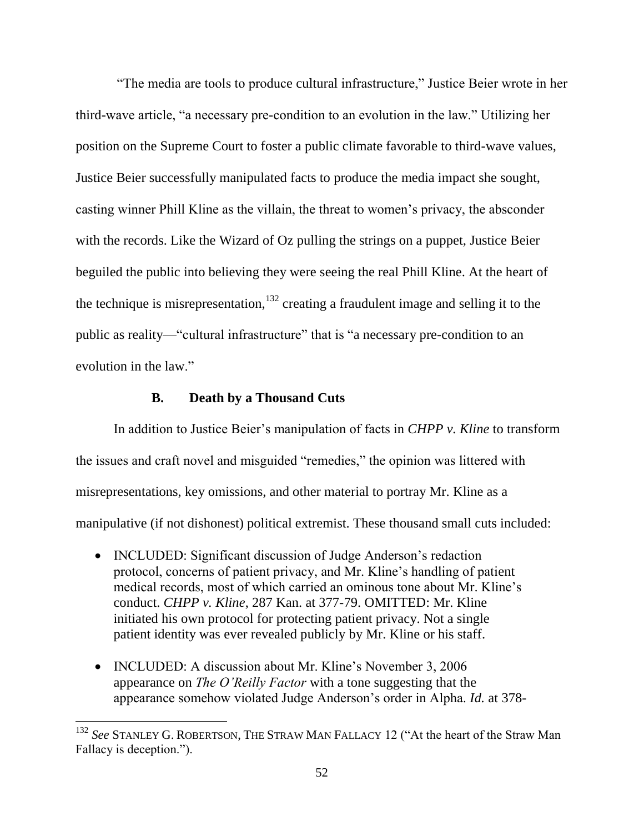"The media are tools to produce cultural infrastructure," Justice Beier wrote in her third-wave article, "a necessary pre-condition to an evolution in the law." Utilizing her position on the Supreme Court to foster a public climate favorable to third-wave values, Justice Beier successfully manipulated facts to produce the media impact she sought, casting winner Phill Kline as the villain, the threat to women's privacy, the absconder with the records. Like the Wizard of Oz pulling the strings on a puppet, Justice Beier beguiled the public into believing they were seeing the real Phill Kline. At the heart of the technique is misrepresentation,  $132$  creating a fraudulent image and selling it to the public as reality—"cultural infrastructure" that is "a necessary pre-condition to an evolution in the law."

#### **B. Death by a Thousand Cuts**

 $\overline{a}$ 

In addition to Justice Beier's manipulation of facts in *CHPP v. Kline* to transform the issues and craft novel and misguided "remedies," the opinion was littered with misrepresentations, key omissions, and other material to portray Mr. Kline as a manipulative (if not dishonest) political extremist. These thousand small cuts included:

- INCLUDED: Significant discussion of Judge Anderson's redaction protocol, concerns of patient privacy, and Mr. Kline's handling of patient medical records, most of which carried an ominous tone about Mr. Kline's conduct. *CHPP v. Kline*, 287 Kan. at 377-79. OMITTED: Mr. Kline initiated his own protocol for protecting patient privacy. Not a single patient identity was ever revealed publicly by Mr. Kline or his staff.
- INCLUDED: A discussion about Mr. Kline's November 3, 2006 appearance on *The O'Reilly Factor* with a tone suggesting that the appearance somehow violated Judge Anderson's order in Alpha. *Id.* at 378-

<sup>132</sup> *See* STANLEY G. ROBERTSON, THE STRAW MAN FALLACY 12 ("At the heart of the Straw Man Fallacy is deception.").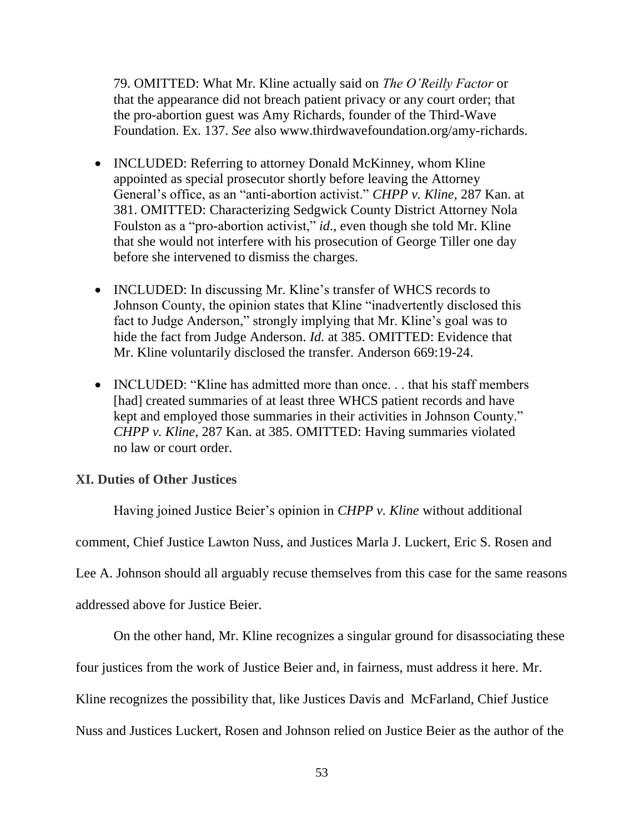79. OMITTED: What Mr. Kline actually said on *The O'Reilly Factor* or that the appearance did not breach patient privacy or any court order; that the pro-abortion guest was Amy Richards, founder of the Third-Wave Foundation. Ex. 137. *See* also www.thirdwavefoundation.org/amy-richards.

- INCLUDED: Referring to attorney Donald McKinney, whom Kline appointed as special prosecutor shortly before leaving the Attorney General's office, as an "anti-abortion activist." *CHPP v. Kline*, 287 Kan. at 381. OMITTED: Characterizing Sedgwick County District Attorney Nola Foulston as a "pro-abortion activist," *id*., even though she told Mr. Kline that she would not interfere with his prosecution of George Tiller one day before she intervened to dismiss the charges.
- INCLUDED: In discussing Mr. Kline's transfer of WHCS records to Johnson County, the opinion states that Kline "inadvertently disclosed this fact to Judge Anderson," strongly implying that Mr. Kline's goal was to hide the fact from Judge Anderson. *Id.* at 385. OMITTED: Evidence that Mr. Kline voluntarily disclosed the transfer. Anderson 669:19-24.
- INCLUDED: "Kline has admitted more than once... that his staff members [had] created summaries of at least three WHCS patient records and have kept and employed those summaries in their activities in Johnson County." *CHPP v. Kline*, 287 Kan. at 385. OMITTED: Having summaries violated no law or court order.

## **XI. Duties of Other Justices**

Having joined Justice Beier's opinion in *CHPP v. Kline* without additional comment, Chief Justice Lawton Nuss, and Justices Marla J. Luckert, Eric S. Rosen and Lee A. Johnson should all arguably recuse themselves from this case for the same reasons addressed above for Justice Beier.

On the other hand, Mr. Kline recognizes a singular ground for disassociating these four justices from the work of Justice Beier and, in fairness, must address it here. Mr. Kline recognizes the possibility that, like Justices Davis and McFarland, Chief Justice Nuss and Justices Luckert, Rosen and Johnson relied on Justice Beier as the author of the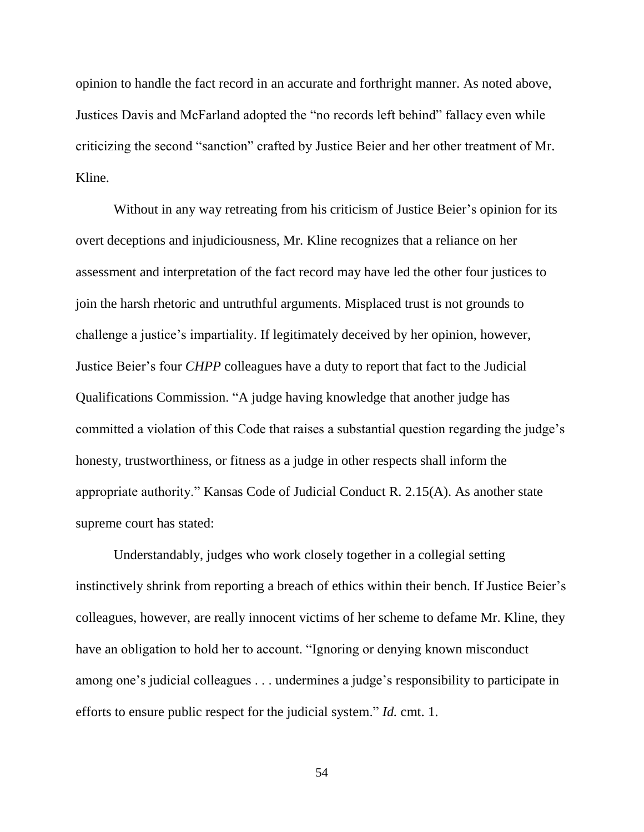opinion to handle the fact record in an accurate and forthright manner. As noted above, Justices Davis and McFarland adopted the "no records left behind" fallacy even while criticizing the second "sanction" crafted by Justice Beier and her other treatment of Mr. Kline.

Without in any way retreating from his criticism of Justice Beier's opinion for its overt deceptions and injudiciousness, Mr. Kline recognizes that a reliance on her assessment and interpretation of the fact record may have led the other four justices to join the harsh rhetoric and untruthful arguments. Misplaced trust is not grounds to challenge a justice's impartiality. If legitimately deceived by her opinion, however, Justice Beier's four *CHPP* colleagues have a duty to report that fact to the Judicial Qualifications Commission. "A judge having knowledge that another judge has committed a violation of this Code that raises a substantial question regarding the judge's honesty, trustworthiness, or fitness as a judge in other respects shall inform the appropriate authority." Kansas Code of Judicial Conduct R. 2.15(A). As another state supreme court has stated:

Understandably, judges who work closely together in a collegial setting instinctively shrink from reporting a breach of ethics within their bench. If Justice Beier's colleagues, however, are really innocent victims of her scheme to defame Mr. Kline, they have an obligation to hold her to account. "Ignoring or denying known misconduct among one's judicial colleagues . . . undermines a judge's responsibility to participate in efforts to ensure public respect for the judicial system." *Id.* cmt. 1.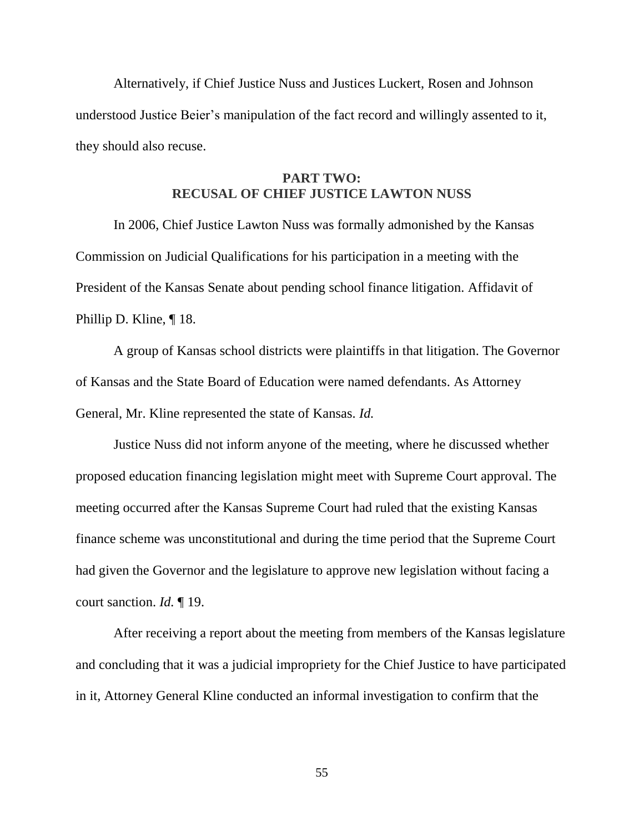Alternatively, if Chief Justice Nuss and Justices Luckert, Rosen and Johnson understood Justice Beier's manipulation of the fact record and willingly assented to it, they should also recuse.

## **PART TWO: RECUSAL OF CHIEF JUSTICE LAWTON NUSS**

In 2006, Chief Justice Lawton Nuss was formally admonished by the Kansas Commission on Judicial Qualifications for his participation in a meeting with the President of the Kansas Senate about pending school finance litigation. Affidavit of Phillip D. Kline, ¶ 18.

A group of Kansas school districts were plaintiffs in that litigation. The Governor of Kansas and the State Board of Education were named defendants. As Attorney General, Mr. Kline represented the state of Kansas. *Id.*

Justice Nuss did not inform anyone of the meeting, where he discussed whether proposed education financing legislation might meet with Supreme Court approval. The meeting occurred after the Kansas Supreme Court had ruled that the existing Kansas finance scheme was unconstitutional and during the time period that the Supreme Court had given the Governor and the legislature to approve new legislation without facing a court sanction. *Id.* ¶ 19.

After receiving a report about the meeting from members of the Kansas legislature and concluding that it was a judicial impropriety for the Chief Justice to have participated in it, Attorney General Kline conducted an informal investigation to confirm that the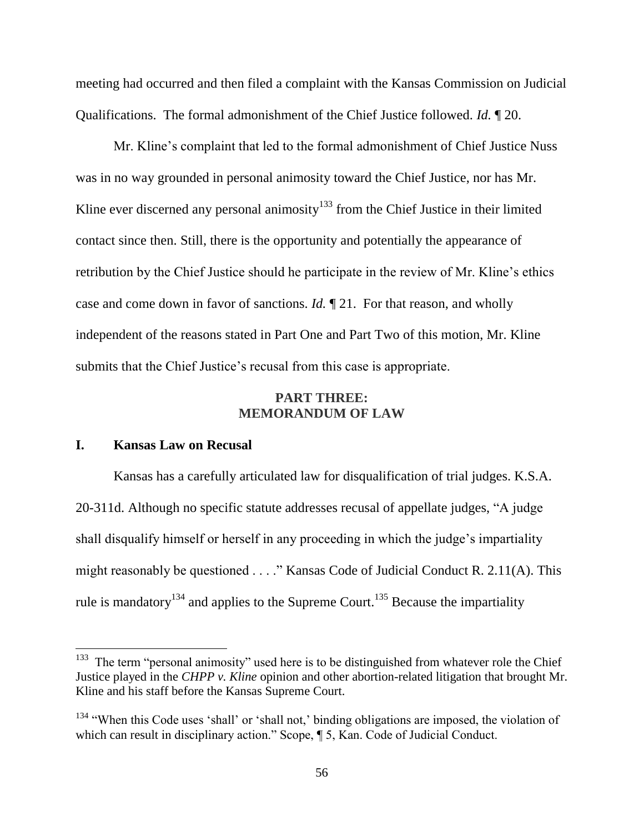meeting had occurred and then filed a complaint with the Kansas Commission on Judicial Qualifications. The formal admonishment of the Chief Justice followed. *Id.* ¶ 20.

Mr. Kline's complaint that led to the formal admonishment of Chief Justice Nuss was in no way grounded in personal animosity toward the Chief Justice, nor has Mr. Kline ever discerned any personal animosity<sup>133</sup> from the Chief Justice in their limited contact since then. Still, there is the opportunity and potentially the appearance of retribution by the Chief Justice should he participate in the review of Mr. Kline's ethics case and come down in favor of sanctions. *Id.* ¶ 21. For that reason, and wholly independent of the reasons stated in Part One and Part Two of this motion, Mr. Kline submits that the Chief Justice's recusal from this case is appropriate.

#### **PART THREE: MEMORANDUM OF LAW**

#### **I. Kansas Law on Recusal**

Kansas has a carefully articulated law for disqualification of trial judges. K.S.A. 20-311d. Although no specific statute addresses recusal of appellate judges, "A judge shall disqualify himself or herself in any proceeding in which the judge's impartiality might reasonably be questioned . . . ." Kansas Code of Judicial Conduct R. 2.11(A). This rule is mandatory<sup>134</sup> and applies to the Supreme Court.<sup>135</sup> Because the impartiality

<sup>&</sup>lt;sup>133</sup> The term "personal animosity" used here is to be distinguished from whatever role the Chief Justice played in the *CHPP v. Kline* opinion and other abortion-related litigation that brought Mr. Kline and his staff before the Kansas Supreme Court.

 $134$  "When this Code uses 'shall' or 'shall not,' binding obligations are imposed, the violation of which can result in disciplinary action." Scope, ¶ 5, Kan. Code of Judicial Conduct.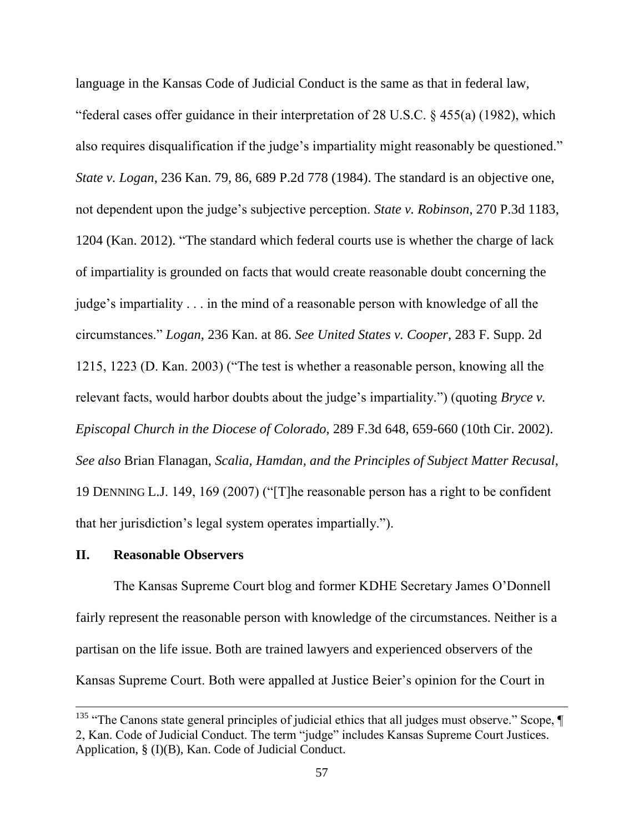language in the Kansas Code of Judicial Conduct is the same as that in federal law, "federal cases offer guidance in their interpretation of 28 U.S.C. § 455(a) (1982), which also requires disqualification if the judge's impartiality might reasonably be questioned." *State v. Logan*, 236 Kan. 79, 86, 689 P.2d 778 (1984). The standard is an objective one, not dependent upon the judge's subjective perception. *State v. Robinson*, 270 P.3d 1183, 1204 (Kan. 2012). "The standard which federal courts use is whether the charge of lack of impartiality is grounded on facts that would create reasonable doubt concerning the judge's impartiality . . . in the mind of a reasonable person with knowledge of all the circumstances." *Logan*, 236 Kan. at 86. *See United States v. Cooper*, 283 F. Supp. 2d 1215, 1223 (D. Kan. 2003) ("The test is whether a reasonable person, knowing all the relevant facts, would harbor doubts about the judge's impartiality.") (quoting *Bryce v. Episcopal Church in the Diocese of Colorado,* 289 F.3d 648, 659-660 (10th Cir. 2002). *See also* Brian Flanagan, *Scalia, Hamdan, and the Principles of Subject Matter Recusal*, 19 DENNING L.J. 149, 169 (2007) ("[T]he reasonable person has a right to be confident that her jurisdiction's legal system operates impartially.").

## **II. Reasonable Observers**

 $\overline{a}$ 

The Kansas Supreme Court blog and former KDHE Secretary James O'Donnell fairly represent the reasonable person with knowledge of the circumstances. Neither is a partisan on the life issue. Both are trained lawyers and experienced observers of the Kansas Supreme Court. Both were appalled at Justice Beier's opinion for the Court in

<sup>&</sup>lt;sup>135</sup> "The Canons state general principles of judicial ethics that all judges must observe." Scope,  $\P$ 2, Kan. Code of Judicial Conduct. The term "judge" includes Kansas Supreme Court Justices. Application, § (I)(B), Kan. Code of Judicial Conduct.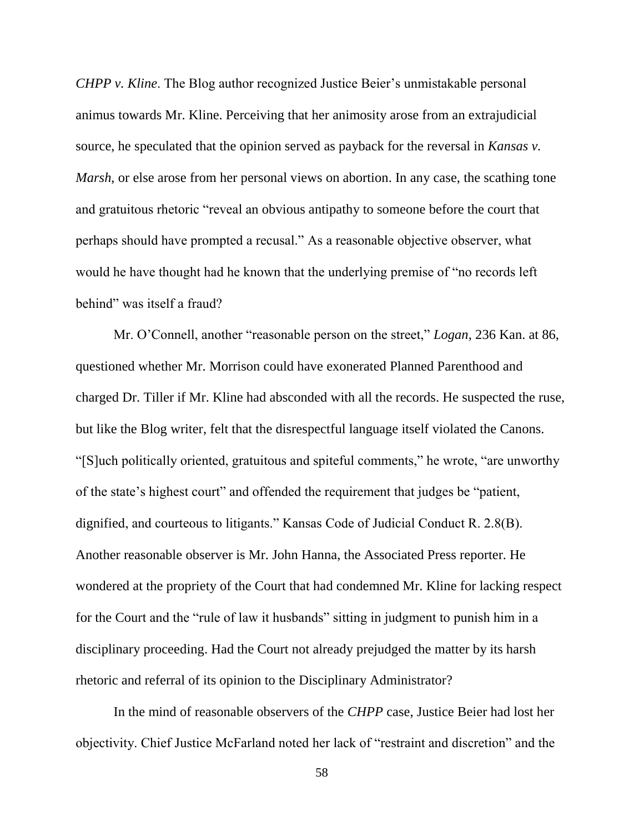*CHPP v. Kline.* The Blog author recognized Justice Beier's unmistakable personal animus towards Mr. Kline. Perceiving that her animosity arose from an extrajudicial source, he speculated that the opinion served as payback for the reversal in *Kansas v. Marsh*, or else arose from her personal views on abortion. In any case, the scathing tone and gratuitous rhetoric "reveal an obvious antipathy to someone before the court that perhaps should have prompted a recusal." As a reasonable objective observer, what would he have thought had he known that the underlying premise of "no records left behind" was itself a fraud?

Mr. O'Connell, another "reasonable person on the street," *Logan*, 236 Kan. at 86, questioned whether Mr. Morrison could have exonerated Planned Parenthood and charged Dr. Tiller if Mr. Kline had absconded with all the records. He suspected the ruse, but like the Blog writer, felt that the disrespectful language itself violated the Canons. "[S]uch politically oriented, gratuitous and spiteful comments," he wrote, "are unworthy of the state's highest court" and offended the requirement that judges be "patient, dignified, and courteous to litigants." Kansas Code of Judicial Conduct R. 2.8(B). Another reasonable observer is Mr. John Hanna, the Associated Press reporter. He wondered at the propriety of the Court that had condemned Mr. Kline for lacking respect for the Court and the "rule of law it husbands" sitting in judgment to punish him in a disciplinary proceeding. Had the Court not already prejudged the matter by its harsh rhetoric and referral of its opinion to the Disciplinary Administrator?

In the mind of reasonable observers of the *CHPP* case, Justice Beier had lost her objectivity. Chief Justice McFarland noted her lack of "restraint and discretion" and the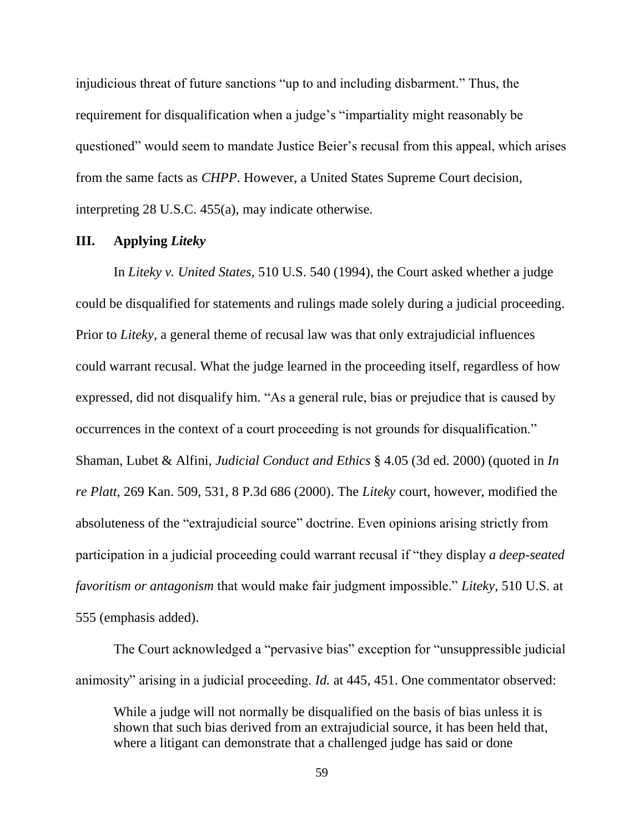injudicious threat of future sanctions "up to and including disbarment." Thus, the requirement for disqualification when a judge's "impartiality might reasonably be questioned" would seem to mandate Justice Beier's recusal from this appeal, which arises from the same facts as *CHPP*. However, a United States Supreme Court decision, interpreting 28 U.S.C. 455(a), may indicate otherwise.

## **III. Applying** *Liteky*

In *Liteky v. United States*, 510 U.S. 540 (1994), the Court asked whether a judge could be disqualified for statements and rulings made solely during a judicial proceeding. Prior to *Liteky*, a general theme of recusal law was that only extrajudicial influences could warrant recusal. What the judge learned in the proceeding itself, regardless of how expressed, did not disqualify him. "As a general rule, bias or prejudice that is caused by occurrences in the context of a court proceeding is not grounds for disqualification." Shaman, Lubet & Alfini, *Judicial Conduct and Ethics* § 4.05 (3d ed. 2000) (quoted in *In re Platt*, 269 Kan. 509, 531, 8 P.3d 686 (2000). The *Liteky* court, however, modified the absoluteness of the "extrajudicial source" doctrine. Even opinions arising strictly from participation in a judicial proceeding could warrant recusal if "they display *a deep-seated favoritism or antagonism* that would make fair judgment impossible." *Liteky*, 510 U.S. at 555 (emphasis added).

The Court acknowledged a "pervasive bias" exception for "unsuppressible judicial animosity" arising in a judicial proceeding. *Id.* at 445, 451. One commentator observed:

While a judge will not normally be disqualified on the basis of bias unless it is shown that such bias derived from an extrajudicial source, it has been held that, where a litigant can demonstrate that a challenged judge has said or done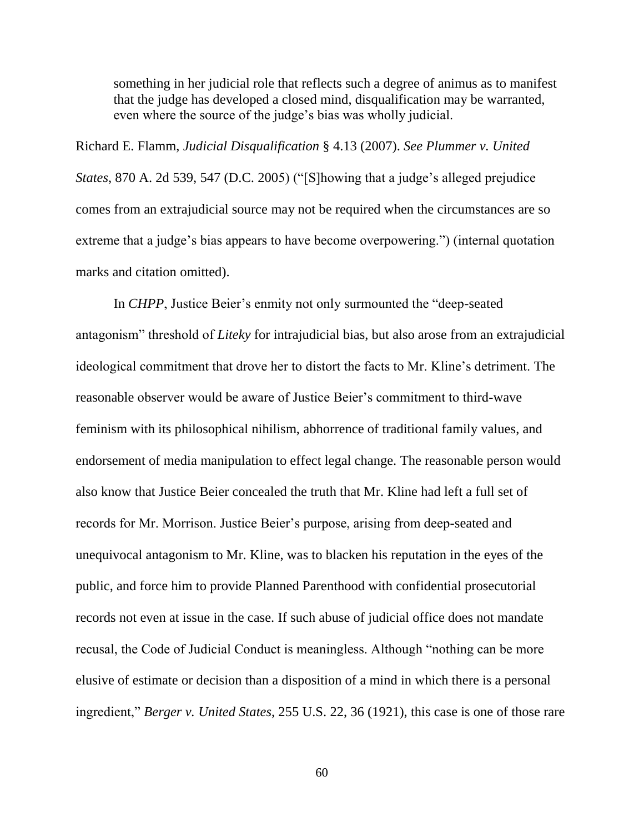something in her judicial role that reflects such a degree of animus as to manifest that the judge has developed a closed mind, disqualification may be warranted, even where the source of the judge's bias was wholly judicial.

Richard E. Flamm, *Judicial Disqualification* § 4.13 (2007). *See Plummer v. United States*, 870 A. 2d 539, 547 (D.C. 2005) ("[S]howing that a judge's alleged prejudice comes from an extrajudicial source may not be required when the circumstances are so extreme that a judge's bias appears to have become overpowering.") (internal quotation marks and citation omitted).

In *CHPP*, Justice Beier's enmity not only surmounted the "deep-seated antagonism" threshold of *Liteky* for intrajudicial bias, but also arose from an extrajudicial ideological commitment that drove her to distort the facts to Mr. Kline's detriment. The reasonable observer would be aware of Justice Beier's commitment to third-wave feminism with its philosophical nihilism, abhorrence of traditional family values, and endorsement of media manipulation to effect legal change. The reasonable person would also know that Justice Beier concealed the truth that Mr. Kline had left a full set of records for Mr. Morrison. Justice Beier's purpose, arising from deep-seated and unequivocal antagonism to Mr. Kline, was to blacken his reputation in the eyes of the public, and force him to provide Planned Parenthood with confidential prosecutorial records not even at issue in the case. If such abuse of judicial office does not mandate recusal, the Code of Judicial Conduct is meaningless. Although "nothing can be more elusive of estimate or decision than a disposition of a mind in which there is a personal ingredient," *Berger v. United States*, 255 U.S. 22, 36 (1921), this case is one of those rare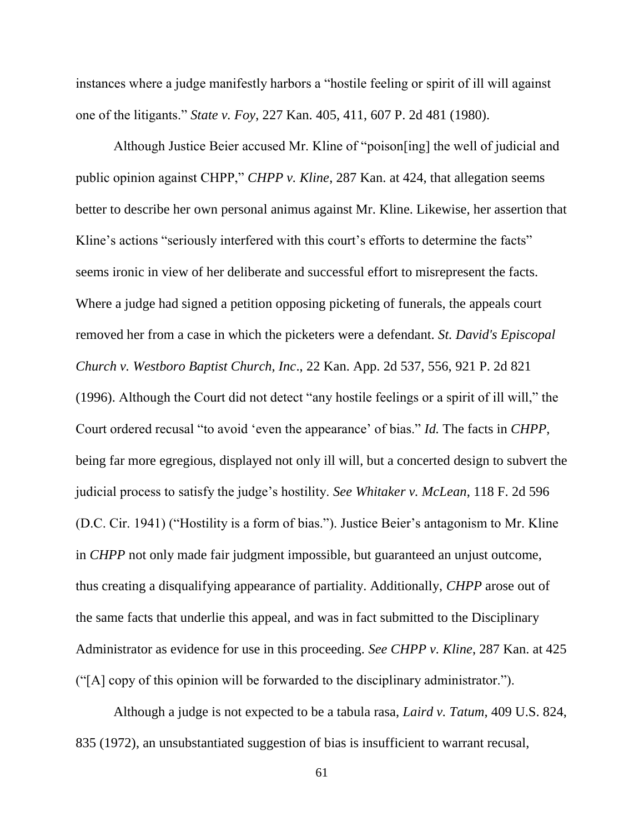instances where a judge manifestly harbors a "hostile feeling or spirit of ill will against one of the litigants." *State v. Foy*, 227 Kan. 405, 411, 607 P. 2d 481 (1980).

Although Justice Beier accused Mr. Kline of "poison[ing] the well of judicial and public opinion against CHPP," *CHPP v. Kline*, 287 Kan. at 424, that allegation seems better to describe her own personal animus against Mr. Kline. Likewise, her assertion that Kline's actions "seriously interfered with this court's efforts to determine the facts" seems ironic in view of her deliberate and successful effort to misrepresent the facts. Where a judge had signed a petition opposing picketing of funerals, the appeals court removed her from a case in which the picketers were a defendant. *St. David's Episcopal Church v. Westboro Baptist Church, Inc*., 22 Kan. App. 2d 537, 556, 921 P. 2d 821 (1996). Although the Court did not detect "any hostile feelings or a spirit of ill will," the Court ordered recusal "to avoid 'even the appearance' of bias." *Id.* The facts in *CHPP*, being far more egregious, displayed not only ill will, but a concerted design to subvert the judicial process to satisfy the judge's hostility. *See Whitaker v. McLean*, 118 F. 2d 596 (D.C. Cir. 1941) ("Hostility is a form of bias."). Justice Beier's antagonism to Mr. Kline in *CHPP* not only made fair judgment impossible, but guaranteed an unjust outcome, thus creating a disqualifying appearance of partiality. Additionally, *CHPP* arose out of the same facts that underlie this appeal, and was in fact submitted to the Disciplinary Administrator as evidence for use in this proceeding. *See CHPP v. Kline*, 287 Kan. at 425 ("[A] copy of this opinion will be forwarded to the disciplinary administrator.").

Although a judge is not expected to be a tabula rasa, *Laird v. Tatum*, 409 U.S. 824, 835 (1972), an unsubstantiated suggestion of bias is insufficient to warrant recusal,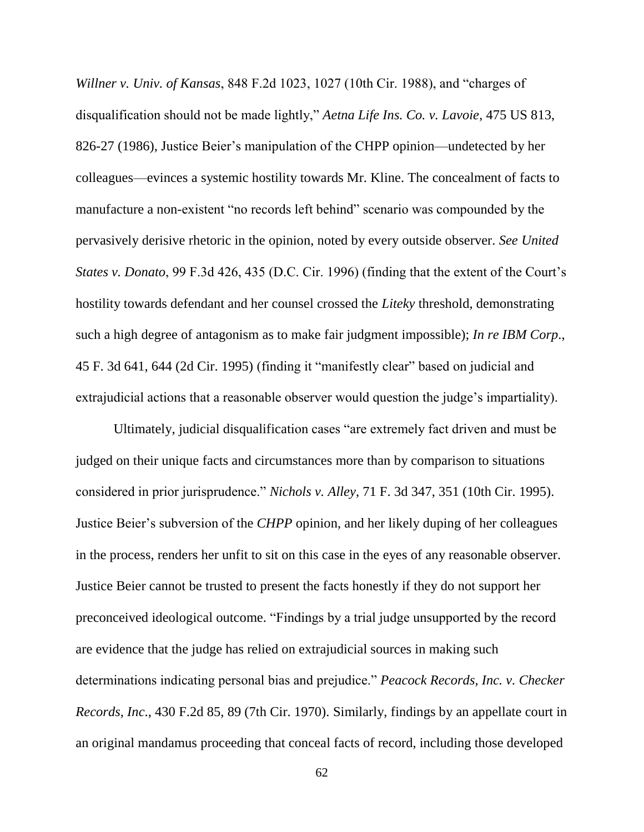*Willner v. Univ. of Kansas*, 848 F.2d 1023, 1027 (10th Cir. 1988), and "charges of disqualification should not be made lightly," *Aetna Life Ins. Co. v. Lavoie*, 475 US 813, 826-27 (1986), Justice Beier's manipulation of the CHPP opinion—undetected by her colleagues—evinces a systemic hostility towards Mr. Kline. The concealment of facts to manufacture a non-existent "no records left behind" scenario was compounded by the pervasively derisive rhetoric in the opinion, noted by every outside observer. *See United States v. Donato*, 99 F.3d 426, 435 (D.C. Cir. 1996) (finding that the extent of the Court's hostility towards defendant and her counsel crossed the *Liteky* threshold, demonstrating such a high degree of antagonism as to make fair judgment impossible); *In re IBM Corp*., 45 F. 3d 641, 644 (2d Cir. 1995) (finding it "manifestly clear" based on judicial and extrajudicial actions that a reasonable observer would question the judge's impartiality).

Ultimately, judicial disqualification cases "are extremely fact driven and must be judged on their unique facts and circumstances more than by comparison to situations considered in prior jurisprudence." *Nichols v. Alley*, 71 F. 3d 347, 351 (10th Cir. 1995). Justice Beier's subversion of the *CHPP* opinion, and her likely duping of her colleagues in the process, renders her unfit to sit on this case in the eyes of any reasonable observer. Justice Beier cannot be trusted to present the facts honestly if they do not support her preconceived ideological outcome. "Findings by a trial judge unsupported by the record are evidence that the judge has relied on extrajudicial sources in making such determinations indicating personal bias and prejudice." *Peacock Records, Inc. v. Checker Records, Inc*., 430 F.2d 85, 89 (7th Cir. 1970). Similarly, findings by an appellate court in an original mandamus proceeding that conceal facts of record, including those developed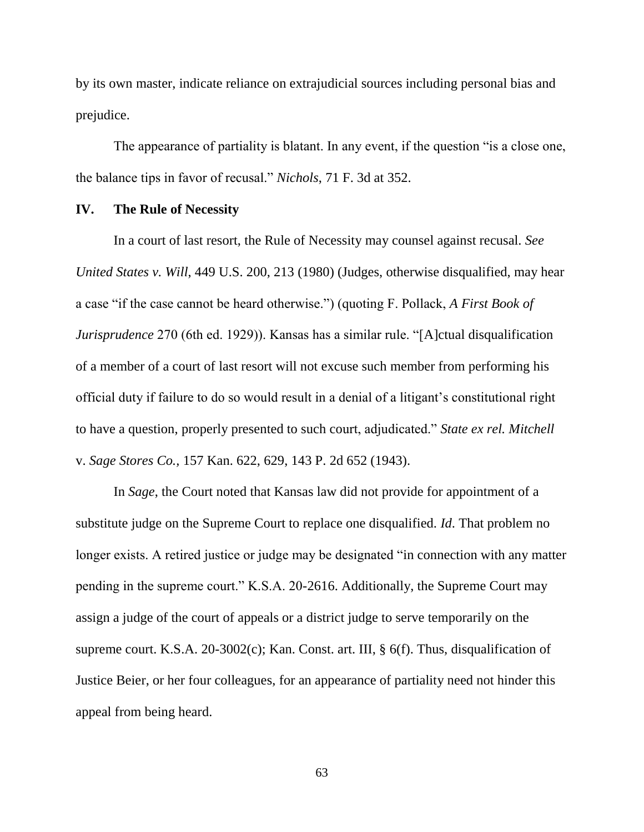by its own master, indicate reliance on extrajudicial sources including personal bias and prejudice.

The appearance of partiality is blatant. In any event, if the question "is a close one, the balance tips in favor of recusal." *Nichols*, 71 F. 3d at 352.

#### **IV. The Rule of Necessity**

In a court of last resort, the Rule of Necessity may counsel against recusal. *See United States v. Will*, 449 U.S. 200, 213 (1980) (Judges, otherwise disqualified, may hear a case "if the case cannot be heard otherwise.") (quoting F. Pollack, *A First Book of Jurisprudence* 270 (6th ed. 1929)). Kansas has a similar rule. "[A]ctual disqualification of a member of a court of last resort will not excuse such member from performing his official duty if failure to do so would result in a denial of a litigant's constitutional right to have a question, properly presented to such court, adjudicated." *State ex rel. Mitchell* v. *Sage Stores Co.,* 157 Kan. 622, 629, 143 P. 2d 652 (1943).

In *Sage*, the Court noted that Kansas law did not provide for appointment of a substitute judge on the Supreme Court to replace one disqualified. *Id*. That problem no longer exists. A retired justice or judge may be designated "in connection with any matter pending in the supreme court." K.S.A. 20-2616. Additionally, the Supreme Court may assign a judge of the court of appeals or a district judge to serve temporarily on the supreme court. K.S.A. 20-3002(c); Kan. Const. art. III, § 6(f). Thus, disqualification of Justice Beier, or her four colleagues, for an appearance of partiality need not hinder this appeal from being heard.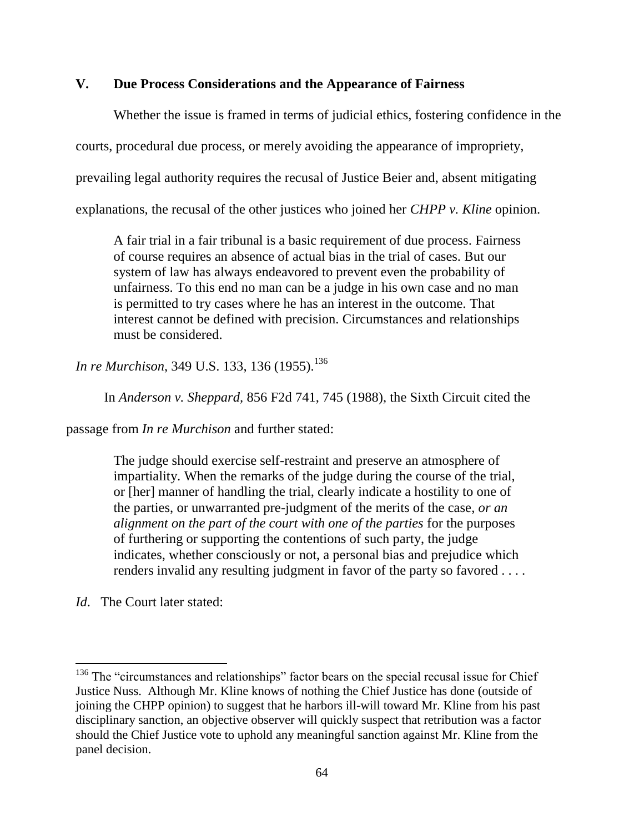## **V. Due Process Considerations and the Appearance of Fairness**

Whether the issue is framed in terms of judicial ethics, fostering confidence in the courts, procedural due process, or merely avoiding the appearance of impropriety, prevailing legal authority requires the recusal of Justice Beier and, absent mitigating explanations, the recusal of the other justices who joined her *CHPP v. Kline* opinion.

A fair trial in a fair tribunal is a basic requirement of due process. Fairness of course requires an absence of actual bias in the trial of cases. But our system of law has always endeavored to prevent even the probability of unfairness. To this end no man can be a judge in his own case and no man is permitted to try cases where he has an interest in the outcome. That interest cannot be defined with precision. Circumstances and relationships must be considered.

*In re Murchison*, 349 U.S. 133, 136 (1955).<sup>136</sup>

In *Anderson v. Sheppard,* 856 F2d 741, 745 (1988), the Sixth Circuit cited the

passage from *In re Murchison* and further stated:

The judge should exercise self-restraint and preserve an atmosphere of impartiality. When the remarks of the judge during the course of the trial, or [her] manner of handling the trial, clearly indicate a hostility to one of the parties, or unwarranted pre-judgment of the merits of the case, *or an alignment on the part of the court with one of the parties* for the purposes of furthering or supporting the contentions of such party, the judge indicates, whether consciously or not, a personal bias and prejudice which renders invalid any resulting judgment in favor of the party so favored . . . .

*Id*. The Court later stated:

 $\overline{a}$ 

<sup>&</sup>lt;sup>136</sup> The "circumstances and relationships" factor bears on the special recusal issue for Chief Justice Nuss. Although Mr. Kline knows of nothing the Chief Justice has done (outside of joining the CHPP opinion) to suggest that he harbors ill-will toward Mr. Kline from his past disciplinary sanction, an objective observer will quickly suspect that retribution was a factor should the Chief Justice vote to uphold any meaningful sanction against Mr. Kline from the panel decision.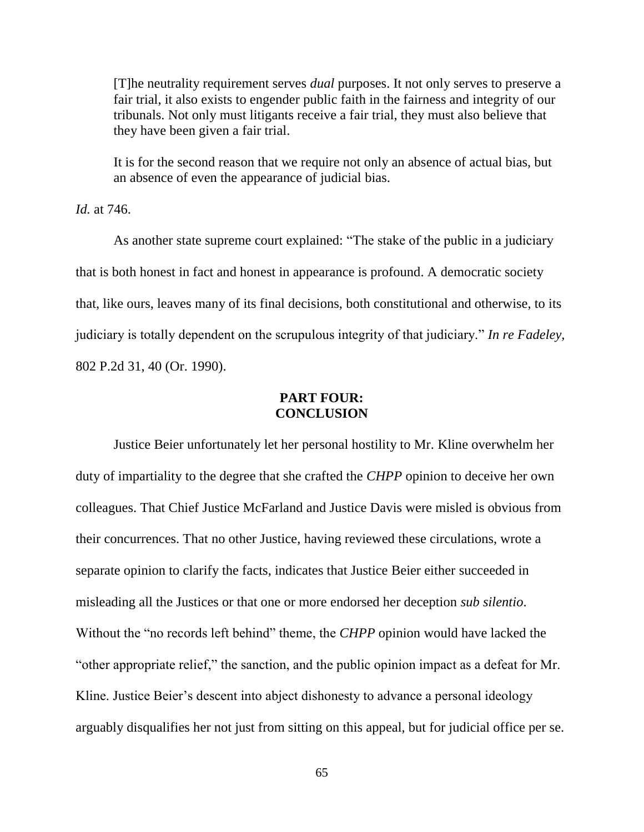[T]he neutrality requirement serves *dual* purposes. It not only serves to preserve a fair trial, it also exists to engender public faith in the fairness and integrity of our tribunals. Not only must litigants receive a fair trial, they must also believe that they have been given a fair trial.

It is for the second reason that we require not only an absence of actual bias, but an absence of even the appearance of judicial bias.

*Id.* at 746.

As another state supreme court explained: "The stake of the public in a judiciary that is both honest in fact and honest in appearance is profound. A democratic society that, like ours, leaves many of its final decisions, both constitutional and otherwise, to its judiciary is totally dependent on the scrupulous integrity of that judiciary." *In re Fadeley,* 802 P.2d 31, 40 (Or. 1990).

## **PART FOUR: CONCLUSION**

Justice Beier unfortunately let her personal hostility to Mr. Kline overwhelm her duty of impartiality to the degree that she crafted the *CHPP* opinion to deceive her own colleagues. That Chief Justice McFarland and Justice Davis were misled is obvious from their concurrences. That no other Justice, having reviewed these circulations, wrote a separate opinion to clarify the facts, indicates that Justice Beier either succeeded in misleading all the Justices or that one or more endorsed her deception *sub silentio*. Without the "no records left behind" theme, the *CHPP* opinion would have lacked the "other appropriate relief," the sanction, and the public opinion impact as a defeat for Mr. Kline. Justice Beier's descent into abject dishonesty to advance a personal ideology arguably disqualifies her not just from sitting on this appeal, but for judicial office per se.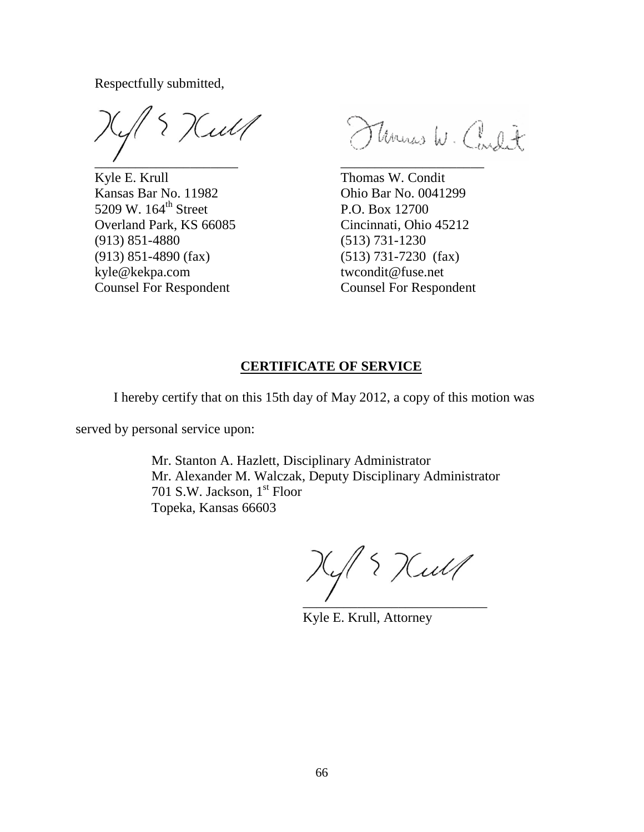Respectfully submitted,

ul f  $\overline{\phantom{a}}$  ,  $\overline{\phantom{a}}$  ,  $\overline{\phantom{a}}$  ,  $\overline{\phantom{a}}$  ,  $\overline{\phantom{a}}$  ,  $\overline{\phantom{a}}$  ,  $\overline{\phantom{a}}$  ,  $\overline{\phantom{a}}$  ,  $\overline{\phantom{a}}$  ,  $\overline{\phantom{a}}$  ,  $\overline{\phantom{a}}$  ,  $\overline{\phantom{a}}$  ,  $\overline{\phantom{a}}$  ,  $\overline{\phantom{a}}$  ,  $\overline{\phantom{a}}$  ,  $\overline{\phantom{a}}$ 

Kyle E. Krull Thomas W. Condit Kansas Bar No. 11982 Ohio Bar No. 0041299 5209 W. 164<sup>th</sup> Street P.O. Box 12700 Overland Park, KS 66085 Cincinnati, Ohio 45212 (913) 851-4880 (513) 731-1230 (913) 851-4890 (fax) (513) 731-7230 (fax) kyle@kekpa.com twcondit@fuse.net Counsel For Respondent Counsel For Respondent

Thomas W. Coult

## **CERTIFICATE OF SERVICE**

I hereby certify that on this 15th day of May 2012, a copy of this motion was

served by personal service upon:

Mr. Stanton A. Hazlett, Disciplinary Administrator Mr. Alexander M. Walczak, Deputy Disciplinary Administrator 701 S.W. Jackson, 1<sup>st</sup> Floor Topeka, Kansas 66603

{ Kull  $\overline{\phantom{a}}$  ,  $\overline{\phantom{a}}$  ,  $\overline{\phantom{a}}$  ,  $\overline{\phantom{a}}$  ,  $\overline{\phantom{a}}$  ,  $\overline{\phantom{a}}$  ,  $\overline{\phantom{a}}$  ,  $\overline{\phantom{a}}$  ,  $\overline{\phantom{a}}$  ,  $\overline{\phantom{a}}$  ,  $\overline{\phantom{a}}$  ,  $\overline{\phantom{a}}$  ,  $\overline{\phantom{a}}$  ,  $\overline{\phantom{a}}$  ,  $\overline{\phantom{a}}$  ,  $\overline{\phantom{a}}$ 

Kyle E. Krull, Attorney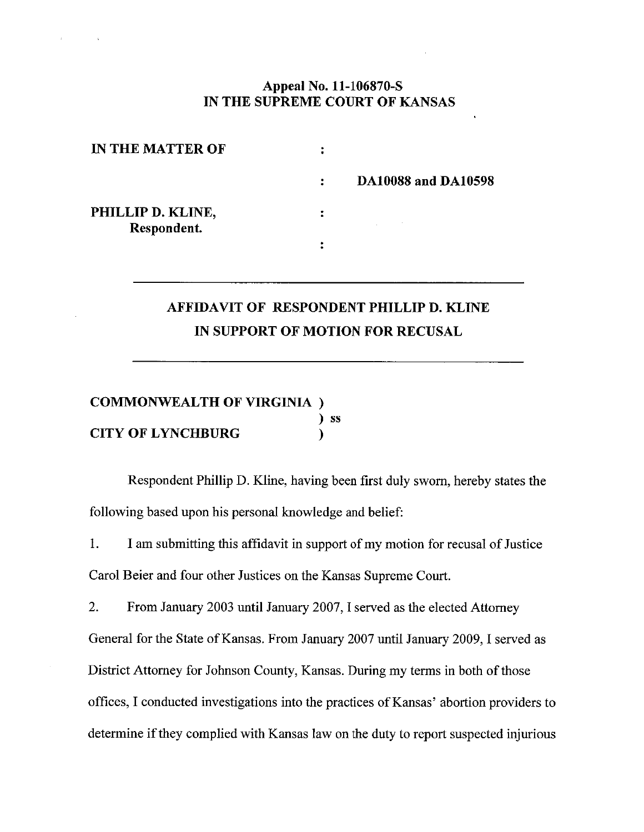## Appeal No. 11-106870-S IN THE SUPREME COURT OF KANSAS

| IN THE MATTER OF                 |    |                            |
|----------------------------------|----|----------------------------|
|                                  | ÷. | <b>DA10088 and DA10598</b> |
| PHILLIP D. KLINE,<br>Respondent. |    |                            |
|                                  |    |                            |

# AFFIDAVIT OF RESPONDENT PHILLIP D. KLINE IN SUPPORT OF MOTION FOR RECUSAL

#### **COMMONWEALTH OF VIRGINIA**)  $)$  ss **CITY OF LYNCHBURG**  $\lambda$

Respondent Phillip D. Kline, having been first duly sworn, hereby states the following based upon his personal knowledge and belief:

 $1.$ I am submitting this affidavit in support of my motion for recusal of Justice Carol Beier and four other Justices on the Kansas Supreme Court.

 $2.$ From January 2003 until January 2007, I served as the elected Attorney General for the State of Kansas. From January 2007 until January 2009, I served as District Attorney for Johnson County, Kansas. During my terms in both of those offices, I conducted investigations into the practices of Kansas' abortion providers to determine if they complied with Kansas law on the duty to report suspected injurious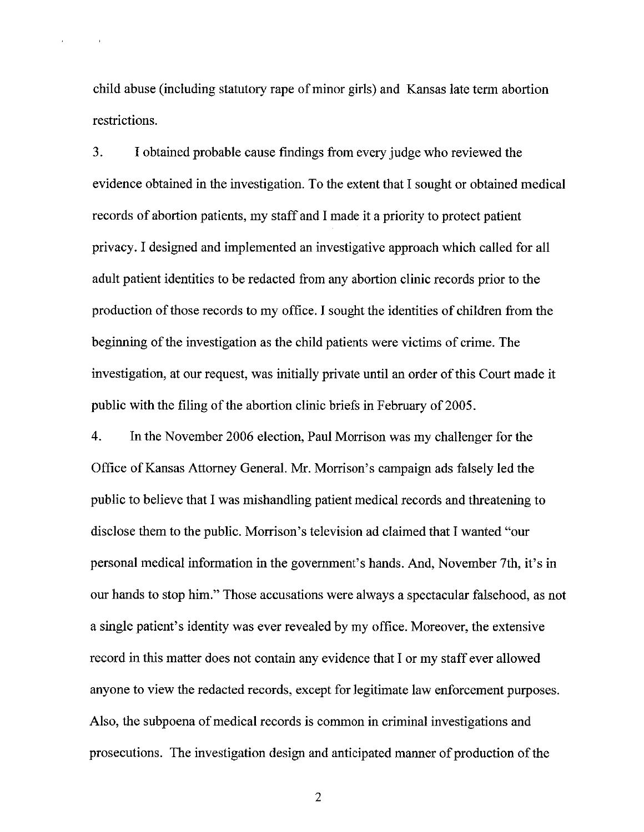child abuse (including statutory rape of minor girls) and Kansas late term abortion restrictions.

 $\mathbf{r}$ 

3. I obtained probable cause findings from every judge who reviewed the evidence obtained in the investigation. To the extent that I sought or obtained medical records of abortion patients, my staff and I made it a priority to protect patient privacy. I designed and implemented an investigative approach which called for all adult patient identities to be redacted from any abortion clinic records prior to the production of those records to my office. I sought the identities of children from the beginning of the investigation as the child patients were victims of crime. The investigation, at our request, was initially private until an order of this Court made it public with the filing of the abortion clinic briefs in February of 2005.

 $4.$ In the November 2006 election, Paul Morrison was my challenger for the Office of Kansas Attorney General. Mr. Morrison's campaign ads falsely led the public to believe that I was mishandling patient medical records and threatening to disclose them to the public. Morrison's television ad claimed that I wanted "our personal medical information in the government's hands. And, November 7th, it's in our hands to stop him." Those accusations were always a spectacular falsehood, as not a single patient's identity was ever revealed by my office. Moreover, the extensive record in this matter does not contain any evidence that I or my staff ever allowed anyone to view the redacted records, except for legitimate law enforcement purposes. Also, the subpoena of medical records is common in criminal investigations and prosecutions. The investigation design and anticipated manner of production of the

 $\overline{2}$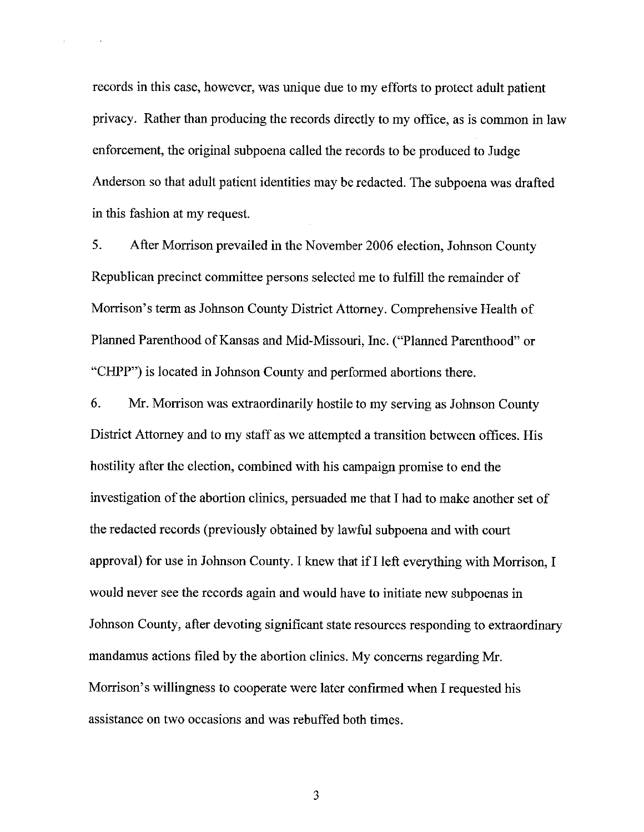records in this case, however, was unique due to my efforts to protect adult patient privacy. Rather than producing the records directly to my office, as is common in law enforcement, the original subpoena called the records to be produced to Judge Anderson so that adult patient identities may be redacted. The subpoena was drafted in this fashion at my request.

 $5<sub>1</sub>$ After Morrison prevailed in the November 2006 election, Johnson County Republican precinct committee persons selected me to fulfill the remainder of Morrison's term as Johnson County District Attorney. Comprehensive Health of Planned Parenthood of Kansas and Mid-Missouri, Inc. ("Planned Parenthood" or "CHPP") is located in Johnson County and performed abortions there.

6. Mr. Morrison was extraordinarily hostile to my serving as Johnson County District Attorney and to my staff as we attempted a transition between offices. His hostility after the election, combined with his campaign promise to end the investigation of the abortion clinics, persuaded me that I had to make another set of the redacted records (previously obtained by lawful subpoena and with court approval) for use in Johnson County. I knew that if I left everything with Morrison, I would never see the records again and would have to initiate new subpoenas in Johnson County, after devoting significant state resources responding to extraordinary mandamus actions filed by the abortion clinics. My concerns regarding Mr. Morrison's willingness to cooperate were later confirmed when I requested his assistance on two occasions and was rebuffed both times.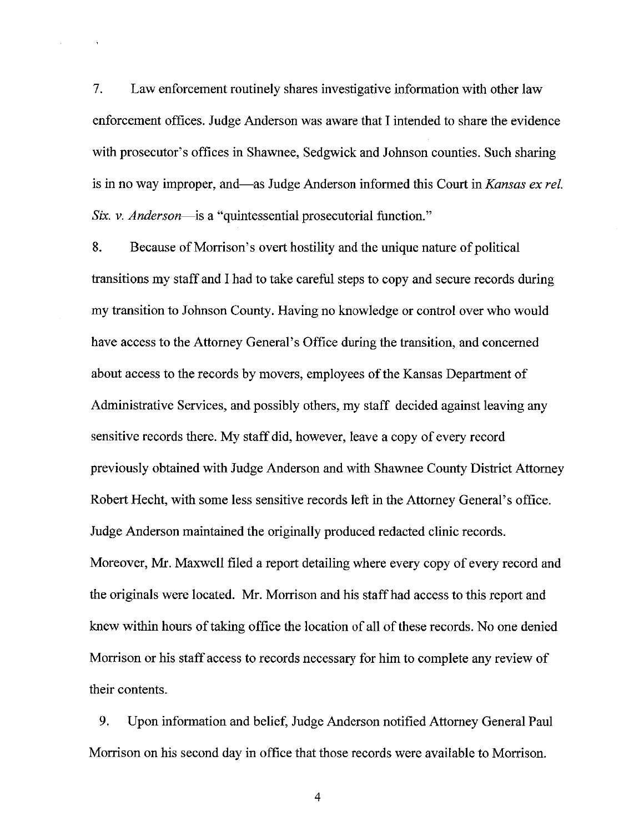$7.$ Law enforcement routinely shares investigative information with other law enforcement offices. Judge Anderson was aware that I intended to share the evidence with prosecutor's offices in Shawnee, Sedgwick and Johnson counties. Such sharing is in no way improper, and—as Judge Anderson informed this Court in Kansas ex rel. Six. v. Anderson—is a "quintessential prosecutorial function."

8. Because of Morrison's overt hostility and the unique nature of political transitions my staff and I had to take careful steps to copy and secure records during my transition to Johnson County. Having no knowledge or control over who would have access to the Attorney General's Office during the transition, and concerned about access to the records by movers, employees of the Kansas Department of Administrative Services, and possibly others, my staff decided against leaving any sensitive records there. My staff did, however, leave a copy of every record previously obtained with Judge Anderson and with Shawnee County District Attorney Robert Hecht, with some less sensitive records left in the Attorney General's office. Judge Anderson maintained the originally produced redacted clinic records. Moreover, Mr. Maxwell filed a report detailing where every copy of every record and the originals were located. Mr. Morrison and his staff had access to this report and knew within hours of taking office the location of all of these records. No one denied Morrison or his staff access to records necessary for him to complete any review of their contents.

9. Upon information and belief, Judge Anderson notified Attorney General Paul Morrison on his second day in office that those records were available to Morrison.

 $\overline{4}$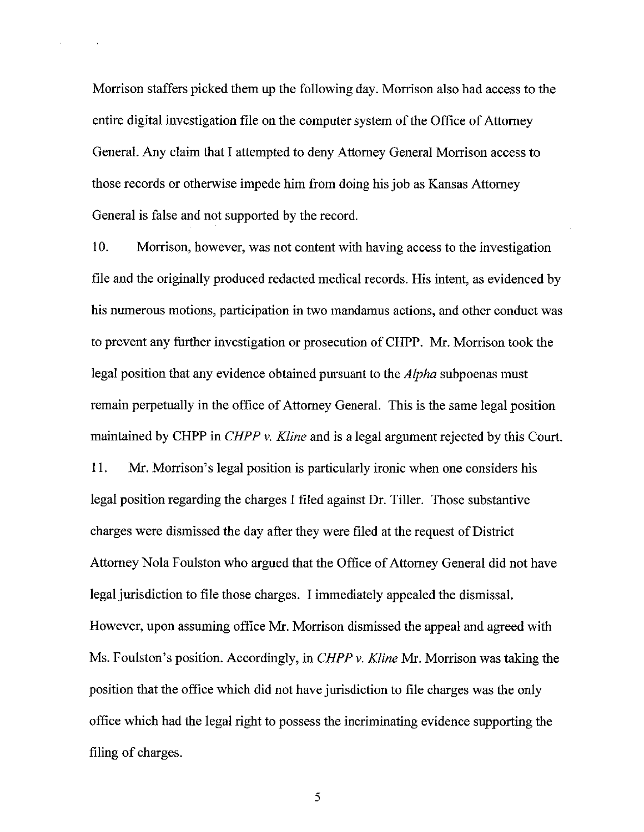Morrison staffers picked them up the following day. Morrison also had access to the entire digital investigation file on the computer system of the Office of Attorney General. Any claim that I attempted to deny Attorney General Morrison access to those records or otherwise impede him from doing his job as Kansas Attorney General is false and not supported by the record.

 $10.$ Morrison, however, was not content with having access to the investigation file and the originally produced redacted medical records. His intent, as evidenced by his numerous motions, participation in two mandamus actions, and other conduct was to prevent any further investigation or prosecution of CHPP. Mr. Morrison took the legal position that any evidence obtained pursuant to the *Alpha* subpoenas must remain perpetually in the office of Attorney General. This is the same legal position maintained by CHPP in *CHPP v. Kline* and is a legal argument rejected by this Court. 11. Mr. Morrison's legal position is particularly ironic when one considers his legal position regarding the charges I filed against Dr. Tiller. Those substantive charges were dismissed the day after they were filed at the request of District Attorney Nola Foulston who argued that the Office of Attorney General did not have legal jurisdiction to file those charges. I immediately appealed the dismissal. However, upon assuming office Mr. Morrison dismissed the appeal and agreed with Ms. Foulston's position. Accordingly, in *CHPP v. Kline* Mr. Morrison was taking the position that the office which did not have jurisdiction to file charges was the only office which had the legal right to possess the incriminating evidence supporting the filing of charges.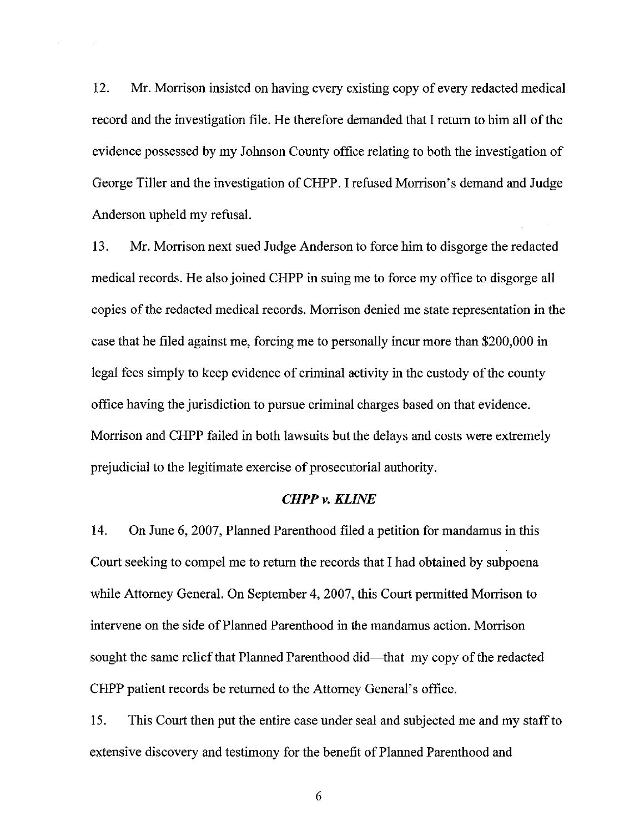12. Mr. Morrison insisted on having every existing copy of every redacted medical record and the investigation file. He therefore demanded that I return to him all of the evidence possessed by my Johnson County office relating to both the investigation of George Tiller and the investigation of CHPP. I refused Morrison's demand and Judge Anderson upheld my refusal.

13. Mr. Morrison next sued Judge Anderson to force him to disgorge the redacted medical records. He also joined CHPP in suing me to force my office to disgorge all copies of the redacted medical records. Morrison denied me state representation in the case that he filed against me, forcing me to personally incur more than \$200,000 in legal fees simply to keep evidence of criminal activity in the custody of the county office having the jurisdiction to pursue criminal charges based on that evidence. Morrison and CHPP failed in both lawsuits but the delays and costs were extremely prejudicial to the legitimate exercise of prosecutorial authority.

#### **CHPP v. KLINE**

14. On June 6, 2007, Planned Parenthood filed a petition for mandamus in this Court seeking to compel me to return the records that I had obtained by subpoena while Attorney General. On September 4, 2007, this Court permitted Morrison to intervene on the side of Planned Parenthood in the mandamus action. Morrison sought the same relief that Planned Parenthood did—that my copy of the redacted CHPP patient records be returned to the Attorney General's office.

15. This Court then put the entire case under seal and subjected me and my staff to extensive discovery and testimony for the benefit of Planned Parenthood and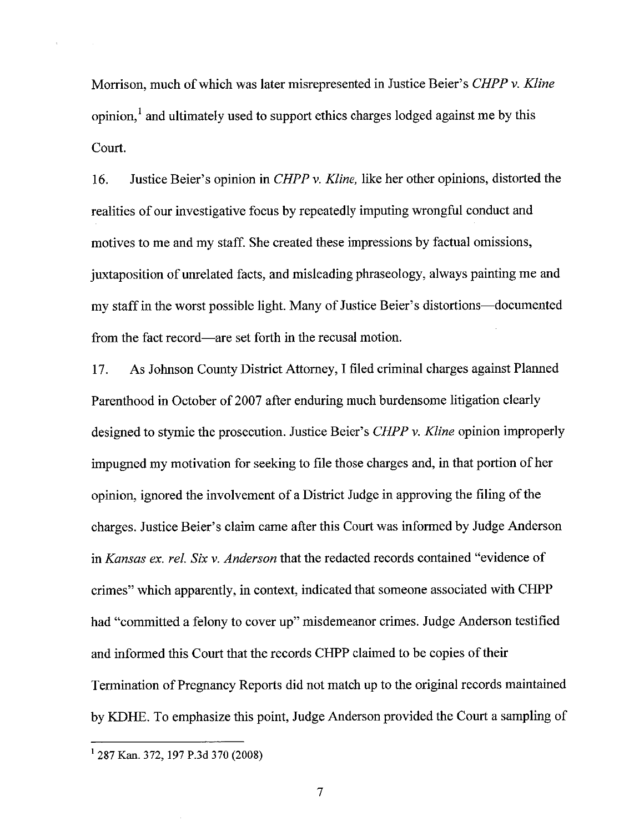Morrison, much of which was later misrepresented in Justice Beier's CHPP v. Kline opinion,<sup>1</sup> and ultimately used to support ethics charges lodged against me by this Court.

16. Justice Beier's opinion in *CHPP v. Kline*, like her other opinions, distorted the realities of our investigative focus by repeatedly imputing wrongful conduct and motives to me and my staff. She created these impressions by factual omissions, juxtaposition of unrelated facts, and misleading phraseology, always painting me and my staff in the worst possible light. Many of Justice Beier's distortions—documented from the fact record—are set forth in the recusal motion.

As Johnson County District Attorney, I filed criminal charges against Planned 17. Parenthood in October of 2007 after enduring much burdensome litigation clearly designed to stymie the prosecution. Justice Beier's CHPP v. Kline opinion improperly impugned my motivation for seeking to file those charges and, in that portion of her opinion, ignored the involvement of a District Judge in approving the filing of the charges. Justice Beier's claim came after this Court was informed by Judge Anderson in Kansas ex. rel. Six v. Anderson that the redacted records contained "evidence of crimes" which apparently, in context, indicated that someone associated with CHPP had "committed a felony to cover up" misdemeanor crimes. Judge Anderson testified and informed this Court that the records CHPP claimed to be copies of their Termination of Pregnancy Reports did not match up to the original records maintained by KDHE. To emphasize this point, Judge Anderson provided the Court a sampling of

 $\overline{7}$ 

<sup>&</sup>lt;sup>1</sup> 287 Kan. 372, 197 P.3d 370 (2008)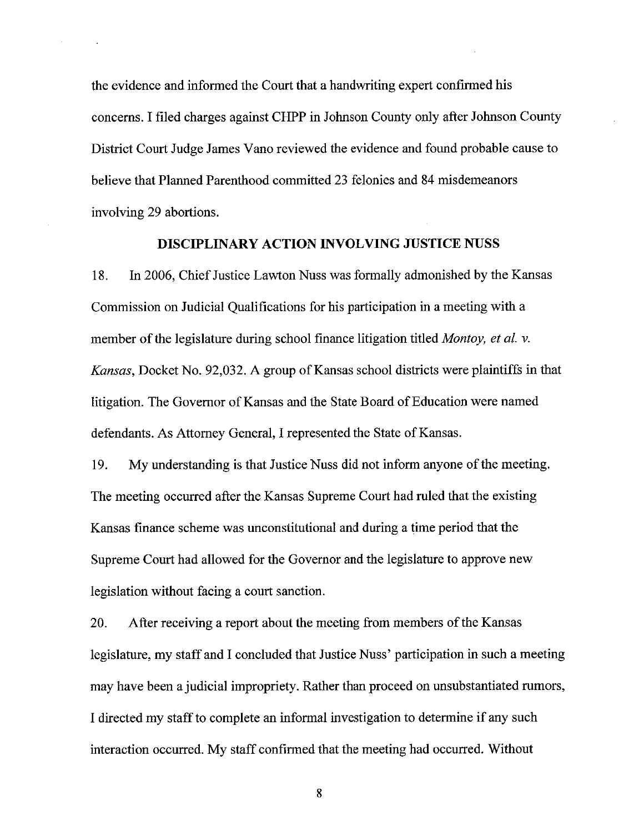the evidence and informed the Court that a handwriting expert confirmed his concerns. I filed charges against CHPP in Johnson County only after Johnson County District Court Judge James Vano reviewed the evidence and found probable cause to believe that Planned Parenthood committed 23 felonies and 84 misdemeanors involving 29 abortions.

## **DISCIPLINARY ACTION INVOLVING JUSTICE NUSS**

18. In 2006, Chief Justice Lawton Nuss was formally admonished by the Kansas Commission on Judicial Qualifications for his participation in a meeting with a member of the legislature during school finance litigation titled *Montoy, et al. v.* Kansas, Docket No. 92,032. A group of Kansas school districts were plaintiffs in that litigation. The Governor of Kansas and the State Board of Education were named defendants. As Attorney General, I represented the State of Kansas.

19. My understanding is that Justice Nuss did not inform anyone of the meeting. The meeting occurred after the Kansas Supreme Court had ruled that the existing Kansas finance scheme was unconstitutional and during a time period that the Supreme Court had allowed for the Governor and the legislature to approve new legislation without facing a court sanction.

After receiving a report about the meeting from members of the Kansas 20. legislature, my staff and I concluded that Justice Nuss' participation in such a meeting may have been a judicial impropriety. Rather than proceed on unsubstantiated rumors, I directed my staff to complete an informal investigation to determine if any such interaction occurred. My staff confirmed that the meeting had occurred. Without

8